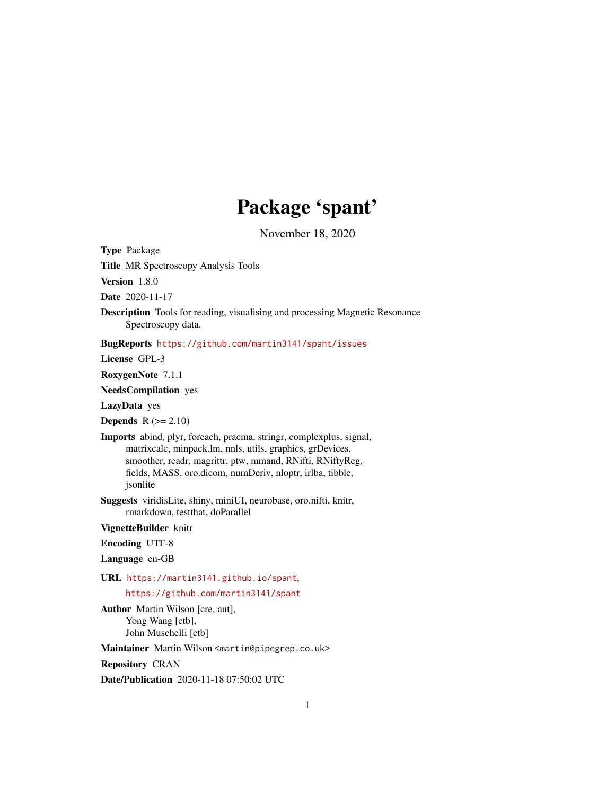# Package 'spant'

November 18, 2020

Type Package Title MR Spectroscopy Analysis Tools Version 1.8.0 Date 2020-11-17 Description Tools for reading, visualising and processing Magnetic Resonance Spectroscopy data. BugReports <https://github.com/martin3141/spant/issues> License GPL-3 RoxygenNote 7.1.1 NeedsCompilation yes LazyData yes Depends  $R (= 2.10)$ Imports abind, plyr, foreach, pracma, stringr, complexplus, signal, matrixcalc, minpack.lm, nnls, utils, graphics, grDevices, smoother, readr, magrittr, ptw, mmand, RNifti, RNiftyReg, fields, MASS, oro.dicom, numDeriv, nloptr, irlba, tibble, jsonlite Suggests viridisLite, shiny, miniUI, neurobase, oro.nifti, knitr, rmarkdown, testthat, doParallel VignetteBuilder knitr Encoding UTF-8 Language en-GB URL <https://martin3141.github.io/spant>, <https://github.com/martin3141/spant> Author Martin Wilson [cre, aut], Yong Wang [ctb], John Muschelli [ctb] Maintainer Martin Wilson <martin@pipegrep.co.uk>

Repository CRAN

Date/Publication 2020-11-18 07:50:02 UTC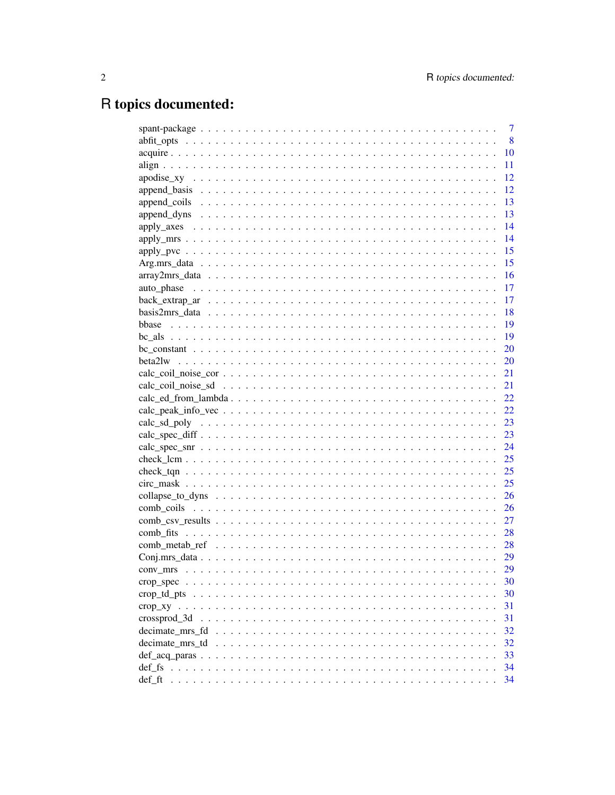# R topics documented:

|                                                                                                              | 7     |
|--------------------------------------------------------------------------------------------------------------|-------|
|                                                                                                              | 8     |
|                                                                                                              | 10    |
|                                                                                                              | 11    |
|                                                                                                              | 12    |
|                                                                                                              | 12    |
|                                                                                                              | 13    |
|                                                                                                              | 13    |
|                                                                                                              | 14    |
|                                                                                                              | 14    |
|                                                                                                              | 15    |
|                                                                                                              | -15   |
|                                                                                                              | - 16  |
|                                                                                                              |       |
|                                                                                                              |       |
|                                                                                                              |       |
| bbase                                                                                                        |       |
|                                                                                                              | $-19$ |
|                                                                                                              |       |
|                                                                                                              |       |
|                                                                                                              |       |
|                                                                                                              |       |
| $calc\_ed\_from\_lambda22$                                                                                   |       |
|                                                                                                              |       |
|                                                                                                              |       |
|                                                                                                              |       |
|                                                                                                              |       |
|                                                                                                              |       |
|                                                                                                              |       |
|                                                                                                              |       |
|                                                                                                              |       |
|                                                                                                              | 26    |
|                                                                                                              |       |
|                                                                                                              |       |
|                                                                                                              |       |
|                                                                                                              | 29    |
|                                                                                                              | 29    |
|                                                                                                              | 30    |
|                                                                                                              | 30    |
|                                                                                                              | 31    |
| crossprod 3d                                                                                                 | 31    |
| decimate_mrs_fd $\dots \dots \dots \dots \dots \dots \dots \dots \dots \dots \dots \dots \dots \dots \dots$  | 32    |
| decimate_mrs_td $\ldots \ldots \ldots \ldots \ldots \ldots \ldots \ldots \ldots \ldots \ldots \ldots \ldots$ | 32    |
|                                                                                                              | 33    |
|                                                                                                              | 34    |
|                                                                                                              | 34    |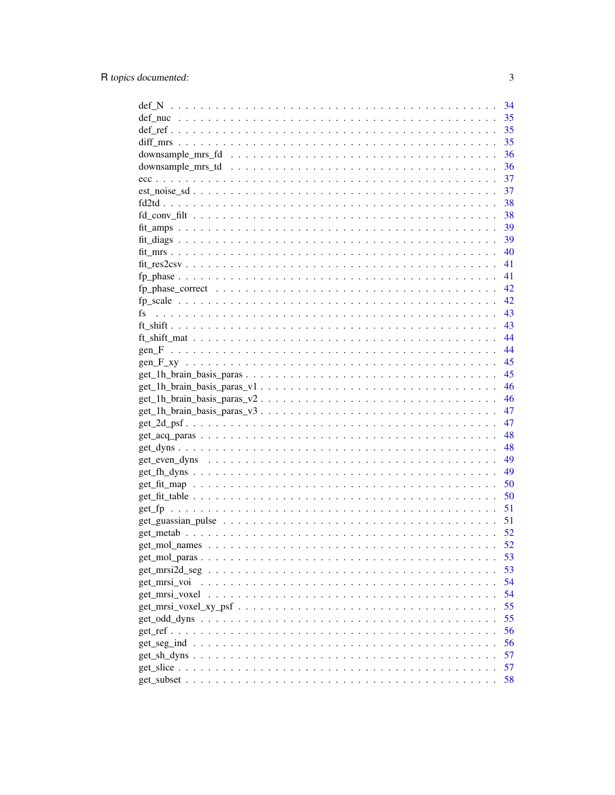|                                                                                                  | 34 |
|--------------------------------------------------------------------------------------------------|----|
|                                                                                                  | 35 |
|                                                                                                  | 35 |
|                                                                                                  | 35 |
|                                                                                                  | 36 |
|                                                                                                  | 36 |
|                                                                                                  |    |
|                                                                                                  | 37 |
|                                                                                                  |    |
|                                                                                                  |    |
|                                                                                                  |    |
|                                                                                                  |    |
|                                                                                                  | 40 |
|                                                                                                  | 41 |
|                                                                                                  | 41 |
|                                                                                                  | 42 |
|                                                                                                  |    |
|                                                                                                  | 43 |
|                                                                                                  | 43 |
|                                                                                                  | 44 |
|                                                                                                  | 44 |
|                                                                                                  |    |
|                                                                                                  | 45 |
|                                                                                                  | 46 |
|                                                                                                  | 46 |
|                                                                                                  | 47 |
|                                                                                                  | 47 |
|                                                                                                  | 48 |
|                                                                                                  | 48 |
|                                                                                                  | 49 |
|                                                                                                  | 49 |
|                                                                                                  | 50 |
|                                                                                                  | 50 |
|                                                                                                  | 51 |
|                                                                                                  | 51 |
|                                                                                                  |    |
|                                                                                                  | 52 |
|                                                                                                  | 53 |
|                                                                                                  | 53 |
|                                                                                                  | 54 |
| get_mrsi_voi                                                                                     | 54 |
|                                                                                                  | 55 |
| $get\_msi\_voxel\_xy\_psf \ldots \ldots \ldots \ldots \ldots \ldots \ldots \ldots \ldots \ldots$ |    |
|                                                                                                  | 55 |
|                                                                                                  | 56 |
|                                                                                                  | 56 |
|                                                                                                  | 57 |
|                                                                                                  | 57 |
|                                                                                                  | 58 |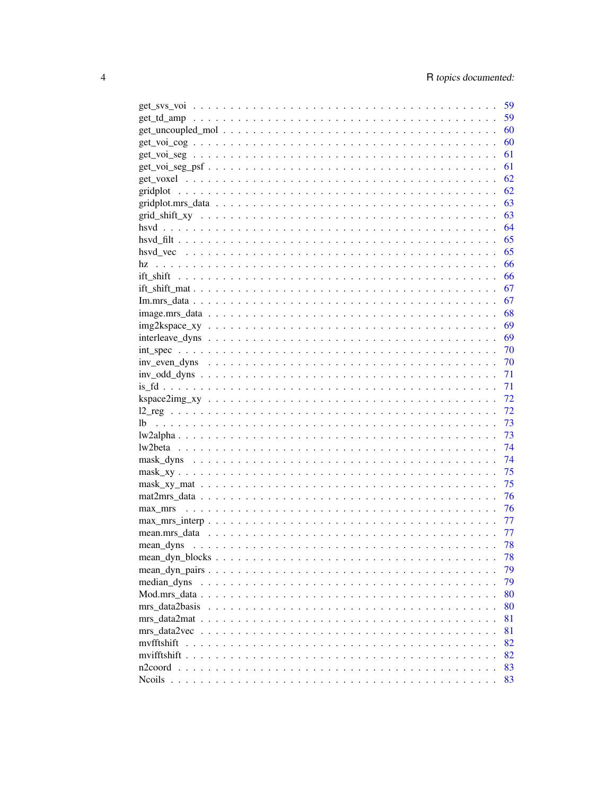|                                                                                                                               | 59   |
|-------------------------------------------------------------------------------------------------------------------------------|------|
|                                                                                                                               |      |
|                                                                                                                               | .60  |
|                                                                                                                               | 61   |
|                                                                                                                               | 61   |
|                                                                                                                               | 62   |
|                                                                                                                               | 62   |
|                                                                                                                               | 63   |
|                                                                                                                               | 63   |
|                                                                                                                               | 64   |
|                                                                                                                               | 65   |
|                                                                                                                               | 65   |
|                                                                                                                               | 66   |
|                                                                                                                               | 66   |
|                                                                                                                               | 67   |
|                                                                                                                               | 67   |
|                                                                                                                               | 68   |
|                                                                                                                               |      |
|                                                                                                                               |      |
|                                                                                                                               | - 70 |
|                                                                                                                               | - 70 |
|                                                                                                                               | 71   |
|                                                                                                                               | 71   |
|                                                                                                                               | 72   |
|                                                                                                                               | 72   |
| lb.                                                                                                                           | 73   |
|                                                                                                                               | 73   |
|                                                                                                                               | 74   |
|                                                                                                                               | 74   |
|                                                                                                                               | 75   |
|                                                                                                                               | 75   |
|                                                                                                                               | 76   |
|                                                                                                                               | 76   |
| $\text{max\_mrs\_interp } \ldots \ldots \ldots \ldots \ldots \ldots \ldots \ldots \ldots \ldots \ldots \ldots \ldots$         | 77   |
|                                                                                                                               | 77   |
| mean_dyns $\dots \dots \dots \dots \dots \dots \dots \dots \dots \dots \dots \dots \dots \dots \dots \dots \dots \dots \dots$ | 78   |
|                                                                                                                               | 78   |
|                                                                                                                               | 79   |
| median dyns                                                                                                                   | 79   |
|                                                                                                                               | 80   |
| mrs data2basis                                                                                                                | 80   |
|                                                                                                                               | 81   |
|                                                                                                                               |      |
| myfftshift                                                                                                                    | 81   |
|                                                                                                                               | 82   |
|                                                                                                                               | 82   |
|                                                                                                                               | 83   |
|                                                                                                                               | 83   |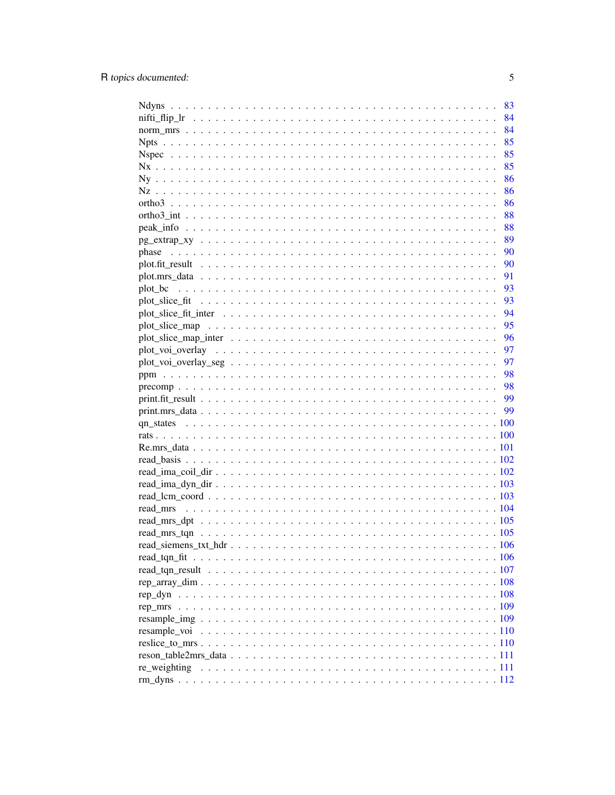|                                                                                                                  | 83 |
|------------------------------------------------------------------------------------------------------------------|----|
|                                                                                                                  | 84 |
|                                                                                                                  | 84 |
|                                                                                                                  |    |
|                                                                                                                  |    |
|                                                                                                                  |    |
|                                                                                                                  |    |
|                                                                                                                  |    |
|                                                                                                                  |    |
|                                                                                                                  |    |
|                                                                                                                  |    |
|                                                                                                                  |    |
| phase                                                                                                            |    |
|                                                                                                                  |    |
|                                                                                                                  |    |
|                                                                                                                  | 93 |
|                                                                                                                  | 93 |
| plot slice fit inter $\dots \dots \dots \dots \dots \dots \dots \dots \dots \dots \dots \dots \dots \dots \dots$ | 94 |
|                                                                                                                  | 95 |
|                                                                                                                  | 96 |
|                                                                                                                  | 97 |
|                                                                                                                  | 97 |
|                                                                                                                  |    |
|                                                                                                                  |    |
|                                                                                                                  |    |
|                                                                                                                  |    |
|                                                                                                                  |    |
|                                                                                                                  |    |
|                                                                                                                  |    |
|                                                                                                                  |    |
|                                                                                                                  |    |
|                                                                                                                  |    |
|                                                                                                                  |    |
|                                                                                                                  |    |
|                                                                                                                  |    |
|                                                                                                                  |    |
|                                                                                                                  |    |
|                                                                                                                  |    |
|                                                                                                                  |    |
|                                                                                                                  |    |
|                                                                                                                  |    |
|                                                                                                                  |    |
|                                                                                                                  |    |
|                                                                                                                  |    |
|                                                                                                                  |    |
|                                                                                                                  |    |
|                                                                                                                  |    |
|                                                                                                                  |    |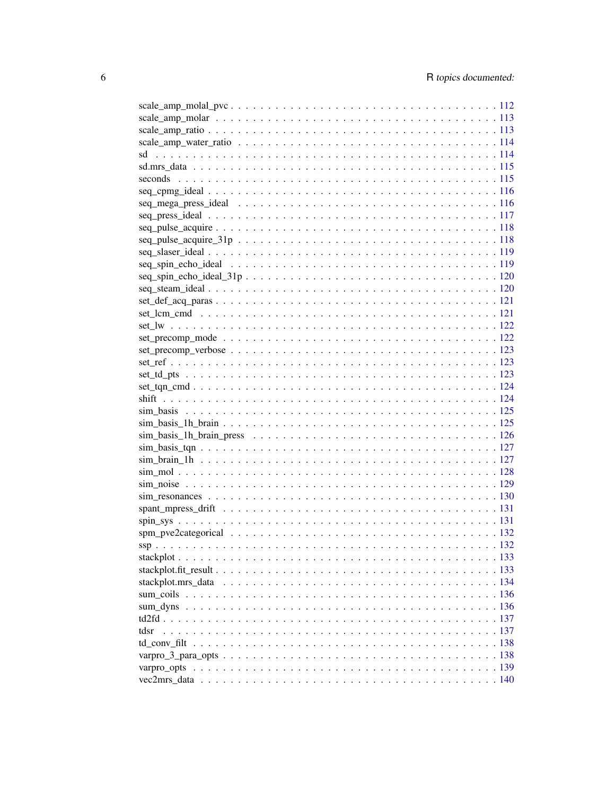| $set\_def\_acq\_paras \ldots \ldots \ldots \ldots \ldots \ldots \ldots \ldots \ldots \ldots \ldots \ldots \ldots 121$ |  |
|-----------------------------------------------------------------------------------------------------------------------|--|
|                                                                                                                       |  |
|                                                                                                                       |  |
|                                                                                                                       |  |
|                                                                                                                       |  |
|                                                                                                                       |  |
|                                                                                                                       |  |
|                                                                                                                       |  |
|                                                                                                                       |  |
|                                                                                                                       |  |
|                                                                                                                       |  |
|                                                                                                                       |  |
|                                                                                                                       |  |
|                                                                                                                       |  |
|                                                                                                                       |  |
|                                                                                                                       |  |
|                                                                                                                       |  |
|                                                                                                                       |  |
|                                                                                                                       |  |
|                                                                                                                       |  |
|                                                                                                                       |  |
|                                                                                                                       |  |
|                                                                                                                       |  |
|                                                                                                                       |  |
|                                                                                                                       |  |
|                                                                                                                       |  |
|                                                                                                                       |  |
| tdsr                                                                                                                  |  |
|                                                                                                                       |  |
|                                                                                                                       |  |
|                                                                                                                       |  |
|                                                                                                                       |  |
|                                                                                                                       |  |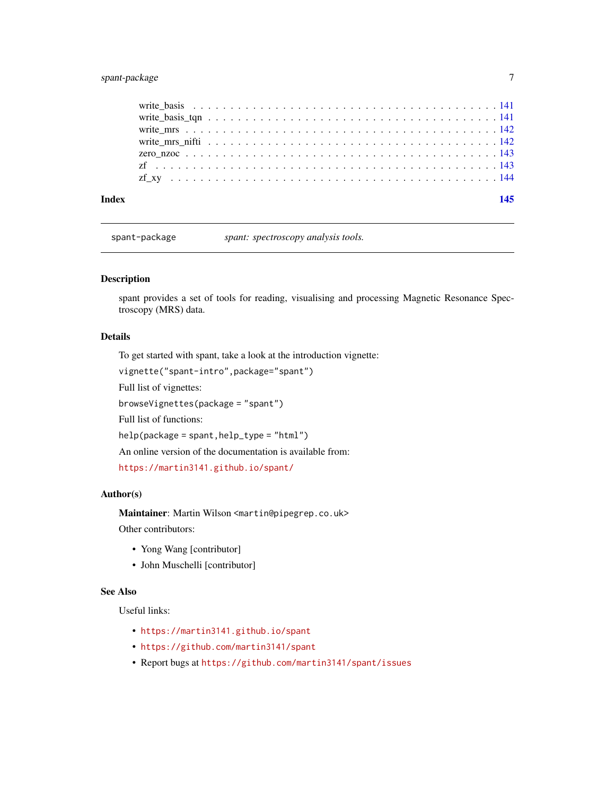## <span id="page-6-0"></span>spant-package 7

| Index |  |  |  |  |  |  |  |  |  |  |  |  |  |  |  |  |  |
|-------|--|--|--|--|--|--|--|--|--|--|--|--|--|--|--|--|--|
|       |  |  |  |  |  |  |  |  |  |  |  |  |  |  |  |  |  |
|       |  |  |  |  |  |  |  |  |  |  |  |  |  |  |  |  |  |
|       |  |  |  |  |  |  |  |  |  |  |  |  |  |  |  |  |  |
|       |  |  |  |  |  |  |  |  |  |  |  |  |  |  |  |  |  |
|       |  |  |  |  |  |  |  |  |  |  |  |  |  |  |  |  |  |
|       |  |  |  |  |  |  |  |  |  |  |  |  |  |  |  |  |  |
|       |  |  |  |  |  |  |  |  |  |  |  |  |  |  |  |  |  |

spant-package *spant: spectroscopy analysis tools.*

#### Description

spant provides a set of tools for reading, visualising and processing Magnetic Resonance Spectroscopy (MRS) data.

#### Details

To get started with spant, take a look at the introduction vignette:

vignette("spant-intro",package="spant")

Full list of vignettes:

browseVignettes(package = "spant")

Full list of functions:

help(package = spant,help\_type = "html")

An online version of the documentation is available from:

<https://martin3141.github.io/spant/>

#### Author(s)

Maintainer: Martin Wilson <martin@pipegrep.co.uk> Other contributors:

- Yong Wang [contributor]
- John Muschelli [contributor]

# See Also

Useful links:

- <https://martin3141.github.io/spant>
- <https://github.com/martin3141/spant>
- Report bugs at <https://github.com/martin3141/spant/issues>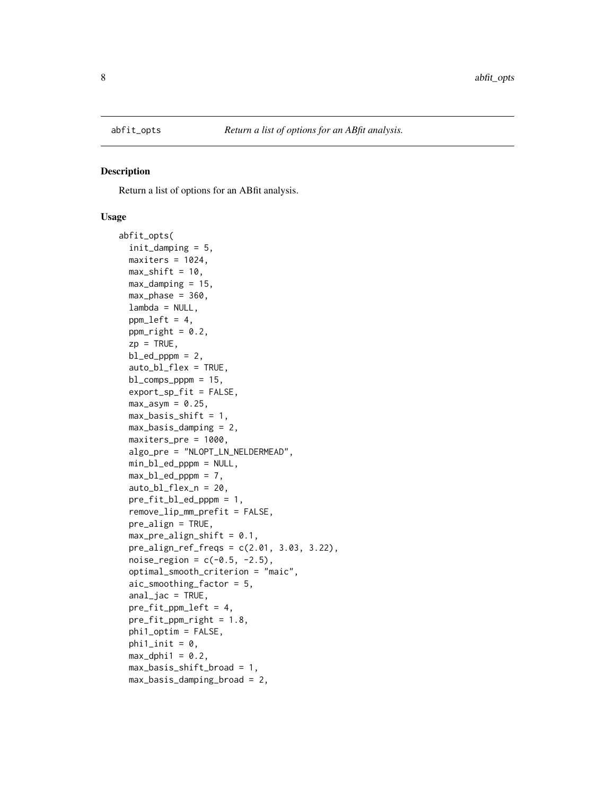<span id="page-7-0"></span>

Return a list of options for an ABfit analysis.

#### Usage

```
abfit_opts(
  init_damping = 5,
 maxiters = 1024,max\_shift = 10,max\_damping = 15,
 max_{\text{phase}} = 360,
  lambda = NULL,ppm\_left = 4,
 ppm\_right = 0.2,
  zp = TRUE,bl\_ed\_pppm = 2,
  auto_b1_flex = TRUE,
 bl_comps_pppm = 15,
  export_sp_fit = FALSE,
 max\_asym = 0.25,
 max_basis_bshift = 1,
 max_basis_damping = 2,
 maxiters_pre = 1000,
  algo_pre = "NLOPT_LN_NELDERMEAD",
  min_bl_ed_pppm = NULL,
 max_b1\_ed\_pppm = 7,
  auto_bl_flex_n = 20,
 pre_fit_bl_ed_pppm = 1,
  remove_lip_mm_prefit = FALSE,
  pre_align = TRUE,
 max\_pre\_align\_shift = 0.1,
 pre\_align\_ref\_freqs = c(2.01, 3.03, 3.22),
 noise_{region} = c(-0.5, -2.5),
  optimal_smooth_criterion = "maic",
  aic_smoothing_factor = 5,
  anal_jac = TRUE,pre_fit_ppm_left = 4,
  pre_fit\_ppm\_right = 1.8,
  phi1_optim = FALSE,
  phi1_init = 0,
 max_dphi1 = 0.2,
 max_basis_shift_broad = 1,
 max_basis_damping_broad = 2,
```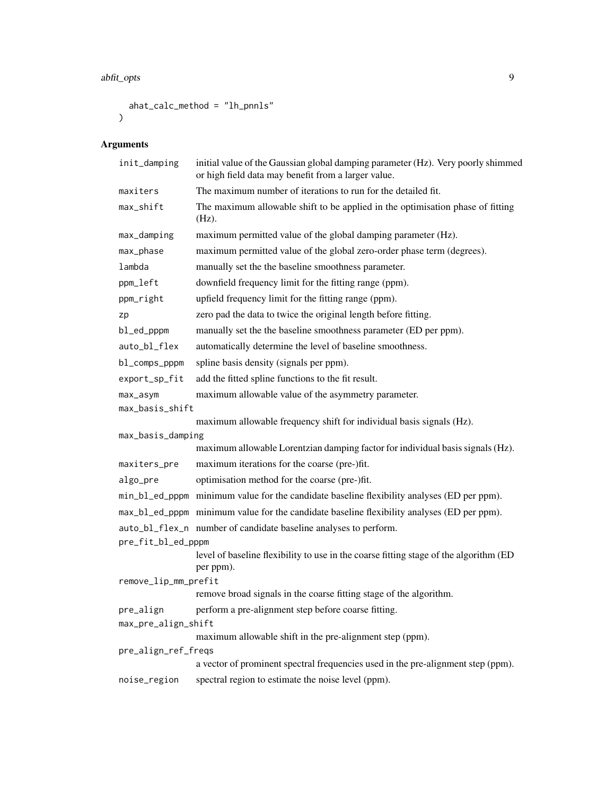```
ahat_calc_method = "lh_pnnls"
\mathcal{L}
```
# Arguments

| init_damping         | initial value of the Gaussian global damping parameter (Hz). Very poorly shimmed<br>or high field data may benefit from a larger value. |
|----------------------|-----------------------------------------------------------------------------------------------------------------------------------------|
| maxiters             | The maximum number of iterations to run for the detailed fit.                                                                           |
| max_shift            | The maximum allowable shift to be applied in the optimisation phase of fitting<br>$(Hz)$ .                                              |
| max_damping          | maximum permitted value of the global damping parameter (Hz).                                                                           |
| max_phase            | maximum permitted value of the global zero-order phase term (degrees).                                                                  |
| lambda               | manually set the the baseline smoothness parameter.                                                                                     |
| ppm_left             | downfield frequency limit for the fitting range (ppm).                                                                                  |
| ppm_right            | upfield frequency limit for the fitting range (ppm).                                                                                    |
| zp                   | zero pad the data to twice the original length before fitting.                                                                          |
| bl_ed_pppm           | manually set the the baseline smoothness parameter (ED per ppm).                                                                        |
| auto_bl_flex         | automatically determine the level of baseline smoothness.                                                                               |
| bl_comps_pppm        | spline basis density (signals per ppm).                                                                                                 |
| export_sp_fit        | add the fitted spline functions to the fit result.                                                                                      |
| max_asym             | maximum allowable value of the asymmetry parameter.                                                                                     |
| max_basis_shift      |                                                                                                                                         |
|                      | maximum allowable frequency shift for individual basis signals (Hz).                                                                    |
| max_basis_damping    | maximum allowable Lorentzian damping factor for individual basis signals (Hz).                                                          |
| maxiters_pre         | maximum iterations for the coarse (pre-)fit.                                                                                            |
| algo_pre             | optimisation method for the coarse (pre-)fit.                                                                                           |
|                      | min_bl_ed_pppm minimum value for the candidate baseline flexibility analyses (ED per ppm).                                              |
|                      | max_b1_ed_pppm_minimum value for the candidate baseline flexibility analyses (ED per ppm).                                              |
|                      | auto_bl_flex_n number of candidate baseline analyses to perform.                                                                        |
| pre_fit_bl_ed_pppm   |                                                                                                                                         |
|                      | level of baseline flexibility to use in the coarse fitting stage of the algorithm (ED<br>per ppm).                                      |
| remove_lip_mm_prefit |                                                                                                                                         |
|                      | remove broad signals in the coarse fitting stage of the algorithm.                                                                      |
| pre_align            | perform a pre-alignment step before coarse fitting.                                                                                     |
| max_pre_align_shift  | maximum allowable shift in the pre-alignment step (ppm).                                                                                |
| pre_align_ref_freqs  |                                                                                                                                         |
|                      | a vector of prominent spectral frequencies used in the pre-alignment step (ppm).                                                        |
| noise_region         | spectral region to estimate the noise level (ppm).                                                                                      |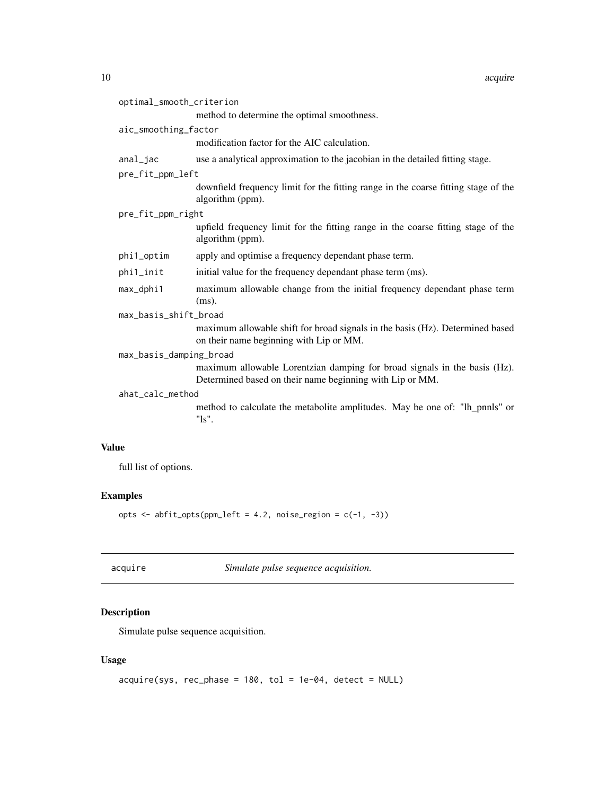<span id="page-9-0"></span>

| optimal_smooth_criterion |                                                                                                                                       |
|--------------------------|---------------------------------------------------------------------------------------------------------------------------------------|
|                          | method to determine the optimal smoothness.                                                                                           |
| aic_smoothing_factor     |                                                                                                                                       |
|                          | modification factor for the AIC calculation.                                                                                          |
| anal_jac                 | use a analytical approximation to the jacobian in the detailed fitting stage.                                                         |
| pre_fit_ppm_left         |                                                                                                                                       |
|                          | downfield frequency limit for the fitting range in the coarse fitting stage of the<br>algorithm (ppm).                                |
| pre_fit_ppm_right        |                                                                                                                                       |
|                          | upfield frequency limit for the fitting range in the coarse fitting stage of the<br>algorithm (ppm).                                  |
| phi1_optim               | apply and optimise a frequency dependant phase term.                                                                                  |
| phi1_init                | initial value for the frequency dependant phase term (ms).                                                                            |
| max_dphi1                | maximum allowable change from the initial frequency dependant phase term<br>$(ms)$ .                                                  |
| max_basis_shift_broad    |                                                                                                                                       |
|                          | maximum allowable shift for broad signals in the basis (Hz). Determined based<br>on their name beginning with Lip or MM.              |
| max_basis_damping_broad  |                                                                                                                                       |
|                          | maximum allowable Lorentzian damping for broad signals in the basis (Hz).<br>Determined based on their name beginning with Lip or MM. |
| ahat_calc_method         |                                                                                                                                       |
|                          | method to calculate the metabolite amplitudes. May be one of: "lh_pnnls" or<br>$"ls"$ .                                               |
| 11е                      |                                                                                                                                       |

# Value

full list of options.

#### Examples

opts  $\leq$  abfit\_opts(ppm\_left = 4.2, noise\_region = c(-1, -3))

acquire *Simulate pulse sequence acquisition.*

# Description

Simulate pulse sequence acquisition.

# Usage

```
acquire(sys, rec-phase = 180, tol = 1e-04, detect = NULL)
```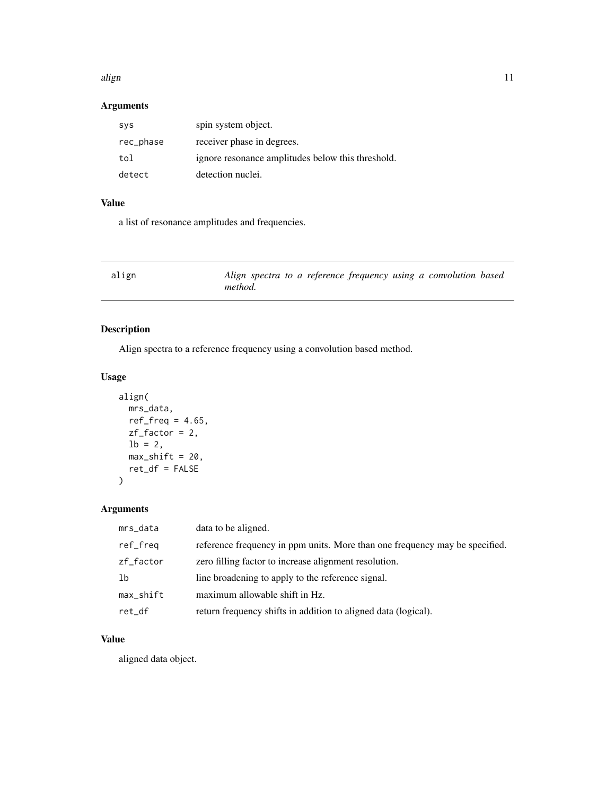#### <span id="page-10-0"></span>align the contract of the contract of the contract of the contract of the contract of the contract of the contract of the contract of the contract of the contract of the contract of the contract of the contract of the cont

# Arguments

| sys       | spin system object.                               |
|-----------|---------------------------------------------------|
| rec_phase | receiver phase in degrees.                        |
| tol       | ignore resonance amplitudes below this threshold. |
| detect    | detection nuclei.                                 |

# Value

a list of resonance amplitudes and frequencies.

| align | Align spectra to a reference frequency using a convolution based |  |  |  |
|-------|------------------------------------------------------------------|--|--|--|
|       | <i>method.</i>                                                   |  |  |  |

# Description

Align spectra to a reference frequency using a convolution based method.

#### Usage

```
align(
  mrs_data,
  ref\_freq = 4.65,
  zf_factor = 2,
  1b = 2,
  max\_shift = 20,
  ret_df = FALSE
\mathcal{L}
```
# Arguments

| mrs_data  | data to be aligned.                                                         |
|-----------|-----------------------------------------------------------------------------|
| ref_freq  | reference frequency in ppm units. More than one frequency may be specified. |
| zf_factor | zero filling factor to increase alignment resolution.                       |
| -lb       | line broadening to apply to the reference signal.                           |
| max_shift | maximum allowable shift in Hz.                                              |
| ret_df    | return frequency shifts in addition to aligned data (logical).              |

#### Value

aligned data object.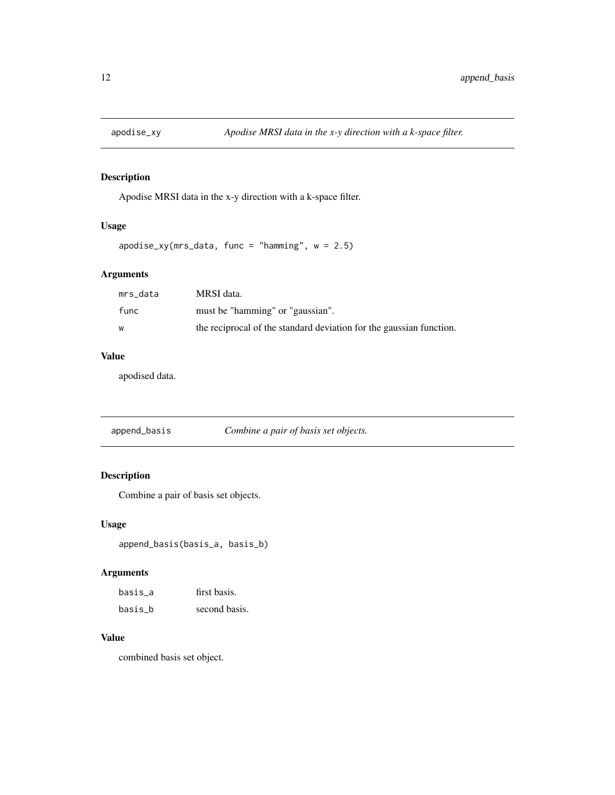<span id="page-11-0"></span>

Apodise MRSI data in the x-y direction with a k-space filter.

#### Usage

```
apodise_xy(mrs_data, func = "hamming", w = 2.5)
```
#### Arguments

| mrs data | MRSI data.                                                          |
|----------|---------------------------------------------------------------------|
| func     | must be "hamming" or "gaussian".                                    |
| W        | the reciprocal of the standard deviation for the gaussian function. |

# Value

apodised data.

| append_basis | Combine a pair of basis set objects. |  |
|--------------|--------------------------------------|--|
|              |                                      |  |

# Description

Combine a pair of basis set objects.

#### Usage

append\_basis(basis\_a, basis\_b)

#### Arguments

| basis a | first basis.  |
|---------|---------------|
| basis b | second basis. |

#### Value

combined basis set object.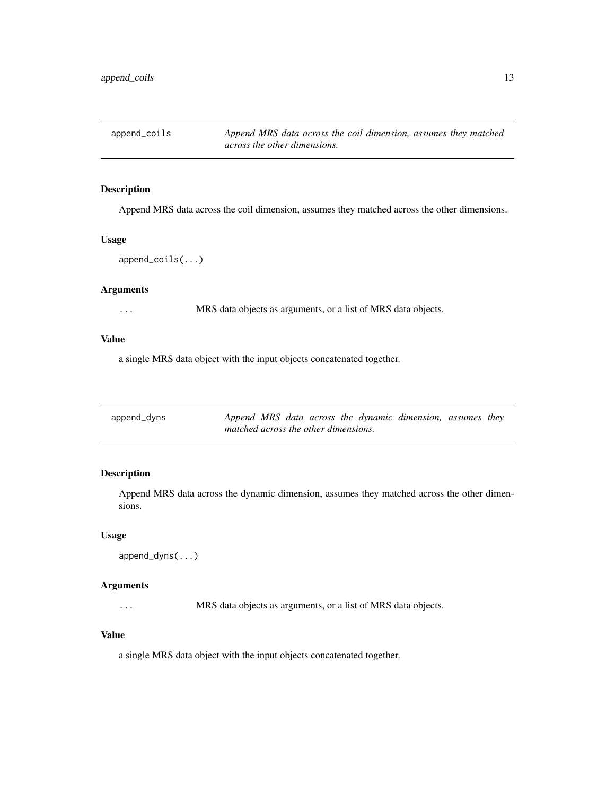<span id="page-12-0"></span>

Append MRS data across the coil dimension, assumes they matched across the other dimensions.

#### Usage

```
append_coils(...)
```
# Arguments

... MRS data objects as arguments, or a list of MRS data objects.

#### Value

a single MRS data object with the input objects concatenated together.

| append_dyns | Append MRS data across the dynamic dimension, assumes they |  |  |  |  |
|-------------|------------------------------------------------------------|--|--|--|--|
|             | matched across the other dimensions.                       |  |  |  |  |

#### Description

Append MRS data across the dynamic dimension, assumes they matched across the other dimensions.

#### Usage

```
append_dyns(...)
```
#### Arguments

... MRS data objects as arguments, or a list of MRS data objects.

#### Value

a single MRS data object with the input objects concatenated together.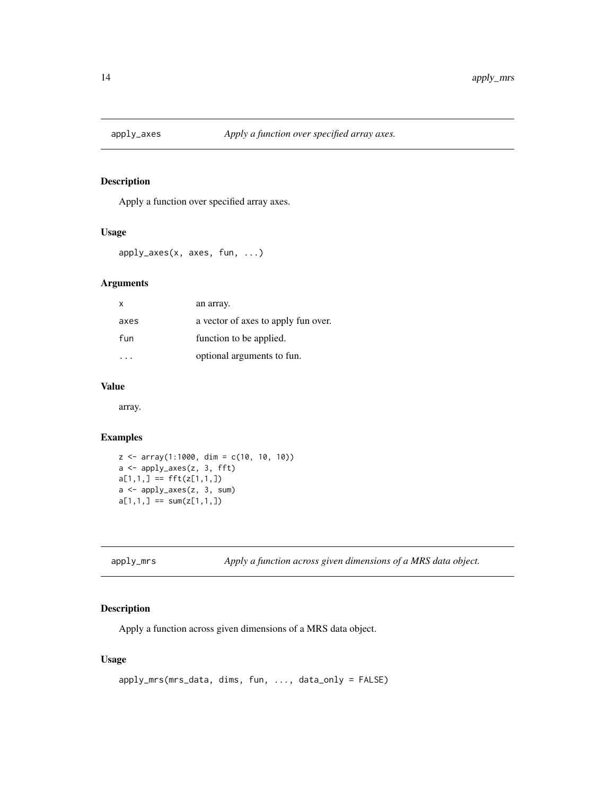<span id="page-13-0"></span>

Apply a function over specified array axes.

#### Usage

apply\_axes(x, axes, fun, ...)

#### Arguments

| x    | an array.                           |
|------|-------------------------------------|
| axes | a vector of axes to apply fun over. |
| fun  | function to be applied.             |
|      | optional arguments to fun.          |

#### Value

array.

#### Examples

```
z <- array(1:1000, dim = c(10, 10, 10))
a <- apply_axes(z, 3, fft)
a[1,1,] == fft(z[1,1,])a <- apply_axes(z, 3, sum)
a[1,1,] == sum(z[1,1,])
```
apply\_mrs *Apply a function across given dimensions of a MRS data object.*

#### Description

Apply a function across given dimensions of a MRS data object.

#### Usage

```
apply_mrs(mrs_data, dims, fun, ..., data_only = FALSE)
```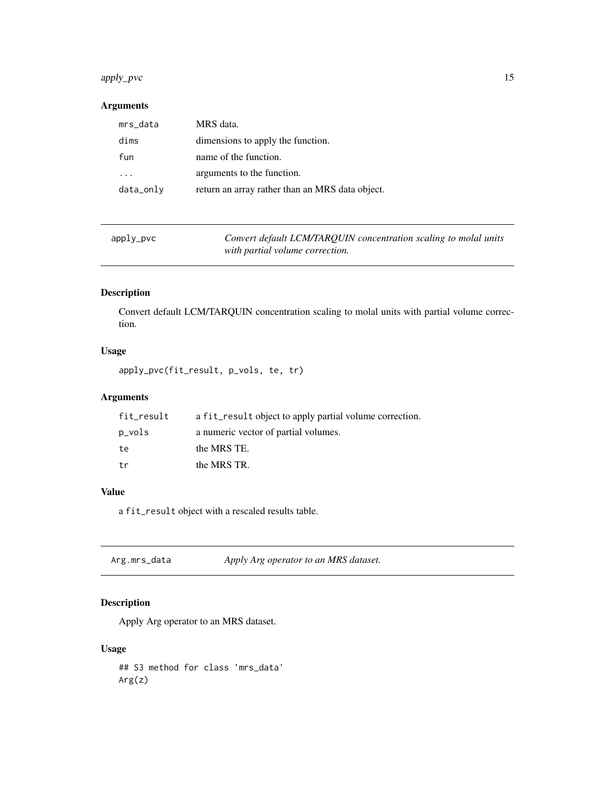#### <span id="page-14-0"></span>apply\_pvc 15

# Arguments

| mrs_data  | MRS data.                                       |
|-----------|-------------------------------------------------|
| dims      | dimensions to apply the function.               |
| fun       | name of the function.                           |
|           | arguments to the function.                      |
| data_only | return an array rather than an MRS data object. |
|           |                                                 |

| apply_pvc |  |  |
|-----------|--|--|
|           |  |  |

Convert default LCM/TARQUIN concentration scaling to molal units *with partial volume correction.*

# Description

Convert default LCM/TARQUIN concentration scaling to molal units with partial volume correction.

# Usage

```
apply_pvc(fit_result, p_vols, te, tr)
```
# Arguments

| fit_result | a fit_result object to apply partial volume correction. |
|------------|---------------------------------------------------------|
| p_vols     | a numeric vector of partial volumes.                    |
| te         | the MRS TE.                                             |
| tr         | the MRS TR.                                             |

# Value

a fit\_result object with a rescaled results table.

Arg.mrs\_data *Apply Arg operator to an MRS dataset.*

# Description

Apply Arg operator to an MRS dataset.

#### Usage

## S3 method for class 'mrs\_data' Arg(z)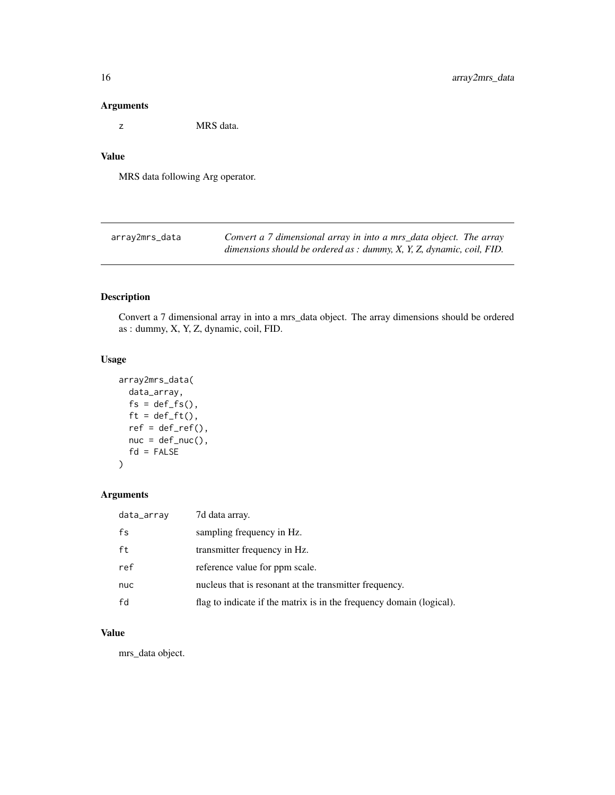#### <span id="page-15-0"></span>Arguments

z MRS data.

#### Value

MRS data following Arg operator.

| array2mrs_data | Convert a 7 dimensional array in into a mrs_data object. The array                |
|----------------|-----------------------------------------------------------------------------------|
|                | dimensions should be ordered as : dummy, $X$ , $Y$ , $Z$ , dynamic, coil, $FID$ . |

#### Description

Convert a 7 dimensional array in into a mrs\_data object. The array dimensions should be ordered as : dummy, X, Y, Z, dynamic, coil, FID.

# Usage

```
array2mrs_data(
 data_array,
 fs = def_fs(),
 ft = def_fft(),ref = def_ref(),nuc = def_nuc(),
 fd = FALSE)
```
#### Arguments

| data_array | 7d data array.                                                       |
|------------|----------------------------------------------------------------------|
| fs         | sampling frequency in Hz.                                            |
| ft         | transmitter frequency in Hz.                                         |
| ref        | reference value for ppm scale.                                       |
| nuc        | nucleus that is resonant at the transmitter frequency.               |
| fd         | flag to indicate if the matrix is in the frequency domain (logical). |

## Value

mrs\_data object.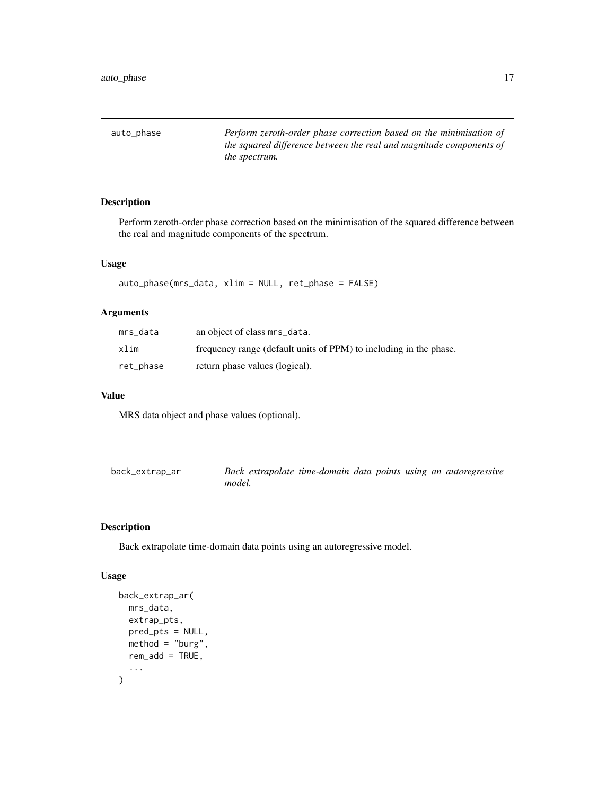<span id="page-16-0"></span>auto\_phase *Perform zeroth-order phase correction based on the minimisation of the squared difference between the real and magnitude components of the spectrum.*

# Description

Perform zeroth-order phase correction based on the minimisation of the squared difference between the real and magnitude components of the spectrum.

#### Usage

```
auto_phase(mrs_data, xlim = NULL, ret_phase = FALSE)
```
#### Arguments

| mrs data  | an object of class mrs_data.                                      |
|-----------|-------------------------------------------------------------------|
| xlim      | frequency range (default units of PPM) to including in the phase. |
| ret_phase | return phase values (logical).                                    |

#### Value

MRS data object and phase values (optional).

| back_extrap_ar | Back extrapolate time-domain data points using an autoregressive |  |  |
|----------------|------------------------------------------------------------------|--|--|
|                | model.                                                           |  |  |

#### Description

Back extrapolate time-domain data points using an autoregressive model.

#### Usage

```
back_extrap_ar(
  mrs_data,
  extrap_pts,
  pred_pts = NULL,
  method = "burg",rem\_add = TRUE,...
\mathcal{E}
```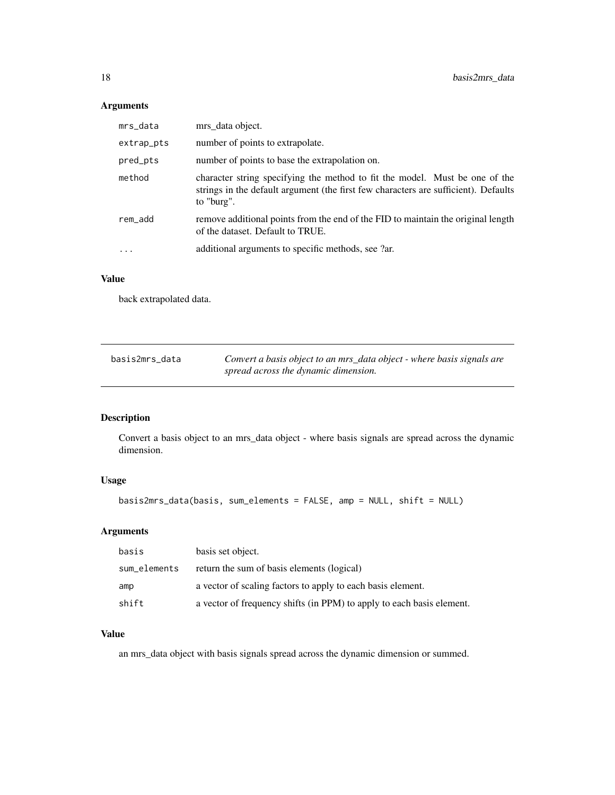# Arguments

| mrs_data   | mrs_data object.                                                                                                                                                                 |
|------------|----------------------------------------------------------------------------------------------------------------------------------------------------------------------------------|
| extrap_pts | number of points to extrapolate.                                                                                                                                                 |
| pred_pts   | number of points to base the extrapolation on.                                                                                                                                   |
| method     | character string specifying the method to fit the model. Must be one of the<br>strings in the default argument (the first few characters are sufficient). Defaults<br>to "burg". |
| rem_add    | remove additional points from the end of the FID to maintain the original length<br>of the dataset. Default to TRUE.                                                             |
| $\ddotsc$  | additional arguments to specific methods, see ?ar.                                                                                                                               |
|            |                                                                                                                                                                                  |

## Value

back extrapolated data.

| basis2mrs data | Convert a basis object to an mrs_data object - where basis signals are |
|----------------|------------------------------------------------------------------------|
|                | spread across the dynamic dimension.                                   |

# Description

Convert a basis object to an mrs\_data object - where basis signals are spread across the dynamic dimension.

# Usage

```
basis2mrs_data(basis, sum_elements = FALSE, amp = NULL, shift = NULL)
```
#### Arguments

| basis        | basis set object.                                                     |
|--------------|-----------------------------------------------------------------------|
| sum elements | return the sum of basis elements (logical)                            |
| amp          | a vector of scaling factors to apply to each basis element.           |
| shift        | a vector of frequency shifts (in PPM) to apply to each basis element. |

#### Value

an mrs\_data object with basis signals spread across the dynamic dimension or summed.

<span id="page-17-0"></span>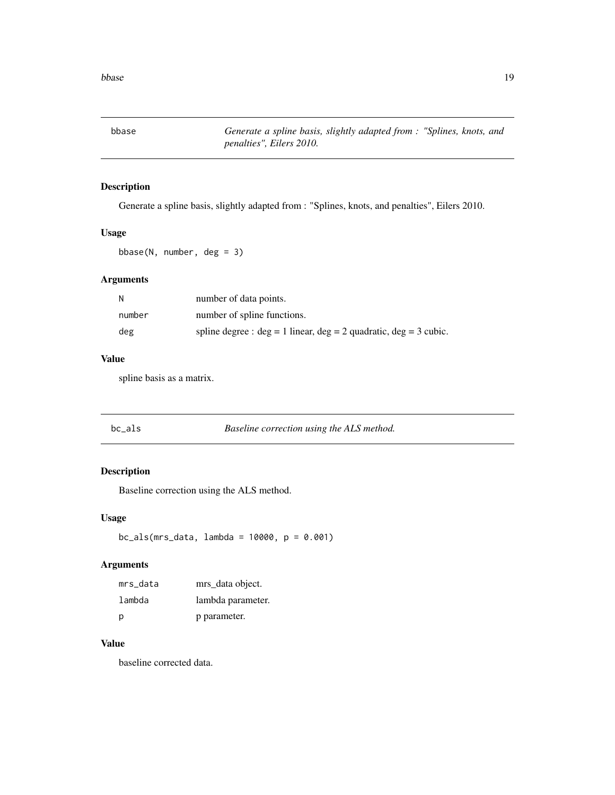<span id="page-18-0"></span>bbase *Generate a spline basis, slightly adapted from : "Splines, knots, and penalties", Eilers 2010.*

#### Description

Generate a spline basis, slightly adapted from : "Splines, knots, and penalties", Eilers 2010.

#### Usage

bbase(N, number, deg = 3)

#### Arguments

| N      | number of data points.                                                  |
|--------|-------------------------------------------------------------------------|
| number | number of spline functions.                                             |
| deg    | spline degree : $deg = 1$ linear, $deg = 2$ quadratic, $deg = 3$ cubic. |

### Value

spline basis as a matrix.

#### Description

Baseline correction using the ALS method.

#### Usage

 $bc\_als(mrs\_data, lambda = 10000, p = 0.001)$ 

#### Arguments

| mrs data | mrs data object.  |
|----------|-------------------|
| lambda   | lambda parameter. |
| р        | p parameter.      |

## Value

baseline corrected data.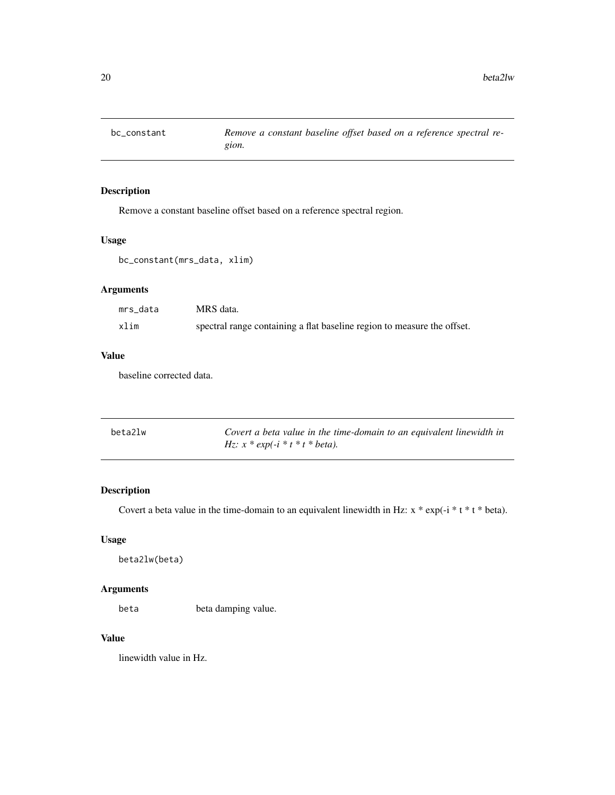<span id="page-19-0"></span>

Remove a constant baseline offset based on a reference spectral region.

#### Usage

bc\_constant(mrs\_data, xlim)

# Arguments

| mrs data | MRS data.                                                               |
|----------|-------------------------------------------------------------------------|
| xlim     | spectral range containing a flat baseline region to measure the offset. |

#### Value

baseline corrected data.

| beta2lw | Covert a beta value in the time-domain to an equivalent linewidth in |
|---------|----------------------------------------------------------------------|
|         | <i>Hz:</i> $x * exp(-i * t * t * beta)$ .                            |

#### Description

Covert a beta value in the time-domain to an equivalent linewidth in Hz:  $x * exp(-i * t * t * beta)$ .

#### Usage

beta2lw(beta)

#### Arguments

beta beta damping value.

#### Value

linewidth value in Hz.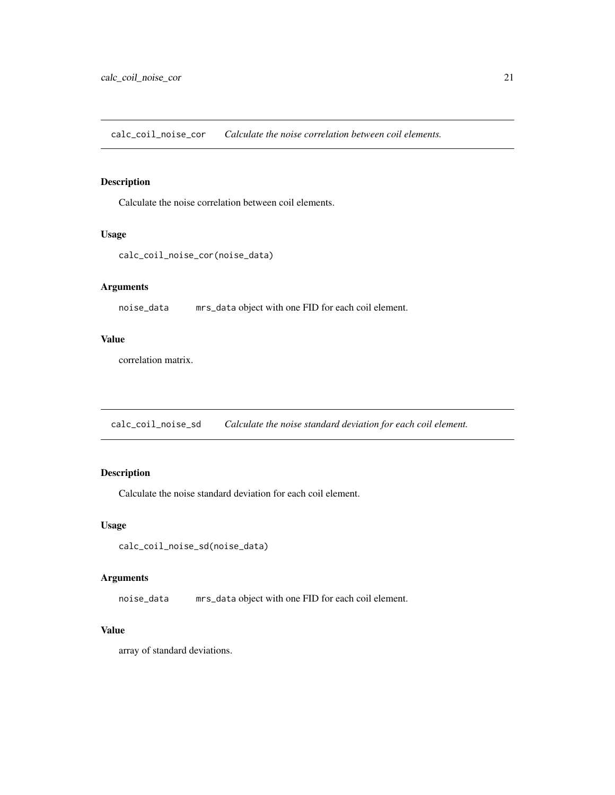<span id="page-20-0"></span>calc\_coil\_noise\_cor *Calculate the noise correlation between coil elements.*

# Description

Calculate the noise correlation between coil elements.

#### Usage

```
calc_coil_noise_cor(noise_data)
```
# Arguments

noise\_data mrs\_data object with one FID for each coil element.

#### Value

correlation matrix.

calc\_coil\_noise\_sd *Calculate the noise standard deviation for each coil element.*

# Description

Calculate the noise standard deviation for each coil element.

#### Usage

calc\_coil\_noise\_sd(noise\_data)

#### Arguments

noise\_data mrs\_data object with one FID for each coil element.

# Value

array of standard deviations.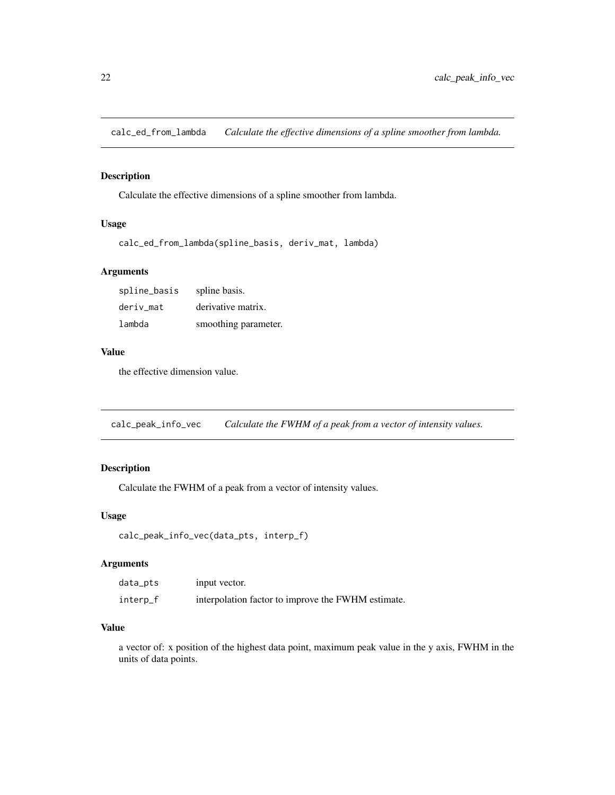<span id="page-21-0"></span>calc\_ed\_from\_lambda *Calculate the effective dimensions of a spline smoother from lambda.*

#### Description

Calculate the effective dimensions of a spline smoother from lambda.

#### Usage

```
calc_ed_from_lambda(spline_basis, deriv_mat, lambda)
```
#### Arguments

| spline_basis | spline basis.        |
|--------------|----------------------|
| deriv mat    | derivative matrix.   |
| lambda       | smoothing parameter. |

#### Value

the effective dimension value.

calc\_peak\_info\_vec *Calculate the FWHM of a peak from a vector of intensity values.*

#### Description

Calculate the FWHM of a peak from a vector of intensity values.

#### Usage

```
calc_peak_info_vec(data_pts, interp_f)
```
#### Arguments

| data_pts | input vector.                                      |
|----------|----------------------------------------------------|
| interp_f | interpolation factor to improve the FWHM estimate. |

#### Value

a vector of: x position of the highest data point, maximum peak value in the y axis, FWHM in the units of data points.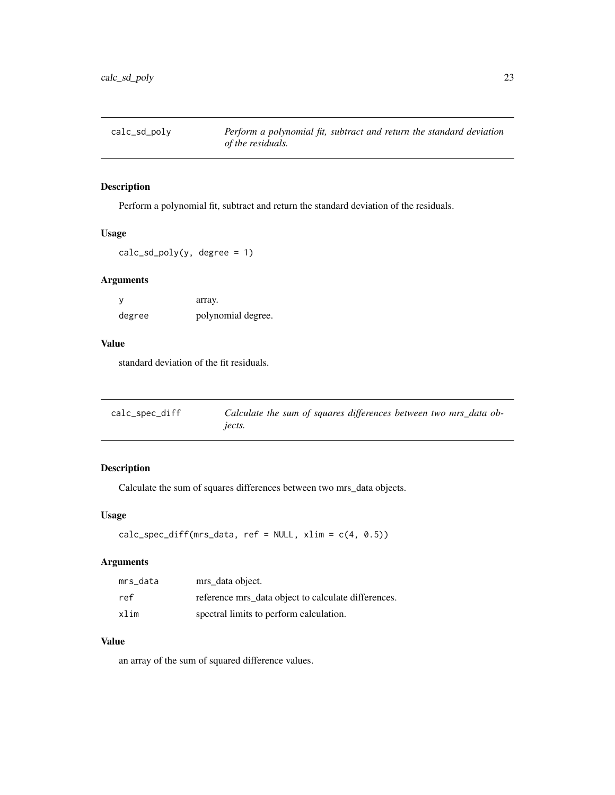<span id="page-22-0"></span>

Perform a polynomial fit, subtract and return the standard deviation of the residuals.

#### Usage

 $calc\_sd\_poly(y, degree = 1)$ 

#### Arguments

|        | array.             |
|--------|--------------------|
| degree | polynomial degree. |

# Value

standard deviation of the fit residuals.

| calc_spec_diff | Calculate the sum of squares differences between two mrs_data ob- |
|----------------|-------------------------------------------------------------------|
|                | jects.                                                            |

#### Description

Calculate the sum of squares differences between two mrs\_data objects.

#### Usage

```
calc_spec_diff(mrs_data, ref = NULL, xlim = c(4, 0.5))
```
#### Arguments

| mrs data | mrs_data object.                                    |
|----------|-----------------------------------------------------|
| ref      | reference mrs_data object to calculate differences. |
| xlim     | spectral limits to perform calculation.             |

# Value

an array of the sum of squared difference values.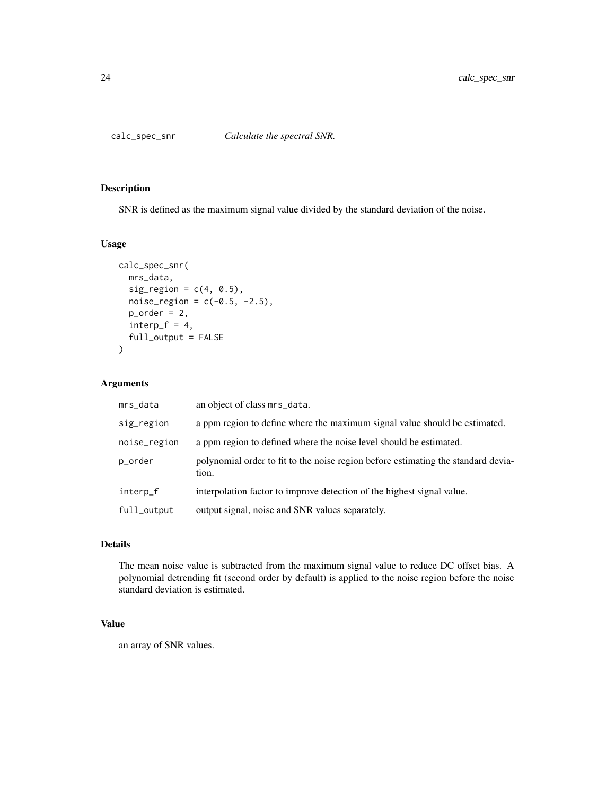<span id="page-23-0"></span>

SNR is defined as the maximum signal value divided by the standard deviation of the noise.

#### Usage

```
calc_spec_snr(
  mrs_data,
  sig\_region = c(4, 0.5),
  noise_{region} = c(-0.5, -2.5),
  p_{\text{order}} = 2,
  interp_f = 4,
  full_output = FALSE
)
```
#### Arguments

| mrs_data     | an object of class mrs_data.                                                               |
|--------------|--------------------------------------------------------------------------------------------|
| sig_region   | a ppm region to define where the maximum signal value should be estimated.                 |
| noise_region | a ppm region to defined where the noise level should be estimated.                         |
| p_order      | polynomial order to fit to the noise region before estimating the standard devia-<br>tion. |
| interp_f     | interpolation factor to improve detection of the highest signal value.                     |
| full_output  | output signal, noise and SNR values separately.                                            |

#### Details

The mean noise value is subtracted from the maximum signal value to reduce DC offset bias. A polynomial detrending fit (second order by default) is applied to the noise region before the noise standard deviation is estimated.

# Value

an array of SNR values.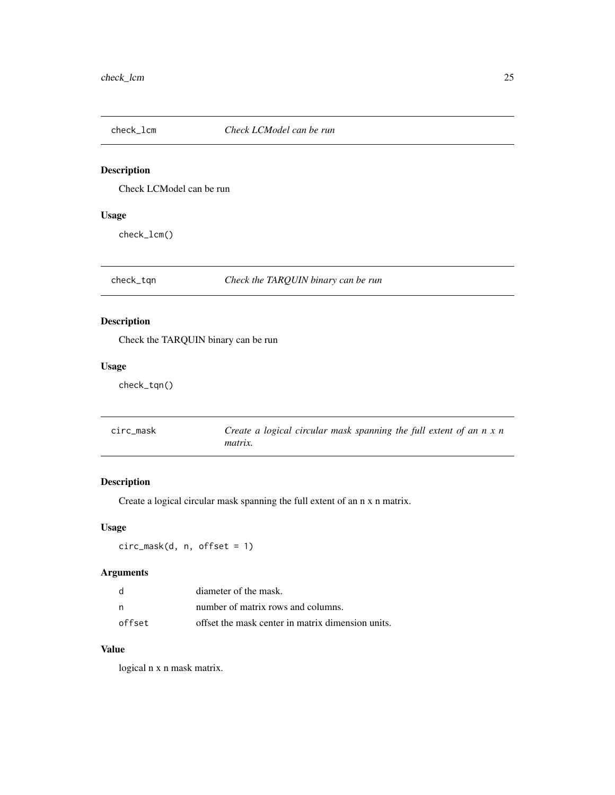<span id="page-24-0"></span>

Check LCModel can be run

# Usage

check\_lcm()

check\_tqn *Check the TARQUIN binary can be run*

# Description

Check the TARQUIN binary can be run

#### Usage

check\_tqn()

| circ mask | Create a logical circular mask spanning the full extent of an $n \times n$ |
|-----------|----------------------------------------------------------------------------|
|           | <i>matrix.</i>                                                             |

#### Description

Create a logical circular mask spanning the full extent of an n x n matrix.

#### Usage

circ\_mask(d, n, offset = 1)

#### Arguments

|        | diameter of the mask.                             |
|--------|---------------------------------------------------|
| - n    | number of matrix rows and columns.                |
| offset | offset the mask center in matrix dimension units. |

#### Value

logical n x n mask matrix.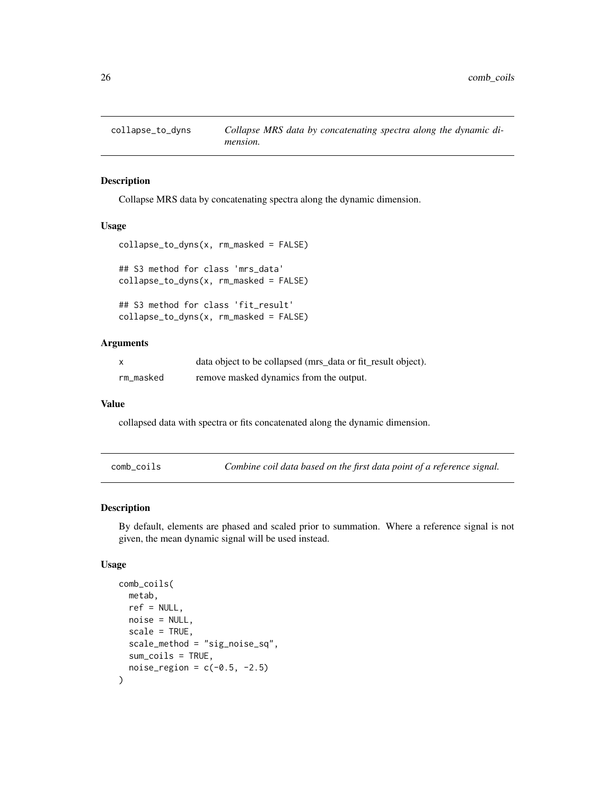<span id="page-25-0"></span>

Collapse MRS data by concatenating spectra along the dynamic dimension.

#### Usage

```
collapse_to_dyns(x, rm_masked = FALSE)
## S3 method for class 'mrs_data'
collapse_to_dyns(x, rm_masked = FALSE)
## S3 method for class 'fit_result'
collapse_to_dyns(x, rm_masked = FALSE)
```
#### Arguments

| $\mathsf{x}$ | data object to be collapsed (mrs_data or fit_result object). |
|--------------|--------------------------------------------------------------|
| rm_masked    | remove masked dynamics from the output.                      |

#### Value

collapsed data with spectra or fits concatenated along the dynamic dimension.

comb\_coils *Combine coil data based on the first data point of a reference signal.*

#### Description

By default, elements are phased and scaled prior to summation. Where a reference signal is not given, the mean dynamic signal will be used instead.

#### Usage

```
comb_coils(
  metab,
  ref = NULL,
  noise = NULL,
  scale = TRUE,
  scale_method = "sig_noise_sq",
  sum_coils = TRUE,
  noise\_region = c(-0.5, -2.5))
```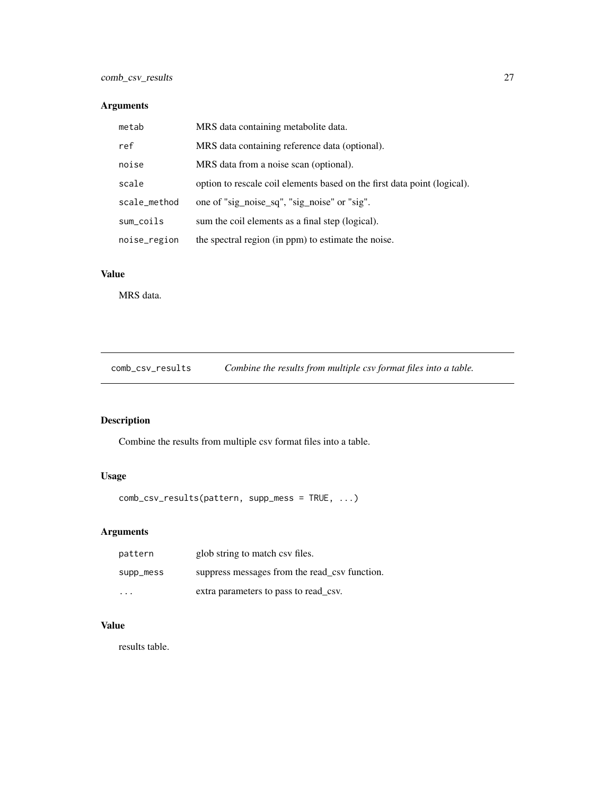# <span id="page-26-0"></span>Arguments

| metab        | MRS data containing metabolite data.                                     |
|--------------|--------------------------------------------------------------------------|
| ref          | MRS data containing reference data (optional).                           |
| noise        | MRS data from a noise scan (optional).                                   |
| scale        | option to rescale coil elements based on the first data point (logical). |
| scale_method | one of "sig_noise_sq", "sig_noise" or "sig".                             |
| sum_coils    | sum the coil elements as a final step (logical).                         |
| noise_region | the spectral region (in ppm) to estimate the noise.                      |

# Value

MRS data.

comb\_csv\_results *Combine the results from multiple csv format files into a table.*

# Description

Combine the results from multiple csv format files into a table.

# Usage

comb\_csv\_results(pattern, supp\_mess = TRUE, ...)

# Arguments

| pattern                 | glob string to match csy files.               |
|-------------------------|-----------------------------------------------|
| supp_mess               | suppress messages from the read_csy function. |
| $\cdot$ $\cdot$ $\cdot$ | extra parameters to pass to read csv.         |

# Value

results table.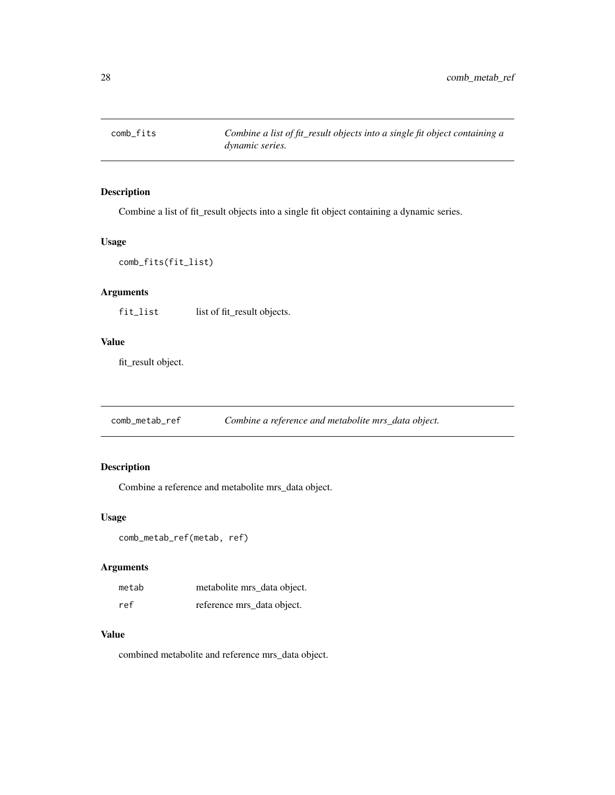<span id="page-27-0"></span>comb\_fits *Combine a list of fit\_result objects into a single fit object containing a dynamic series.*

#### Description

Combine a list of fit\_result objects into a single fit object containing a dynamic series.

#### Usage

```
comb_fits(fit_list)
```
# Arguments

fit\_list list of fit\_result objects.

# Value

fit\_result object.

comb\_metab\_ref *Combine a reference and metabolite mrs\_data object.*

#### Description

Combine a reference and metabolite mrs\_data object.

#### Usage

```
comb_metab_ref(metab, ref)
```
#### Arguments

| metab | metabolite mrs data object. |
|-------|-----------------------------|
| ref   | reference mrs_data object.  |

# Value

combined metabolite and reference mrs\_data object.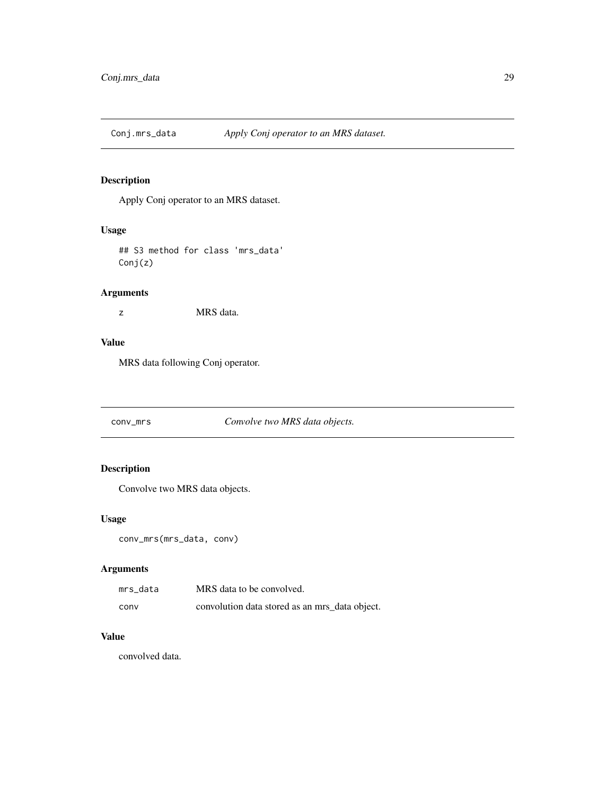<span id="page-28-0"></span>

Apply Conj operator to an MRS dataset.

#### Usage

## S3 method for class 'mrs\_data' Conj(z)

# Arguments

z MRS data.

# Value

MRS data following Conj operator.

#### conv\_mrs *Convolve two MRS data objects.*

#### Description

Convolve two MRS data objects.

#### Usage

```
conv_mrs(mrs_data, conv)
```
# Arguments

| mrs data | MRS data to be convolved.                      |
|----------|------------------------------------------------|
| conv     | convolution data stored as an mrs_data object. |

# Value

convolved data.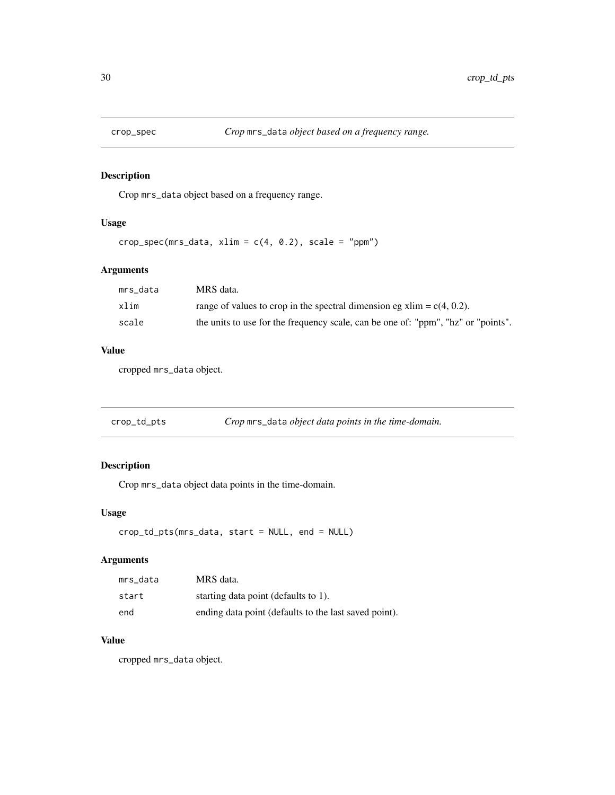<span id="page-29-0"></span>

Crop mrs\_data object based on a frequency range.

#### Usage

```
crop\_spec(mrs\_data, xlim = c(4, 0.2), scale = "ppm")
```
#### Arguments

| mrs data | MRS data.                                                                         |
|----------|-----------------------------------------------------------------------------------|
| xlim     | range of values to crop in the spectral dimension eg xlim = $c(4, 0.2)$ .         |
| scale    | the units to use for the frequency scale, can be one of: "ppm", "hz" or "points". |

#### Value

cropped mrs\_data object.

| crop_td_pts | Crop mrs_data object data points in the time-domain. |  |
|-------------|------------------------------------------------------|--|
|             |                                                      |  |

# Description

Crop mrs\_data object data points in the time-domain.

#### Usage

```
crop_td_pts(mrs_data, start = NULL, end = NULL)
```
#### Arguments

| mrs data | MRS data.                                             |
|----------|-------------------------------------------------------|
| start    | starting data point (defaults to 1).                  |
| end      | ending data point (defaults to the last saved point). |

# Value

cropped mrs\_data object.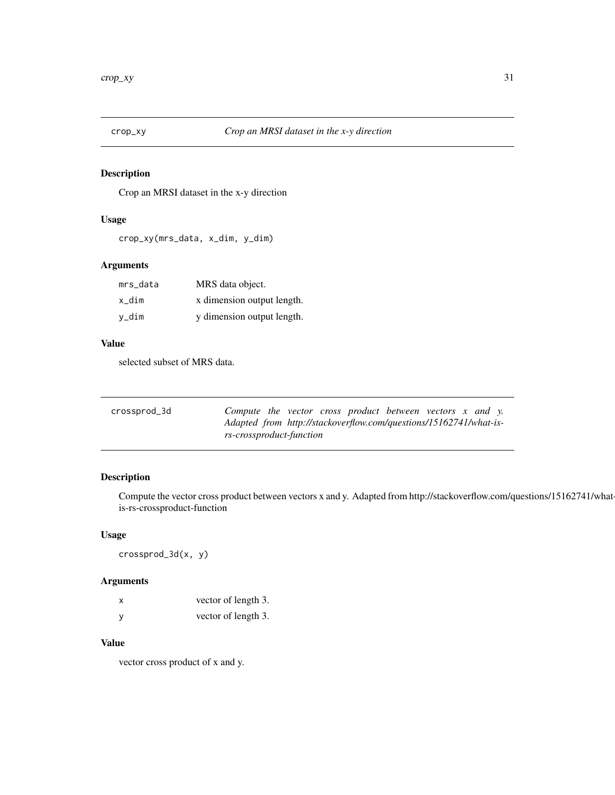<span id="page-30-0"></span>

Crop an MRSI dataset in the x-y direction

#### Usage

```
crop_xy(mrs_data, x_dim, y_dim)
```
# Arguments

| mrs_data | MRS data object.           |
|----------|----------------------------|
| x dim    | x dimension output length. |
| v_dim    | y dimension output length. |

# Value

selected subset of MRS data.

| crossprod_3d | Compute the vector cross product between vectors $x$ and $y$ .    |
|--------------|-------------------------------------------------------------------|
|              | Adapted from http://stackoverflow.com/questions/15162741/what-is- |
|              | rs-crossproduct-function                                          |

#### Description

Compute the vector cross product between vectors x and y. Adapted from http://stackoverflow.com/questions/15162741/whatis-rs-crossproduct-function

#### Usage

crossprod\_3d(x, y)

#### Arguments

| X | vector of length 3. |
|---|---------------------|
|   | vector of length 3. |

#### Value

vector cross product of x and y.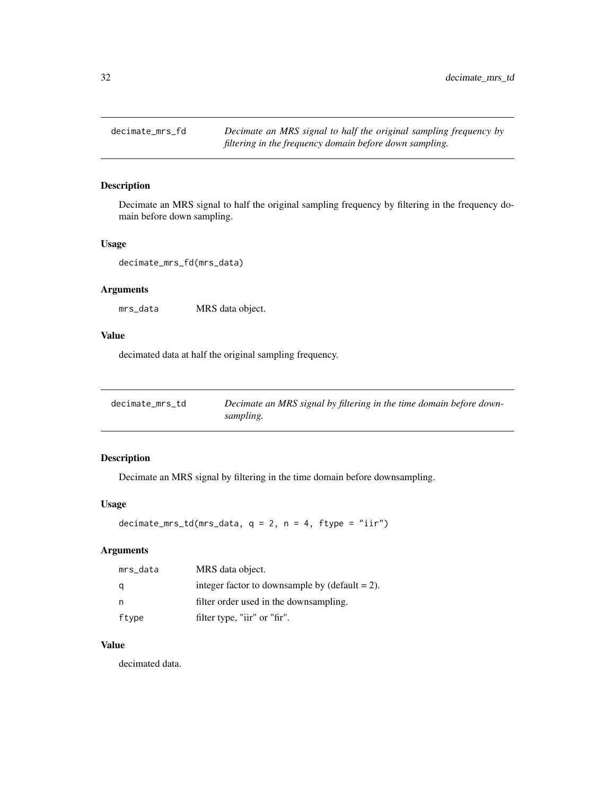<span id="page-31-0"></span>

Decimate an MRS signal to half the original sampling frequency by filtering in the frequency domain before down sampling.

#### Usage

decimate\_mrs\_fd(mrs\_data)

# Arguments

mrs\_data MRS data object.

#### Value

decimated data at half the original sampling frequency.

| decimate_mrs_td | Decimate an MRS signal by filtering in the time domain before down- |
|-----------------|---------------------------------------------------------------------|
|                 | sampling.                                                           |

#### Description

Decimate an MRS signal by filtering in the time domain before downsampling.

#### Usage

decimate\_mrs\_td(mrs\_data,  $q = 2$ ,  $n = 4$ , ftype = "iir")

# Arguments

| mrs_data | MRS data object.                                  |
|----------|---------------------------------------------------|
| q        | integer factor to downsample by $(detault = 2)$ . |
| n,       | filter order used in the downsampling.            |
| ftype    | filter type, "iir" or "fir".                      |

#### Value

decimated data.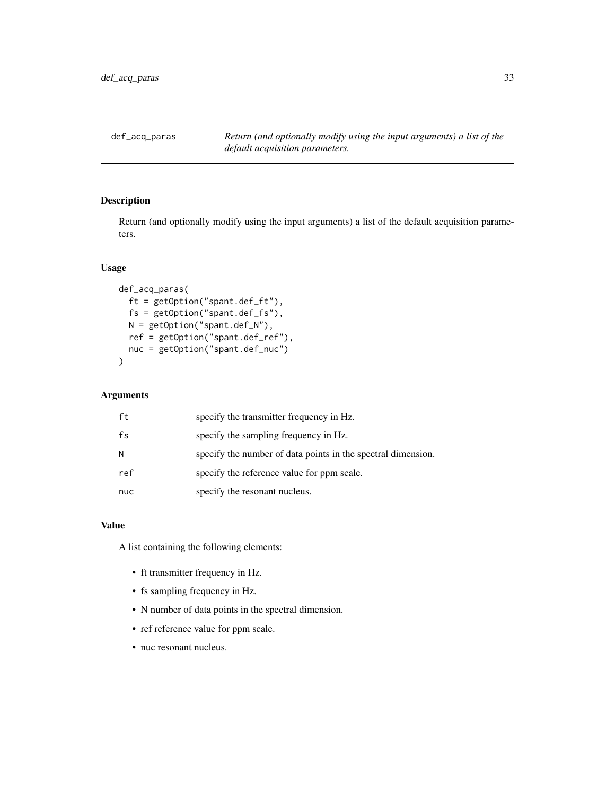<span id="page-32-0"></span>def\_acq\_paras *Return (and optionally modify using the input arguments) a list of the default acquisition parameters.*

# Description

Return (and optionally modify using the input arguments) a list of the default acquisition parameters.

#### Usage

```
def_acq_paras(
  ft = getOption("spant.def_ft"),
  fs = getOption("spant.def_fs"),
 N = getOption("spant.def_N"),
 ref = getOption("spant.def_ref"),
 nuc = getOption("spant.def_nuc")
\mathcal{E}
```
### Arguments

| ft  | specify the transmitter frequency in Hz.                     |
|-----|--------------------------------------------------------------|
| fs  | specify the sampling frequency in Hz.                        |
| N   | specify the number of data points in the spectral dimension. |
| ref | specify the reference value for ppm scale.                   |
| nuc | specify the resonant nucleus.                                |

#### Value

A list containing the following elements:

- ft transmitter frequency in Hz.
- fs sampling frequency in Hz.
- N number of data points in the spectral dimension.
- ref reference value for ppm scale.
- nuc resonant nucleus.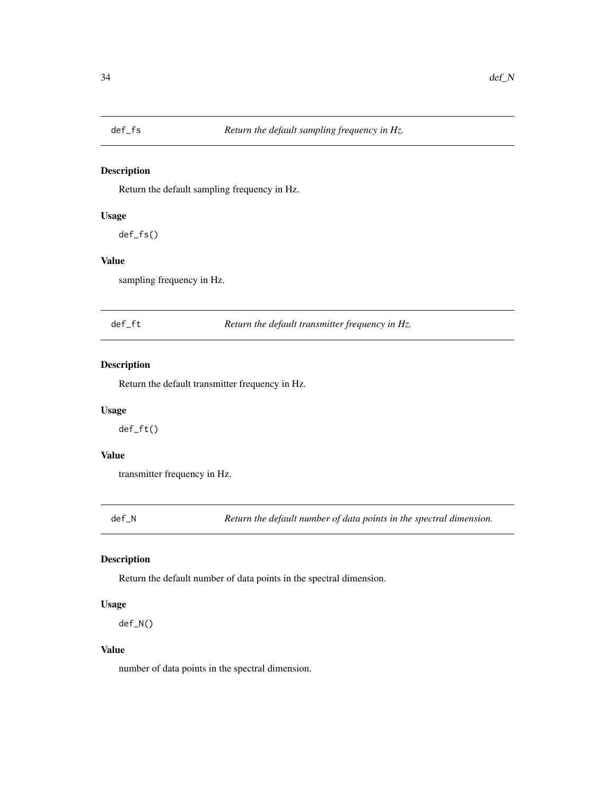<span id="page-33-0"></span>

Return the default sampling frequency in Hz.

#### Usage

def\_fs()

# Value

sampling frequency in Hz.

def\_ft *Return the default transmitter frequency in Hz.*

#### Description

Return the default transmitter frequency in Hz.

#### Usage

def\_ft()

# Value

transmitter frequency in Hz.

def\_N *Return the default number of data points in the spectral dimension.*

#### Description

Return the default number of data points in the spectral dimension.

#### Usage

def\_N()

#### Value

number of data points in the spectral dimension.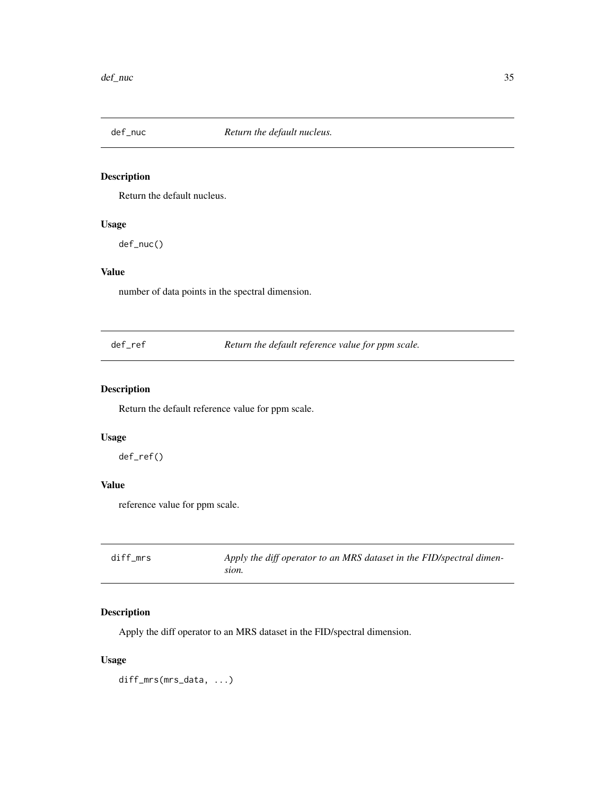<span id="page-34-0"></span>

Return the default nucleus.

#### Usage

def\_nuc()

# Value

number of data points in the spectral dimension.

def\_ref *Return the default reference value for ppm scale.*

#### Description

Return the default reference value for ppm scale.

#### Usage

def\_ref()

# Value

reference value for ppm scale.

| diff mrs | Apply the diff operator to an MRS dataset in the FID/spectral dimen- |
|----------|----------------------------------------------------------------------|
|          | sion.                                                                |

# Description

Apply the diff operator to an MRS dataset in the FID/spectral dimension.

#### Usage

diff\_mrs(mrs\_data, ...)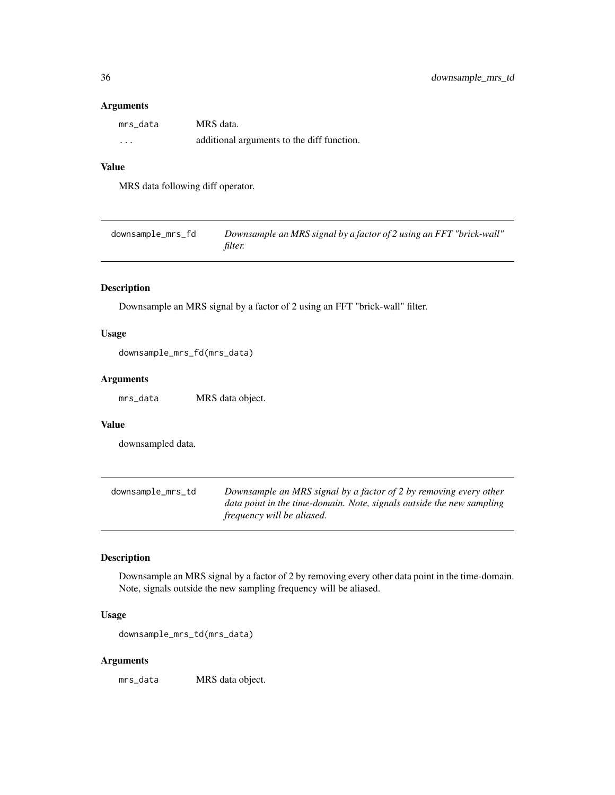#### <span id="page-35-0"></span>Arguments

| mrs data | MRS data.                                  |
|----------|--------------------------------------------|
| .        | additional arguments to the diff function. |

#### Value

MRS data following diff operator.

| downsample_mrs_fd | Downsample an MRS signal by a factor of 2 using an FFT "brick-wall" |
|-------------------|---------------------------------------------------------------------|
|                   | <i>filter.</i>                                                      |

#### Description

Downsample an MRS signal by a factor of 2 using an FFT "brick-wall" filter.

#### Usage

downsample\_mrs\_fd(mrs\_data)

#### Arguments

mrs\_data MRS data object.

# Value

downsampled data.

downsample\_mrs\_td *Downsample an MRS signal by a factor of 2 by removing every other data point in the time-domain. Note, signals outside the new sampling frequency will be aliased.*

# Description

Downsample an MRS signal by a factor of 2 by removing every other data point in the time-domain. Note, signals outside the new sampling frequency will be aliased.

#### Usage

downsample\_mrs\_td(mrs\_data)

#### Arguments

mrs\_data MRS data object.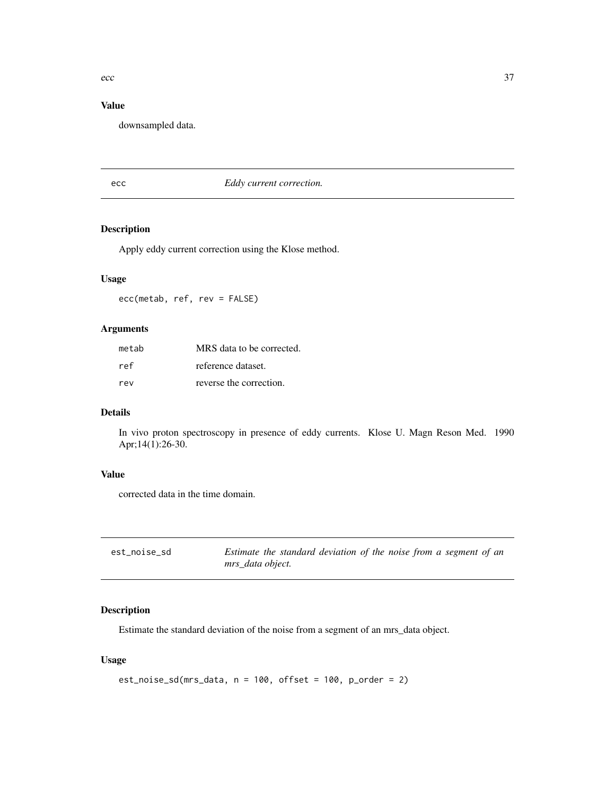# Value

downsampled data.

ecc *Eddy current correction.*

## Description

Apply eddy current correction using the Klose method.

## Usage

ecc(metab, ref, rev = FALSE)

## Arguments

| metab | MRS data to be corrected. |
|-------|---------------------------|
| ref   | reference dataset.        |
| rev   | reverse the correction.   |

## Details

In vivo proton spectroscopy in presence of eddy currents. Klose U. Magn Reson Med. 1990 Apr;14(1):26-30.

### Value

corrected data in the time domain.

| est noise sd | Estimate the standard deviation of the noise from a segment of an |
|--------------|-------------------------------------------------------------------|
|              | mrs data object.                                                  |

## Description

Estimate the standard deviation of the noise from a segment of an mrs\_data object.

## Usage

```
est_noise_sd(mrs_data, n = 100, offset = 100, p_order = 2)
```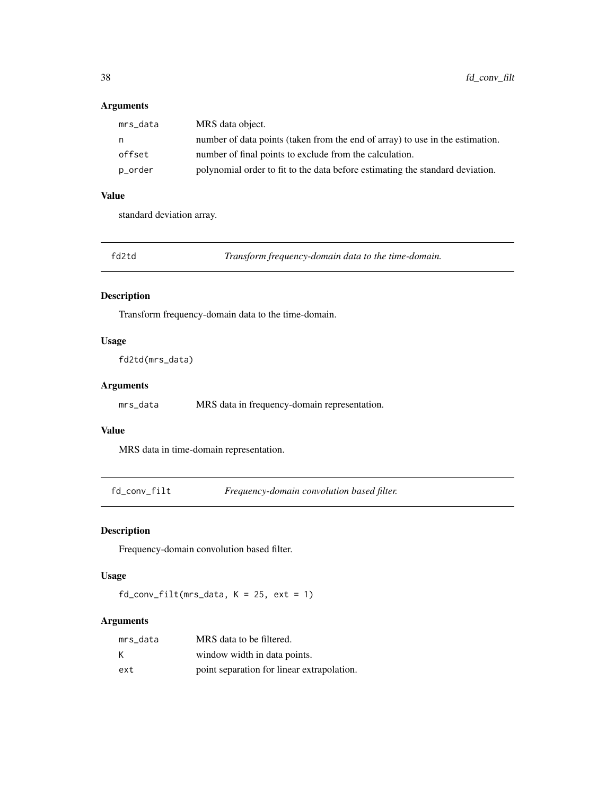## Arguments

| MRS data object.                                                              |
|-------------------------------------------------------------------------------|
| number of data points (taken from the end of array) to use in the estimation. |
| number of final points to exclude from the calculation.                       |
| polynomial order to fit to the data before estimating the standard deviation. |
|                                                                               |

## Value

standard deviation array.

Transform frequency-domain data to the time-domain.

## Description

Transform frequency-domain data to the time-domain.

#### Usage

fd2td(mrs\_data)

## Arguments

mrs\_data MRS data in frequency-domain representation.

## Value

MRS data in time-domain representation.

fd\_conv\_filt *Frequency-domain convolution based filter.*

# Description

Frequency-domain convolution based filter.

### Usage

 $fd_{conv_{filt(mrs_data, K = 25, ext = 1)}$ 

## Arguments

| mrs data | MRS data to be filtered.                   |
|----------|--------------------------------------------|
| K        | window width in data points.               |
| ext      | point separation for linear extrapolation. |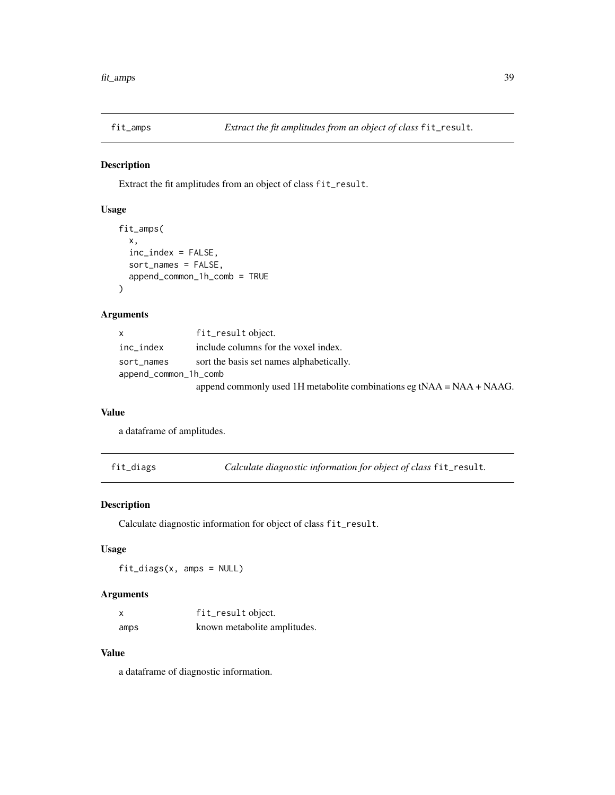Extract the fit amplitudes from an object of class fit\_result.

## Usage

```
fit_amps(
  x,
  inc_index = FALSE,
  sort_names = FALSE,
  append_common_1h_comb = TRUE
\lambda
```
## Arguments

| X                     | fit_result object.                                                       |
|-----------------------|--------------------------------------------------------------------------|
| inc_index             | include columns for the voxel index.                                     |
| sort_names            | sort the basis set names alphabetically.                                 |
| append_common_1h_comb |                                                                          |
|                       | append commonly used 1H metabolite combinations eg tNAA = $NAA + NAAG$ . |

#### Value

a dataframe of amplitudes.

fit\_diags *Calculate diagnostic information for object of class* fit\_result*.*

## Description

Calculate diagnostic information for object of class fit\_result.

### Usage

fit\_diags(x, amps = NULL)

## Arguments

| X    | fit_result object.           |
|------|------------------------------|
| amps | known metabolite amplitudes. |

### Value

a dataframe of diagnostic information.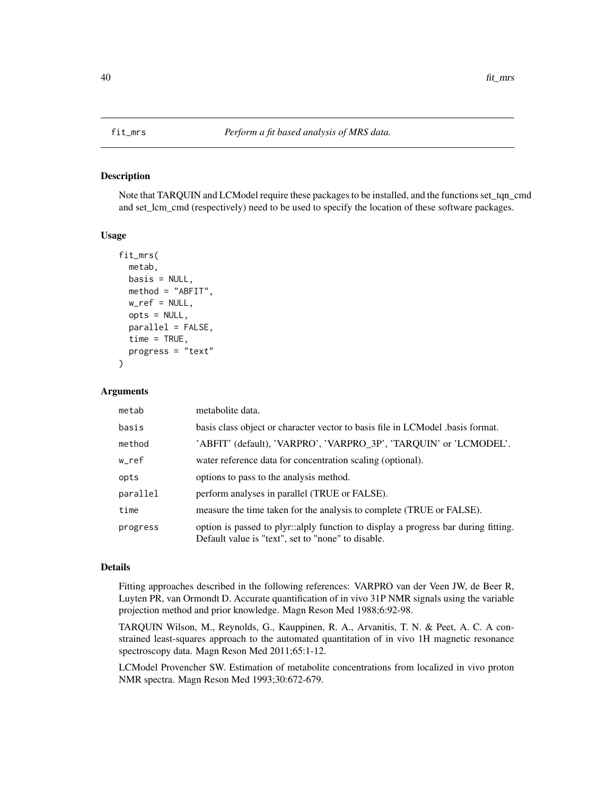Note that TARQUIN and LCModel require these packages to be installed, and the functions set\_tqn\_cmd and set\_lcm\_cmd (respectively) need to be used to specify the location of these software packages.

#### Usage

```
fit_mrs(
  metab,
 basis = NULL,method = "ABFIT",
  w_ref = NULL,
  opts = NULL,parallel = FALSE,
  time = TRUE,
  progress = "text"
)
```
### Arguments

| metab    | metabolite data.                                                                                                                         |
|----------|------------------------------------------------------------------------------------------------------------------------------------------|
| basis    | basis class object or character vector to basis file in LCM odel basis format.                                                           |
| method   | 'ABFIT' (default), 'VARPRO', 'VARPRO_3P', 'TARQUIN' or 'LCMODEL'.                                                                        |
| w_ref    | water reference data for concentration scaling (optional).                                                                               |
| opts     | options to pass to the analysis method.                                                                                                  |
| parallel | perform analyses in parallel (TRUE or FALSE).                                                                                            |
| time     | measure the time taken for the analysis to complete (TRUE or FALSE).                                                                     |
| progress | option is passed to plyr::alply function to display a progress bar during fitting.<br>Default value is "text", set to "none" to disable. |

#### Details

Fitting approaches described in the following references: VARPRO van der Veen JW, de Beer R, Luyten PR, van Ormondt D. Accurate quantification of in vivo 31P NMR signals using the variable projection method and prior knowledge. Magn Reson Med 1988;6:92-98.

TARQUIN Wilson, M., Reynolds, G., Kauppinen, R. A., Arvanitis, T. N. & Peet, A. C. A constrained least-squares approach to the automated quantitation of in vivo 1H magnetic resonance spectroscopy data. Magn Reson Med 2011;65:1-12.

LCModel Provencher SW. Estimation of metabolite concentrations from localized in vivo proton NMR spectra. Magn Reson Med 1993;30:672-679.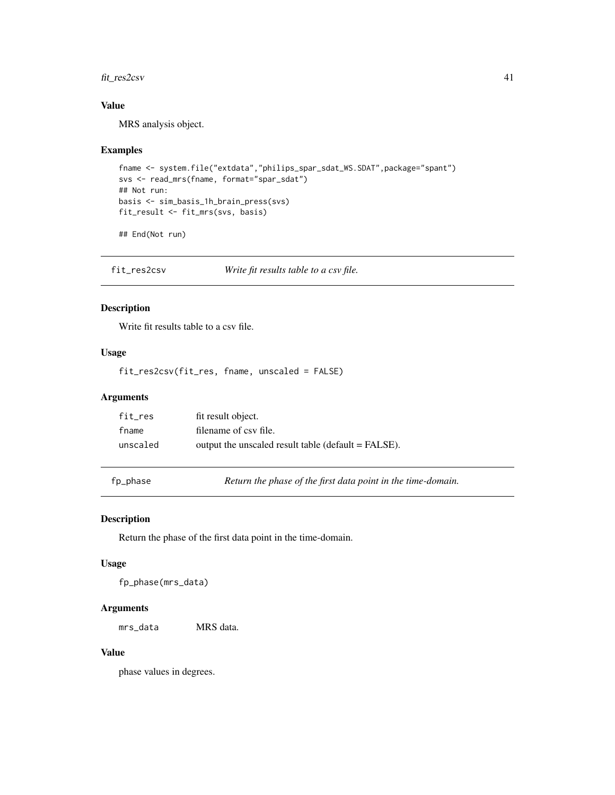## fit\_res2csv 41

## Value

MRS analysis object.

### Examples

```
fname <- system.file("extdata","philips_spar_sdat_WS.SDAT",package="spant")
svs <- read_mrs(fname, format="spar_sdat")
## Not run:
basis <- sim_basis_1h_brain_press(svs)
fit_result <- fit_mrs(svs, basis)
```
## End(Not run)

fit\_res2csv *Write fit results table to a csv file.*

## Description

Write fit results table to a csv file.

## Usage

fit\_res2csv(fit\_res, fname, unscaled = FALSE)

### Arguments

| fit res  | fit result object.                                  |
|----------|-----------------------------------------------------|
| fname    | filename of csy file.                               |
| unscaled | output the unscaled result table (default = FALSE). |

fp\_phase *Return the phase of the first data point in the time-domain.*

#### Description

Return the phase of the first data point in the time-domain.

### Usage

fp\_phase(mrs\_data)

#### Arguments

mrs\_data MRS data.

## Value

phase values in degrees.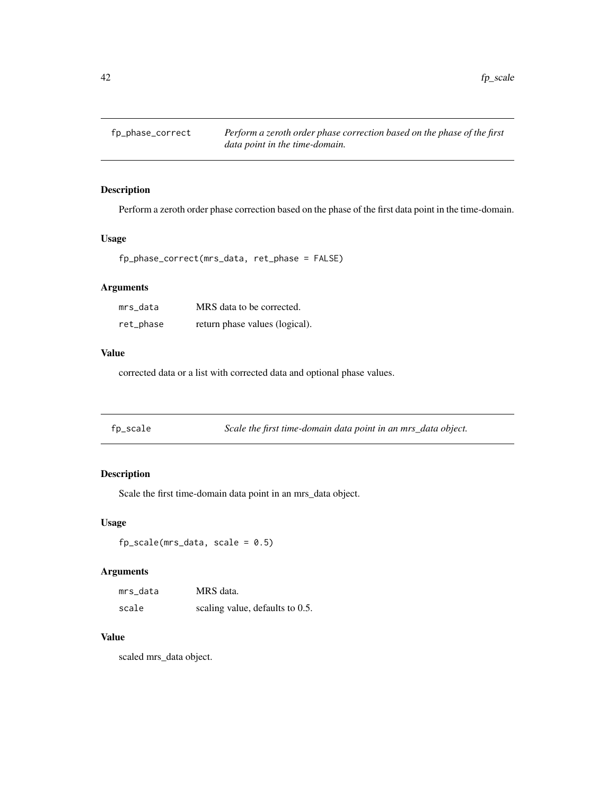fp\_phase\_correct *Perform a zeroth order phase correction based on the phase of the first data point in the time-domain.*

## Description

Perform a zeroth order phase correction based on the phase of the first data point in the time-domain.

### Usage

fp\_phase\_correct(mrs\_data, ret\_phase = FALSE)

## Arguments

| mrs data  | MRS data to be corrected.      |
|-----------|--------------------------------|
| ret_phase | return phase values (logical). |

## Value

corrected data or a list with corrected data and optional phase values.

| fp_scale | Scale the first time-domain data point in an mrs_data object. |  |
|----------|---------------------------------------------------------------|--|
|          |                                                               |  |

## Description

Scale the first time-domain data point in an mrs\_data object.

### Usage

 $fp\_scale(mrs\_data, scale = 0.5)$ 

### Arguments

| mrs data | MRS data.                       |
|----------|---------------------------------|
| scale    | scaling value, defaults to 0.5. |

# Value

scaled mrs\_data object.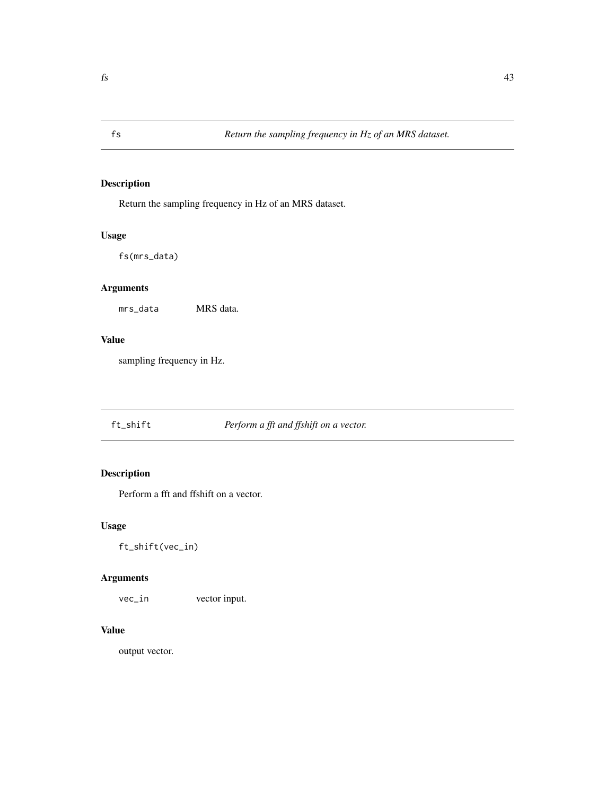Return the sampling frequency in Hz of an MRS dataset.

## Usage

fs(mrs\_data)

# Arguments

mrs\_data MRS data.

## Value

sampling frequency in Hz.

# ft\_shift *Perform a fft and ffshift on a vector.*

# Description

Perform a fft and ffshift on a vector.

## Usage

ft\_shift(vec\_in)

## Arguments

vec\_in vector input.

## Value

output vector.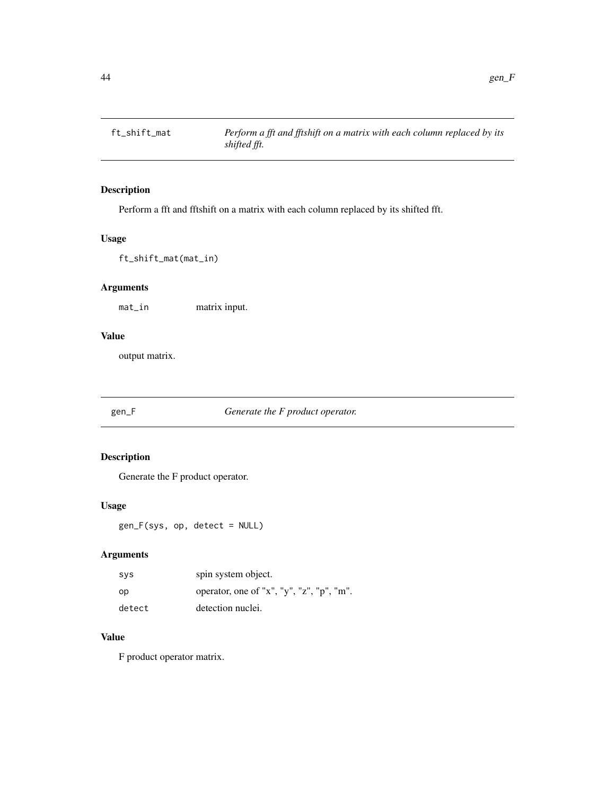Perform a fft and fftshift on a matrix with each column replaced by its shifted fft.

## Usage

ft\_shift\_mat(mat\_in)

## Arguments

mat\_in matrix input.

#### Value

output matrix.

## gen\_F *Generate the F product operator.*

## Description

Generate the F product operator.

#### Usage

gen\_F(sys, op, detect = NULL)

## Arguments

| <b>SVS</b> | spin system object.                       |
|------------|-------------------------------------------|
| op         | operator, one of "x", "y", "z", "p", "m". |
| detect     | detection nuclei.                         |

# Value

F product operator matrix.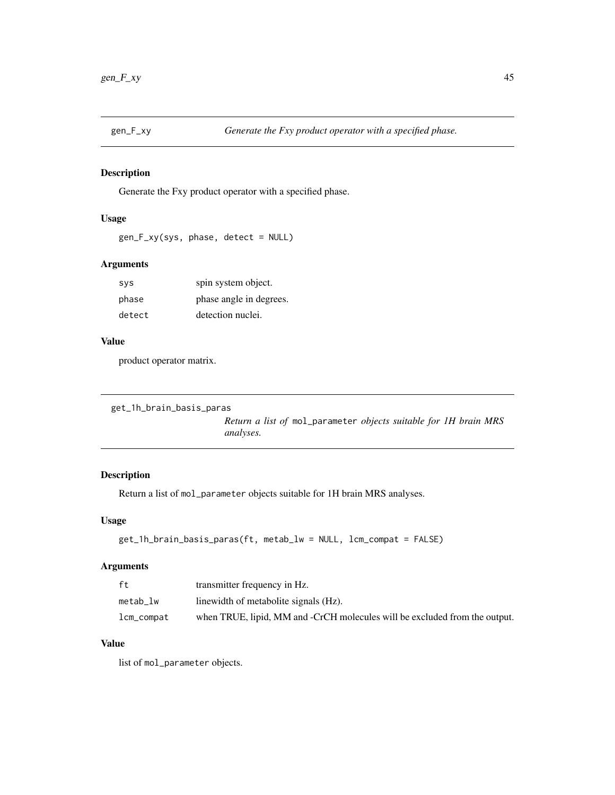Generate the Fxy product operator with a specified phase.

## Usage

```
gen_F_xy(sys, phase, detect = NULL)
```
## Arguments

| <b>SVS</b> | spin system object.     |
|------------|-------------------------|
| phase      | phase angle in degrees. |
| detect     | detection nuclei.       |

#### Value

product operator matrix.

```
get_1h_brain_basis_paras
```
*Return a list of* mol\_parameter *objects suitable for 1H brain MRS analyses.*

# Description

Return a list of mol\_parameter objects suitable for 1H brain MRS analyses.

### Usage

```
get_1h_brain_basis_paras(ft, metab_lw = NULL, lcm_compat = FALSE)
```
#### Arguments

| ft         | transmitter frequency in Hz.                                               |
|------------|----------------------------------------------------------------------------|
| metab lw   | linewidth of metabolite signals (Hz).                                      |
| lcm_compat | when TRUE, lipid, MM and -CrCH molecules will be excluded from the output. |

## Value

list of mol\_parameter objects.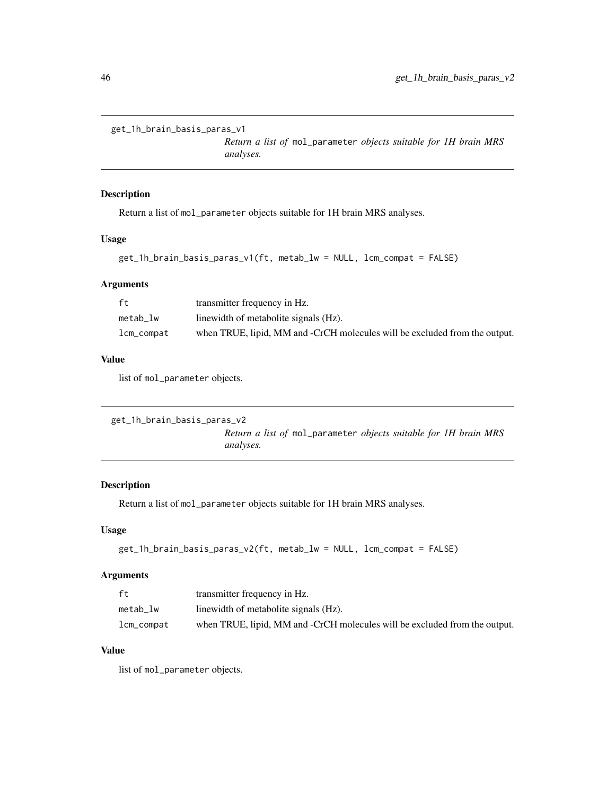```
get_1h_brain_basis_paras_v1
```
*Return a list of* mol\_parameter *objects suitable for 1H brain MRS analyses.*

#### Description

Return a list of mol\_parameter objects suitable for 1H brain MRS analyses.

### Usage

```
get_1h_brain_basis_paras_v1(ft, metab_lw = NULL, lcm_compat = FALSE)
```
### Arguments

| ft         | transmitter frequency in Hz.                                               |
|------------|----------------------------------------------------------------------------|
| metab lw   | linewidth of metabolite signals (Hz).                                      |
| lcm_compat | when TRUE, lipid, MM and -CrCH molecules will be excluded from the output. |

### Value

list of mol\_parameter objects.

```
get_1h_brain_basis_paras_v2
```
*Return a list of* mol\_parameter *objects suitable for 1H brain MRS analyses.*

## Description

Return a list of mol\_parameter objects suitable for 1H brain MRS analyses.

### Usage

```
get_1h_brain_basis_paras_v2(ft, metab_lw = NULL, lcm_compat = FALSE)
```
## Arguments

| ft.            | transmitter frequency in Hz.                                               |
|----------------|----------------------------------------------------------------------------|
| metab lw       | linewidth of metabolite signals (Hz).                                      |
| $lcm\_compact$ | when TRUE, lipid, MM and -CrCH molecules will be excluded from the output. |

## Value

list of mol\_parameter objects.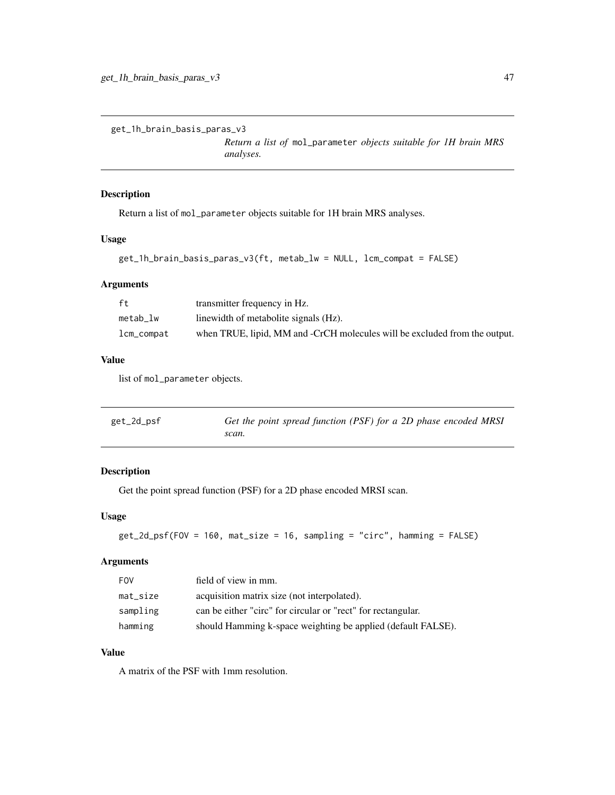get\_1h\_brain\_basis\_paras\_v3

*Return a list of* mol\_parameter *objects suitable for 1H brain MRS analyses.*

### Description

Return a list of mol\_parameter objects suitable for 1H brain MRS analyses.

### Usage

```
get_1h_brain_basis_paras_v3(ft, metab_lw = NULL, lcm_compat = FALSE)
```
## Arguments

| ft         | transmitter frequency in Hz.                                               |
|------------|----------------------------------------------------------------------------|
| metab lw   | linewidth of metabolite signals (Hz).                                      |
| lcm_compat | when TRUE, lipid, MM and -CrCH molecules will be excluded from the output. |

#### Value

list of mol\_parameter objects.

| get_2d_psf | Get the point spread function (PSF) for a 2D phase encoded MRSI |
|------------|-----------------------------------------------------------------|
|            | scan.                                                           |

### Description

Get the point spread function (PSF) for a 2D phase encoded MRSI scan.

### Usage

```
get_2d_psf(FOV = 160, mat_size = 16, sampling = "circ", hamming = FALSE)
```
#### Arguments

| <b>FOV</b>  | field of view in mm.                                         |
|-------------|--------------------------------------------------------------|
| $mat\_size$ | acquisition matrix size (not interpolated).                  |
| sampling    | can be either "circ" for circular or "rect" for rectangular. |
| hamming     | should Hamming k-space weighting be applied (default FALSE). |

## Value

A matrix of the PSF with 1mm resolution.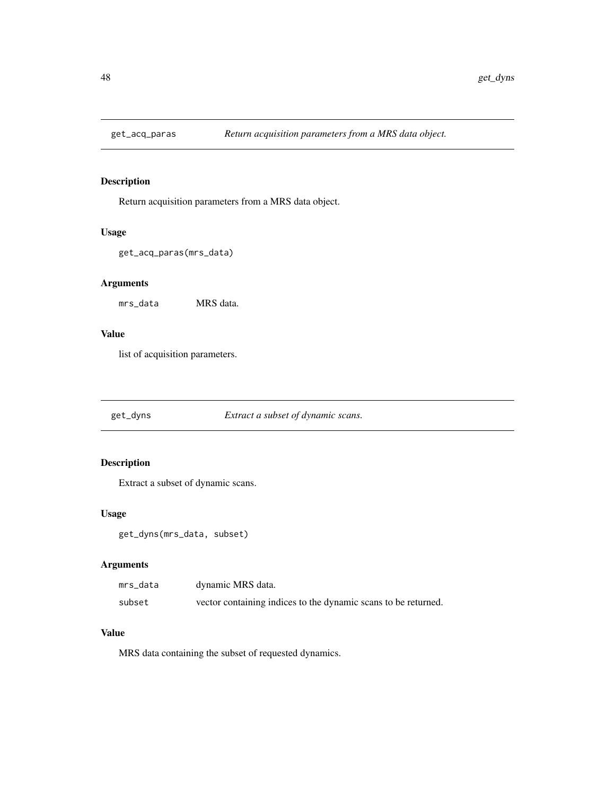Return acquisition parameters from a MRS data object.

#### Usage

```
get_acq_paras(mrs_data)
```
## Arguments

mrs\_data MRS data.

### Value

list of acquisition parameters.

get\_dyns *Extract a subset of dynamic scans.*

## Description

Extract a subset of dynamic scans.

### Usage

get\_dyns(mrs\_data, subset)

## Arguments

| mrs_data | dynamic MRS data.                                              |
|----------|----------------------------------------------------------------|
| subset   | vector containing indices to the dynamic scans to be returned. |

### Value

MRS data containing the subset of requested dynamics.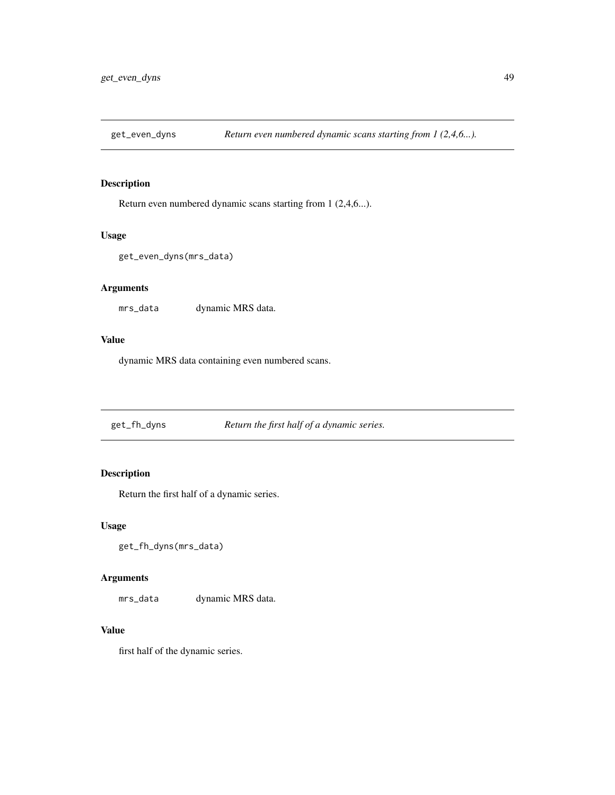Return even numbered dynamic scans starting from 1 (2,4,6...).

#### Usage

```
get_even_dyns(mrs_data)
```
## Arguments

mrs\_data dynamic MRS data.

### Value

dynamic MRS data containing even numbered scans.

get\_fh\_dyns *Return the first half of a dynamic series.*

## Description

Return the first half of a dynamic series.

### Usage

```
get_fh_dyns(mrs_data)
```
## Arguments

mrs\_data dynamic MRS data.

#### Value

first half of the dynamic series.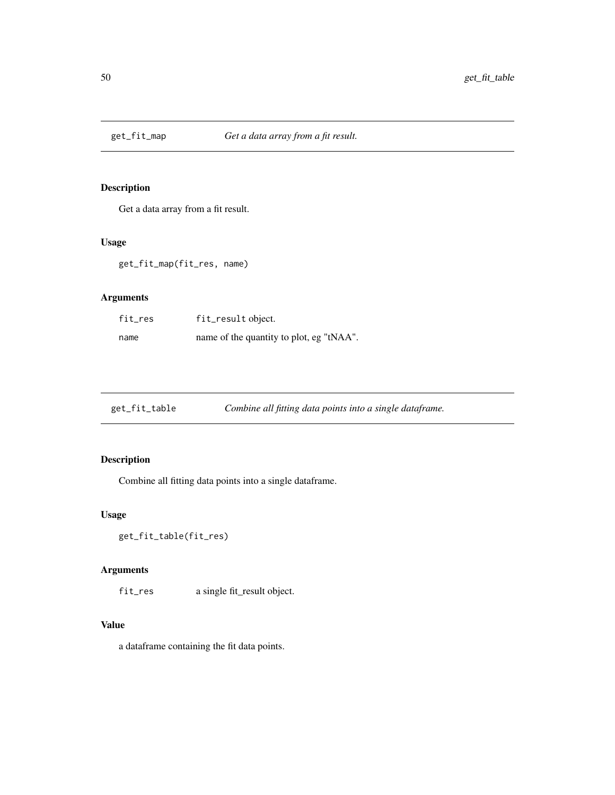Get a data array from a fit result.

# Usage

get\_fit\_map(fit\_res, name)

# Arguments

| fit_res | fit_result object.                       |
|---------|------------------------------------------|
| name    | name of the quantity to plot, eg "tNAA". |

| get_fit_table | Combine all fitting data points into a single dataframe. |
|---------------|----------------------------------------------------------|
|               |                                                          |

# Description

Combine all fitting data points into a single dataframe.

# Usage

```
get_fit_table(fit_res)
```
# Arguments

fit\_res a single fit\_result object.

# Value

a dataframe containing the fit data points.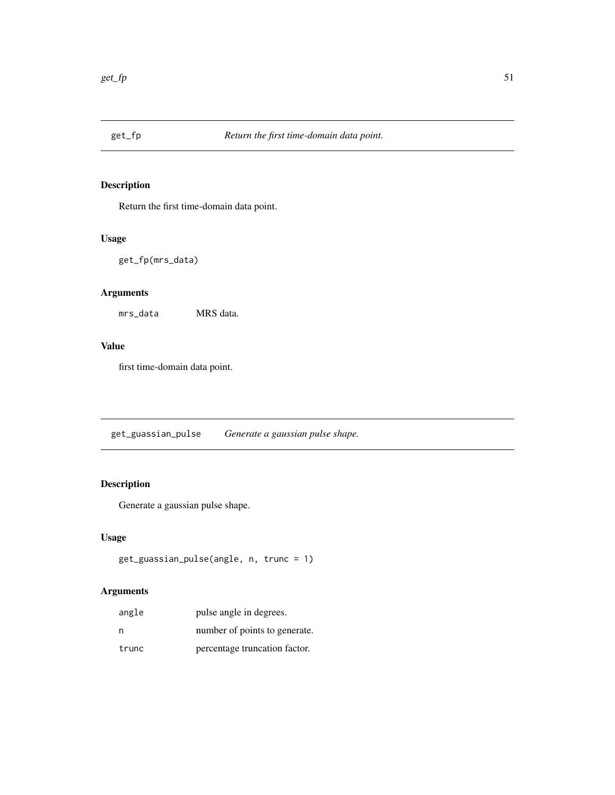Return the first time-domain data point.

## Usage

get\_fp(mrs\_data)

# Arguments

mrs\_data MRS data.

## Value

first time-domain data point.

get\_guassian\_pulse *Generate a gaussian pulse shape.*

## Description

Generate a gaussian pulse shape.

## Usage

```
get_guassian_pulse(angle, n, trunc = 1)
```
# Arguments

| angle | pulse angle in degrees.       |
|-------|-------------------------------|
| n     | number of points to generate. |
| trunc | percentage truncation factor. |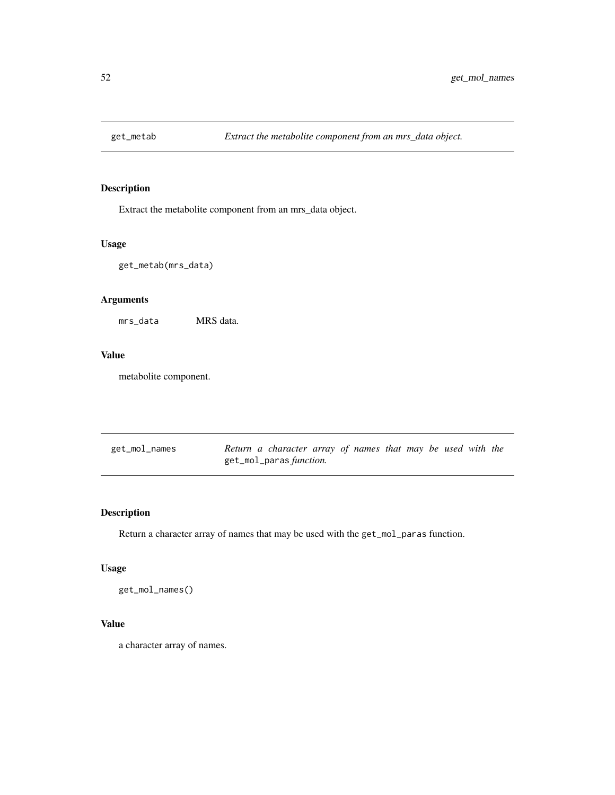Extract the metabolite component from an mrs\_data object.

## Usage

get\_metab(mrs\_data)

## Arguments

mrs\_data MRS data.

### Value

metabolite component.

| get_mol_names | Return a character array of names that may be used with the |  |  |  |  |
|---------------|-------------------------------------------------------------|--|--|--|--|
|               | get_mol_paras <i>function</i> .                             |  |  |  |  |

## Description

Return a character array of names that may be used with the get\_mol\_paras function.

## Usage

get\_mol\_names()

## Value

a character array of names.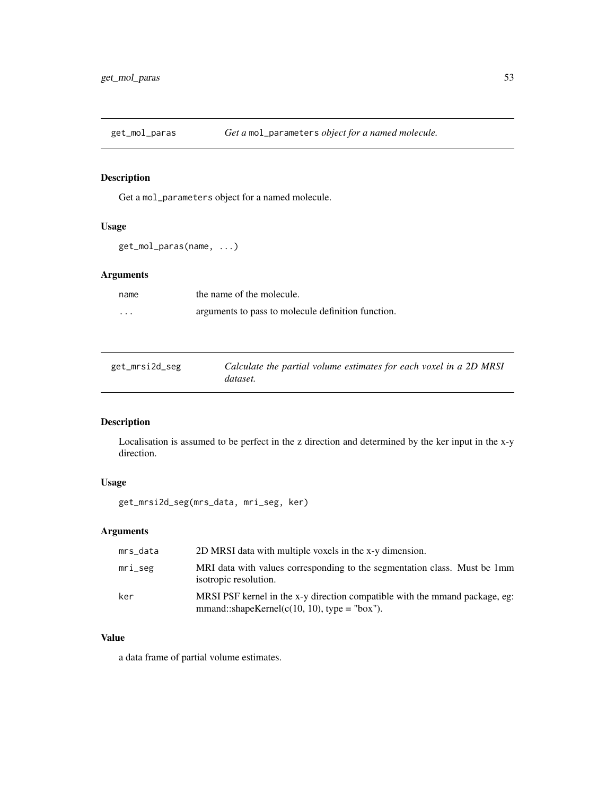Get a mol\_parameters object for a named molecule.

# Usage

```
get_mol_paras(name, ...)
```
## Arguments

| name     | the name of the molecule.                          |
|----------|----------------------------------------------------|
| $\cdots$ | arguments to pass to molecule definition function. |

| get_mrsi2d_seg | Calculate the partial volume estimates for each voxel in a 2D MRSI |
|----------------|--------------------------------------------------------------------|
|                | dataset.                                                           |

## Description

Localisation is assumed to be perfect in the z direction and determined by the ker input in the x-y direction.

## Usage

get\_mrsi2d\_seg(mrs\_data, mri\_seg, ker)

## Arguments

| mrs_data   | 2D MRSI data with multiple voxels in the x-y dimension.                                                                       |
|------------|-------------------------------------------------------------------------------------------------------------------------------|
| $mri\_seg$ | MRI data with values corresponding to the segmentation class. Must be 1mm<br>isotropic resolution.                            |
| ker        | MRSI PSF kernel in the x-y direction compatible with the mmand package, eg:<br>$mmand::shapeKernel(c(10, 10), type = "box").$ |

# Value

a data frame of partial volume estimates.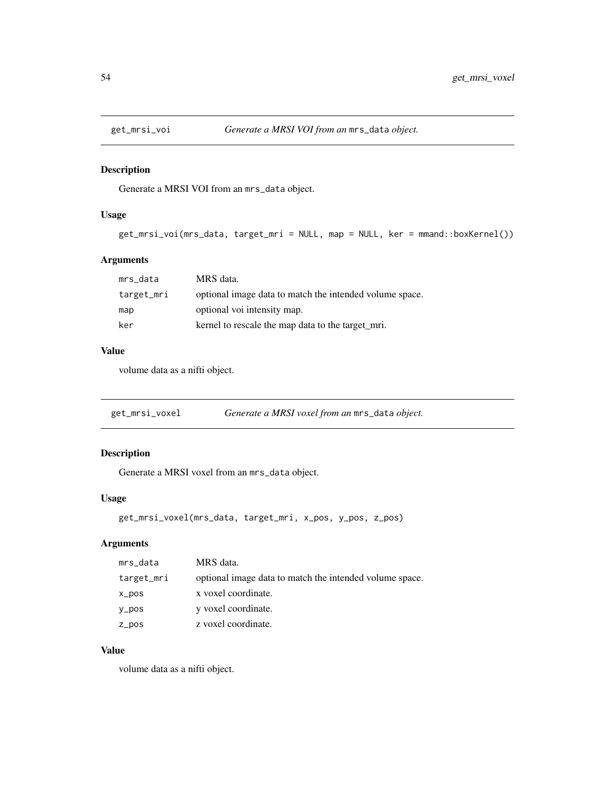Generate a MRSI VOI from an mrs\_data object.

## Usage

```
get_mrsi_voi(mrs_data, target_mri = NULL, map = NULL, ker = mmand::boxKernel())
```
## Arguments

| mrs_data   | MRS data.                                               |
|------------|---------------------------------------------------------|
| target_mri | optional image data to match the intended volume space. |
| map        | optional voi intensity map.                             |
| ker        | kernel to rescale the map data to the target mri.       |

### Value

volume data as a nifti object.

| get_mrsi_voxel | Generate a MRSI voxel from an mrs_data object. |  |
|----------------|------------------------------------------------|--|
|                |                                                |  |

## Description

Generate a MRSI voxel from an mrs\_data object.

### Usage

get\_mrsi\_voxel(mrs\_data, target\_mri, x\_pos, y\_pos, z\_pos)

### Arguments

| mrs_data   | MRS data.                                               |
|------------|---------------------------------------------------------|
| target_mri | optional image data to match the intended volume space. |
| x_pos      | x voxel coordinate.                                     |
| y_pos      | y voxel coordinate.                                     |
| z_pos      | z voxel coordinate.                                     |

## Value

volume data as a nifti object.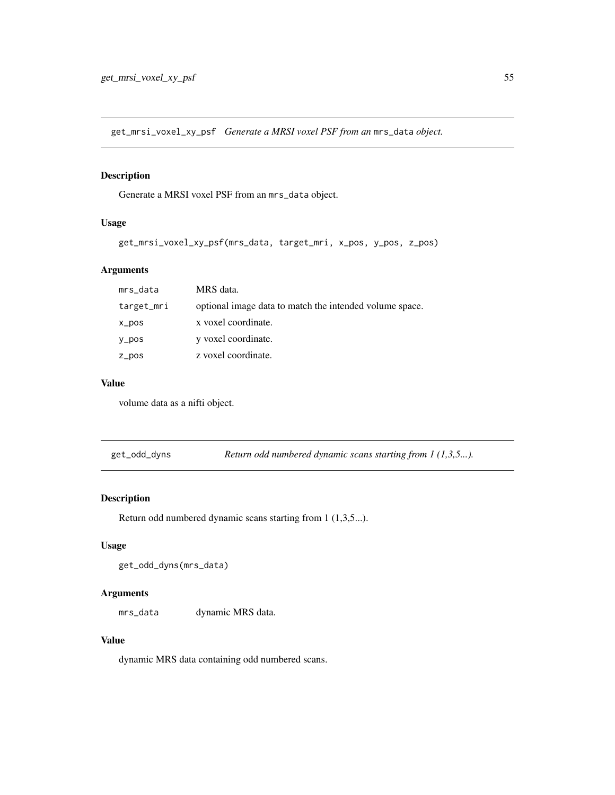get\_mrsi\_voxel\_xy\_psf *Generate a MRSI voxel PSF from an* mrs\_data *object.*

## Description

Generate a MRSI voxel PSF from an mrs\_data object.

### Usage

```
get_mrsi_voxel_xy_psf(mrs_data, target_mri, x_pos, y_pos, z_pos)
```
### Arguments

| mrs_data   | MRS data.                                               |
|------------|---------------------------------------------------------|
| target_mri | optional image data to match the intended volume space. |
| x_pos      | x voxel coordinate.                                     |
| $y_p$ os   | y voxel coordinate.                                     |
| z_pos      | z voxel coordinate.                                     |

#### Value

volume data as a nifti object.

get\_odd\_dyns *Return odd numbered dynamic scans starting from 1 (1,3,5...).*

#### Description

Return odd numbered dynamic scans starting from 1 (1,3,5...).

## Usage

```
get_odd_dyns(mrs_data)
```
#### Arguments

mrs\_data dynamic MRS data.

## Value

dynamic MRS data containing odd numbered scans.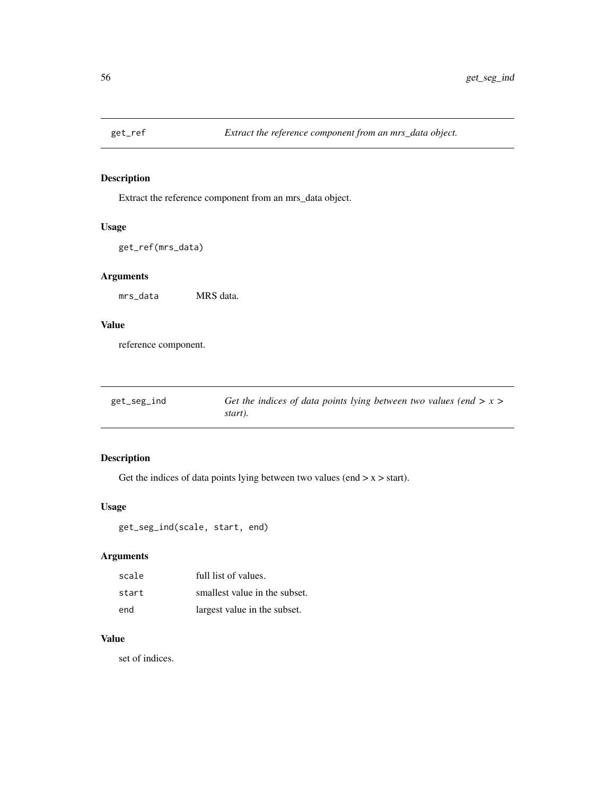Extract the reference component from an mrs\_data object.

## Usage

get\_ref(mrs\_data)

# Arguments

mrs\_data MRS data.

# Value

reference component.

| get_seg_ind | Get the indices of data points lying between two values (end $> x > 0$ |
|-------------|------------------------------------------------------------------------|
|             | start).                                                                |

# Description

Get the indices of data points lying between two values (end  $> x > start$ ).

## Usage

```
get_seg_ind(scale, start, end)
```
## Arguments

| scale | full list of values.          |
|-------|-------------------------------|
| start | smallest value in the subset. |
| end   | largest value in the subset.  |

### Value

set of indices.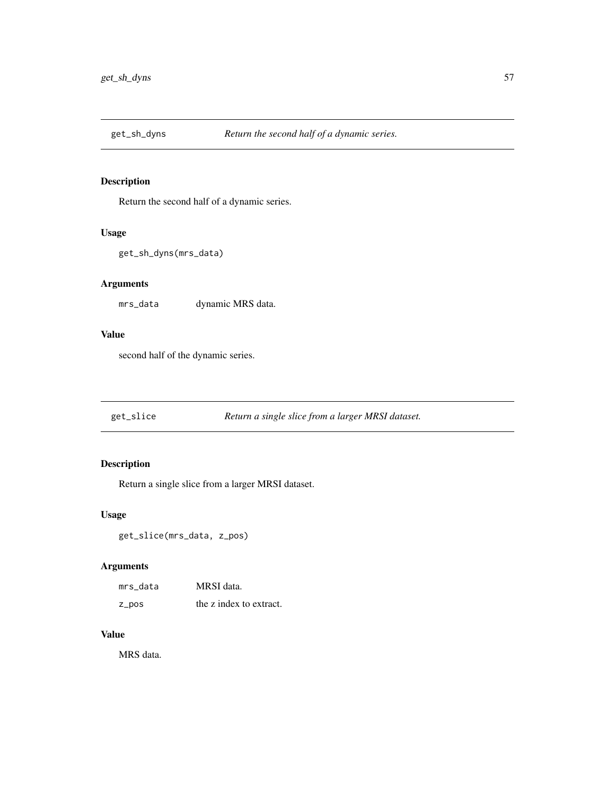Return the second half of a dynamic series.

## Usage

```
get_sh_dyns(mrs_data)
```
## Arguments

mrs\_data dynamic MRS data.

### Value

second half of the dynamic series.

|  | get_slice | Return a single slice from a larger MRSI dataset. |
|--|-----------|---------------------------------------------------|
|--|-----------|---------------------------------------------------|

# Description

Return a single slice from a larger MRSI dataset.

### Usage

get\_slice(mrs\_data, z\_pos)

# Arguments

| mrs data | MRSI data.              |
|----------|-------------------------|
| z_pos    | the z index to extract. |

#### Value

MRS data.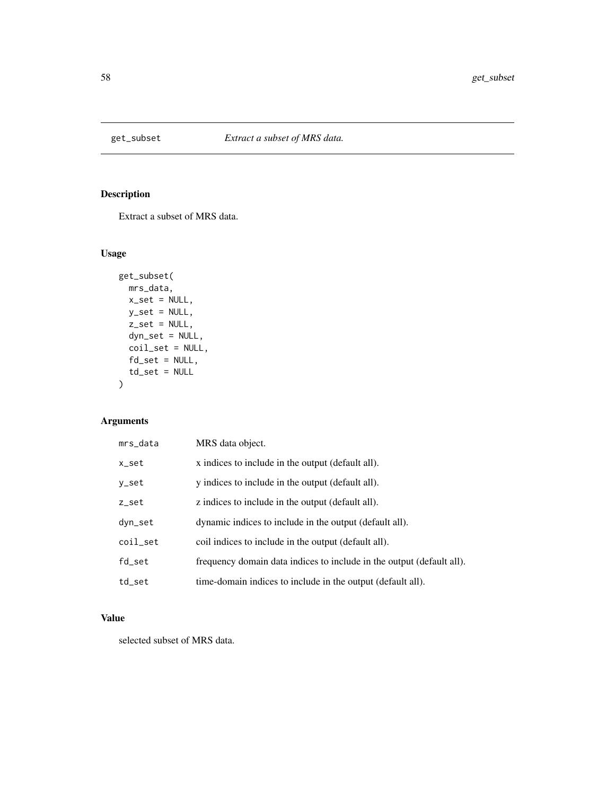Extract a subset of MRS data.

# Usage

```
get_subset(
 mrs_data,
 x_set = NULL,
 y_set = NULL,
 z_set = NULL,
 dyn_set = NULL,
 coil_set = NULL,
 fd_set = NULL,td\_set = NULL)
```
# Arguments

| mrs_data | MRS data object.                                                      |
|----------|-----------------------------------------------------------------------|
| x_set    | x indices to include in the output (default all).                     |
| y_set    | y indices to include in the output (default all).                     |
| z_set    | z indices to include in the output (default all).                     |
| dyn_set  | dynamic indices to include in the output (default all).               |
| coil_set | coil indices to include in the output (default all).                  |
| fd_set   | frequency domain data indices to include in the output (default all). |
| td_set   | time-domain indices to include in the output (default all).           |

# Value

selected subset of MRS data.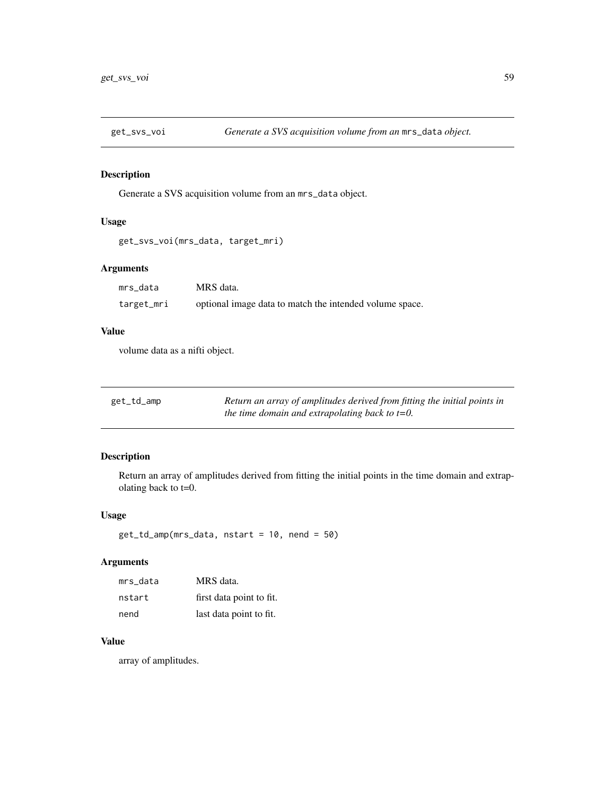Generate a SVS acquisition volume from an mrs\_data object.

# Usage

```
get_svs_voi(mrs_data, target_mri)
```
## Arguments

| mrs data   | MRS data.                                               |
|------------|---------------------------------------------------------|
| target_mri | optional image data to match the intended volume space. |

### Value

volume data as a nifti object.

| get_td_amp | Return an array of amplitudes derived from fitting the initial points in |
|------------|--------------------------------------------------------------------------|
|            | the time domain and extrapolating back to $t=0$ .                        |

## Description

Return an array of amplitudes derived from fitting the initial points in the time domain and extrapolating back to t=0.

## Usage

get\_td\_amp(mrs\_data, nstart = 10, nend = 50)

## Arguments

| mrs data | MRS data.                |
|----------|--------------------------|
| nstart   | first data point to fit. |
| nend     | last data point to fit.  |

## Value

array of amplitudes.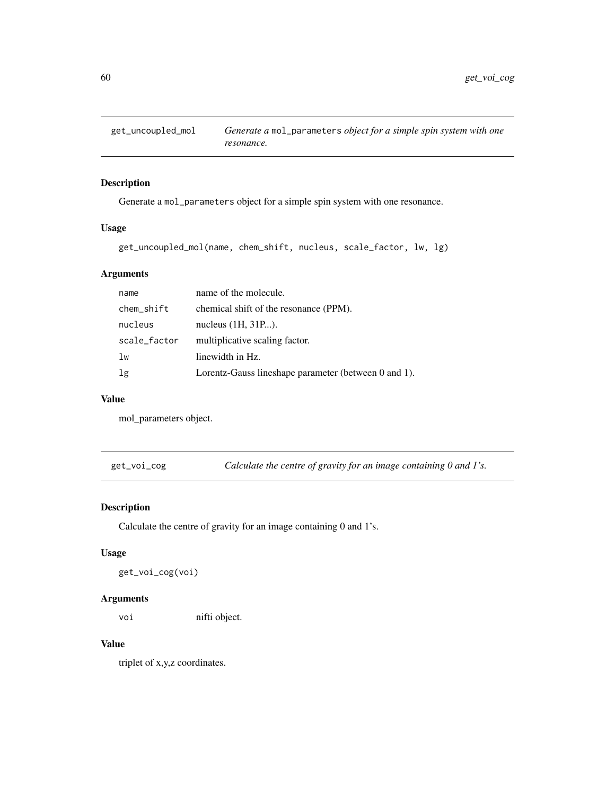Generate a mol\_parameters object for a simple spin system with one resonance.

## Usage

get\_uncoupled\_mol(name, chem\_shift, nucleus, scale\_factor, lw, lg)

## Arguments

| name         | name of the molecule.                                |
|--------------|------------------------------------------------------|
| chem_shift   | chemical shift of the resonance (PPM).               |
| nucleus      | nucleus $(1H, 31P).$                                 |
| scale_factor | multiplicative scaling factor.                       |
| lw           | linewidth in Hz.                                     |
| 1g           | Lorentz-Gauss lineshape parameter (between 0 and 1). |

#### Value

mol\_parameters object.

get\_voi\_cog *Calculate the centre of gravity for an image containing 0 and 1's.*

# Description

Calculate the centre of gravity for an image containing 0 and 1's.

## Usage

get\_voi\_cog(voi)

### Arguments

voi nifti object.

### Value

triplet of x,y,z coordinates.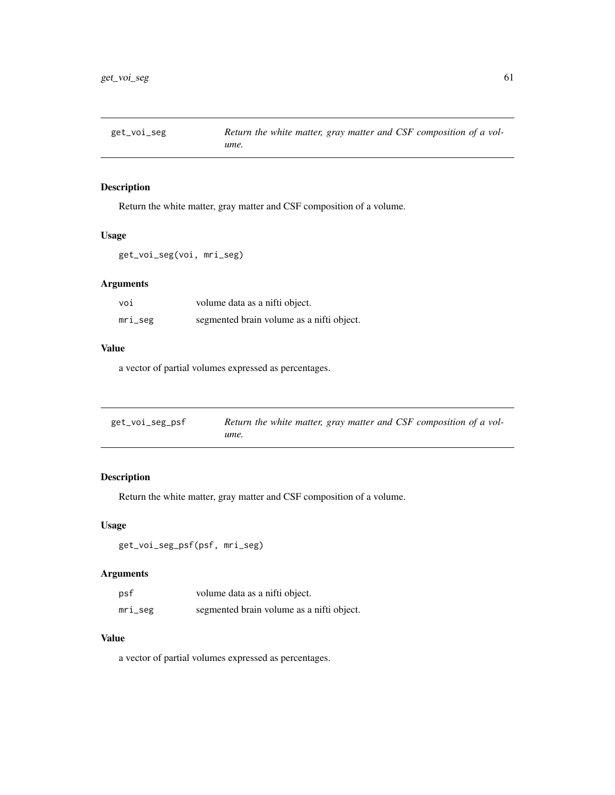Return the white matter, gray matter and CSF composition of a volume.

#### Usage

```
get_voi_seg(voi, mri_seg)
```
## Arguments

| voi     | volume data as a nifti object.            |
|---------|-------------------------------------------|
| mri_seg | segmented brain volume as a nifti object. |

## Value

a vector of partial volumes expressed as percentages.

| get_voi_seg_psf | Return the white matter, gray matter and CSF composition of a vol- |
|-----------------|--------------------------------------------------------------------|
|                 | ume.                                                               |

## Description

Return the white matter, gray matter and CSF composition of a volume.

### Usage

```
get_voi_seg_psf(psf, mri_seg)
```
## Arguments

| psf     | volume data as a nifti object.            |
|---------|-------------------------------------------|
| mri_seg | segmented brain volume as a nifti object. |

### Value

a vector of partial volumes expressed as percentages.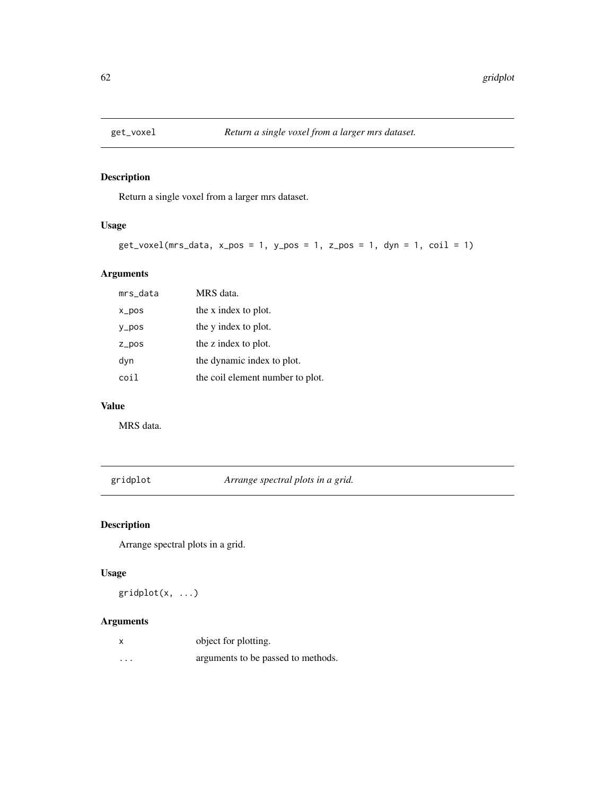Return a single voxel from a larger mrs dataset.

## Usage

```
get_vocal(mrs_data, x_pos = 1, y_pos = 1, z_pos = 1, dyn = 1, coil = 1)
```
## Arguments

| mrs_data | MRS data.                        |
|----------|----------------------------------|
| x_pos    | the x index to plot.             |
| y_pos    | the y index to plot.             |
| $Z_ppos$ | the z index to plot.             |
| dyn      | the dynamic index to plot.       |
| coi l    | the coil element number to plot. |

#### Value

MRS data.

gridplot *Arrange spectral plots in a grid.*

# Description

Arrange spectral plots in a grid.

## Usage

gridplot(x, ...)

# Arguments

|                   | object for plotting.               |
|-------------------|------------------------------------|
| $\cdot\cdot\cdot$ | arguments to be passed to methods. |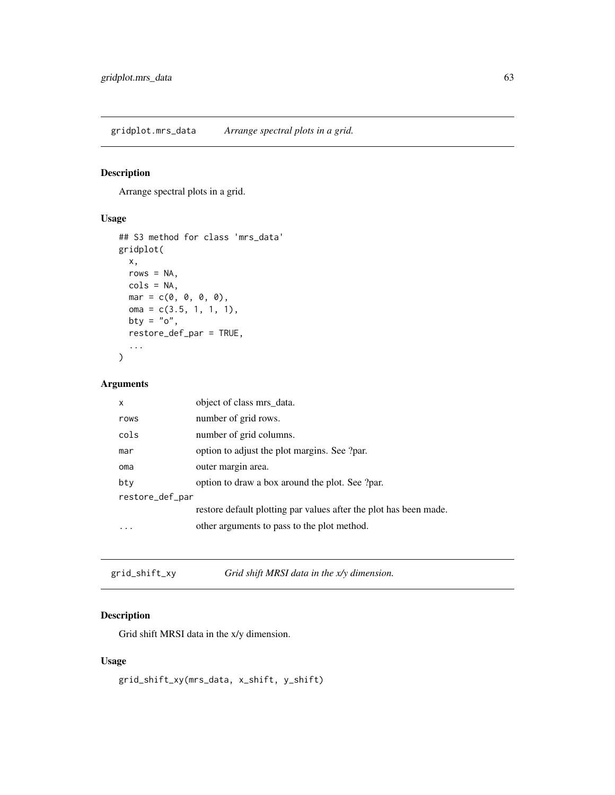gridplot.mrs\_data *Arrange spectral plots in a grid.*

## Description

Arrange spectral plots in a grid.

## Usage

```
## S3 method for class 'mrs_data'
gridplot(
 x,
 rows = NA,
 cols = NA,
 mar = c(0, 0, 0, 0),
 oma = c(3.5, 1, 1, 1),
 bty = "o",restore_def_par = TRUE,
  ...
)
```
#### Arguments

| x               | object of class mrs data.                                         |
|-----------------|-------------------------------------------------------------------|
| rows            | number of grid rows.                                              |
| cols            | number of grid columns.                                           |
| mar             | option to adjust the plot margins. See ?par.                      |
| oma             | outer margin area.                                                |
| bty             | option to draw a box around the plot. See ?par.                   |
| restore_def_par |                                                                   |
|                 | restore default plotting par values after the plot has been made. |
|                 | other arguments to pass to the plot method.                       |
|                 |                                                                   |

grid\_shift\_xy *Grid shift MRSI data in the x/y dimension.*

## Description

Grid shift MRSI data in the x/y dimension.

## Usage

grid\_shift\_xy(mrs\_data, x\_shift, y\_shift)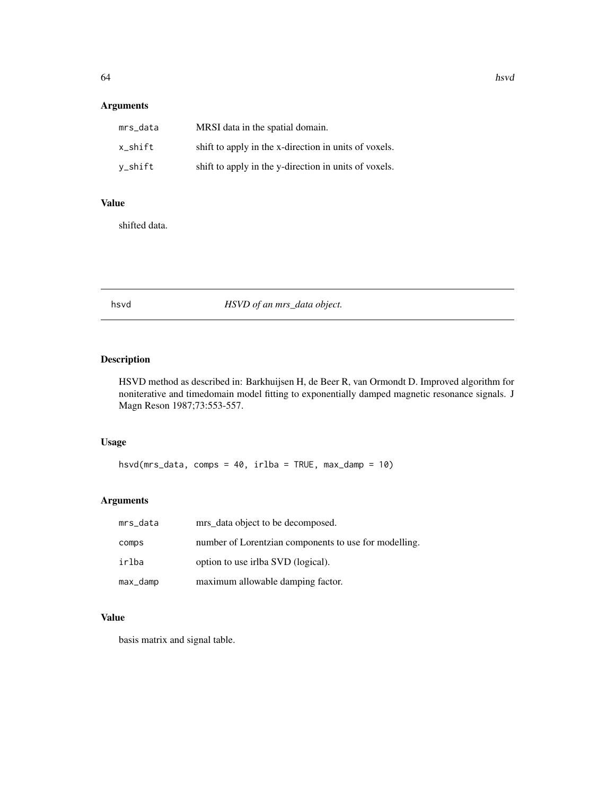## Arguments

| mrs_data | MRSI data in the spatial domain.                      |
|----------|-------------------------------------------------------|
| x shift  | shift to apply in the x-direction in units of voxels. |
| v_shift  | shift to apply in the y-direction in units of voxels. |

## Value

shifted data.

## hsvd *HSVD of an mrs\_data object.*

# Description

HSVD method as described in: Barkhuijsen H, de Beer R, van Ormondt D. Improved algorithm for noniterative and timedomain model fitting to exponentially damped magnetic resonance signals. J Magn Reson 1987;73:553-557.

## Usage

hsvd(mrs\_data, comps = 40, irlba = TRUE, max\_damp = 10)

## Arguments

| mrs_data | mrs data object to be decomposed.                     |
|----------|-------------------------------------------------------|
| comps    | number of Lorentzian components to use for modelling. |
| irlba    | option to use irlba SVD (logical).                    |
| max_damp | maximum allowable damping factor.                     |

## Value

basis matrix and signal table.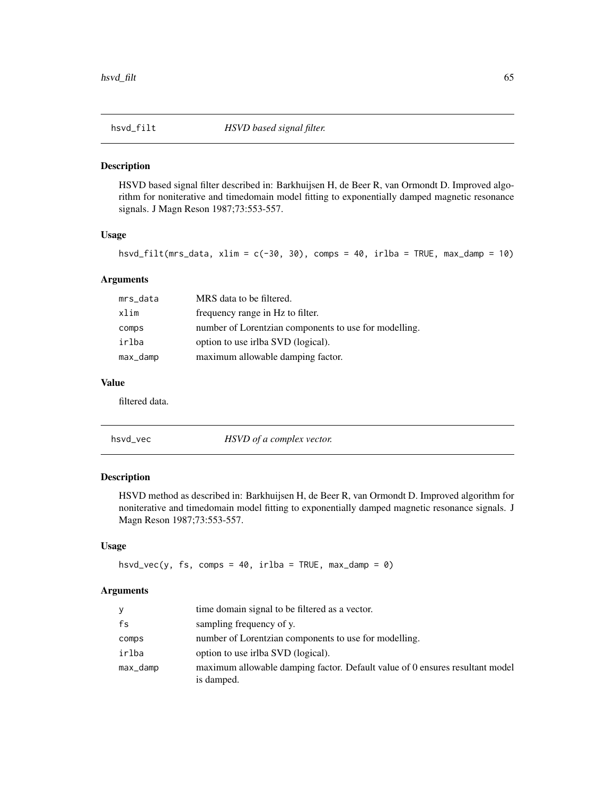HSVD based signal filter described in: Barkhuijsen H, de Beer R, van Ormondt D. Improved algorithm for noniterative and timedomain model fitting to exponentially damped magnetic resonance signals. J Magn Reson 1987;73:553-557.

#### Usage

hsvd\_filt(mrs\_data, xlim = c(-30, 30), comps = 40, irlba = TRUE, max\_damp = 10)

#### Arguments

| mrs_data | MRS data to be filtered.                              |
|----------|-------------------------------------------------------|
| xlim     | frequency range in Hz to filter.                      |
| comps    | number of Lorentzian components to use for modelling. |
| irlba    | option to use irlba SVD (logical).                    |
| max_damp | maximum allowable damping factor.                     |

### Value

filtered data.

| hsvd_vec | HSVD of a complex vector. |  |
|----------|---------------------------|--|
|          |                           |  |

## Description

HSVD method as described in: Barkhuijsen H, de Beer R, van Ormondt D. Improved algorithm for noniterative and timedomain model fitting to exponentially damped magnetic resonance signals. J Magn Reson 1987;73:553-557.

## Usage

```
hsvd_vec(y, fs, comps = 40, irlba = TRUE, max_damp = 0)
```
## Arguments

| y        | time domain signal to be filtered as a vector.                                             |
|----------|--------------------------------------------------------------------------------------------|
| fs       | sampling frequency of y.                                                                   |
| comps    | number of Lorentzian components to use for modelling.                                      |
| irlba    | option to use irlba SVD (logical).                                                         |
| max_damp | maximum allowable damping factor. Default value of 0 ensures resultant model<br>is damped. |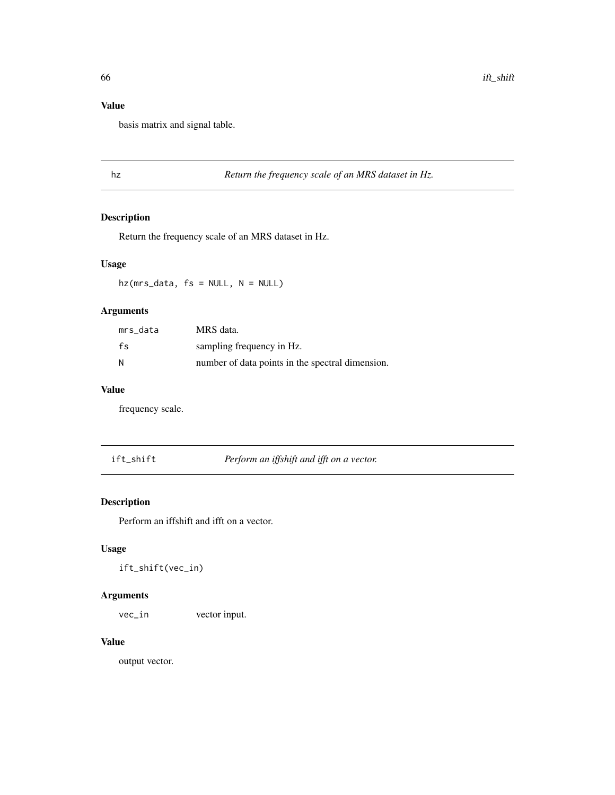## Value

basis matrix and signal table.

## hz *Return the frequency scale of an MRS dataset in Hz.*

## Description

Return the frequency scale of an MRS dataset in Hz.

## Usage

hz(mrs\_data, fs = NULL, N = NULL)

## Arguments

| mrs data | MRS data.                                        |
|----------|--------------------------------------------------|
| $f_S$    | sampling frequency in Hz.                        |
| N        | number of data points in the spectral dimension. |

### Value

frequency scale.

ift\_shift *Perform an iffshift and ifft on a vector.*

## Description

Perform an iffshift and ifft on a vector.

## Usage

ift\_shift(vec\_in)

## Arguments

vec\_in vector input.

## Value

output vector.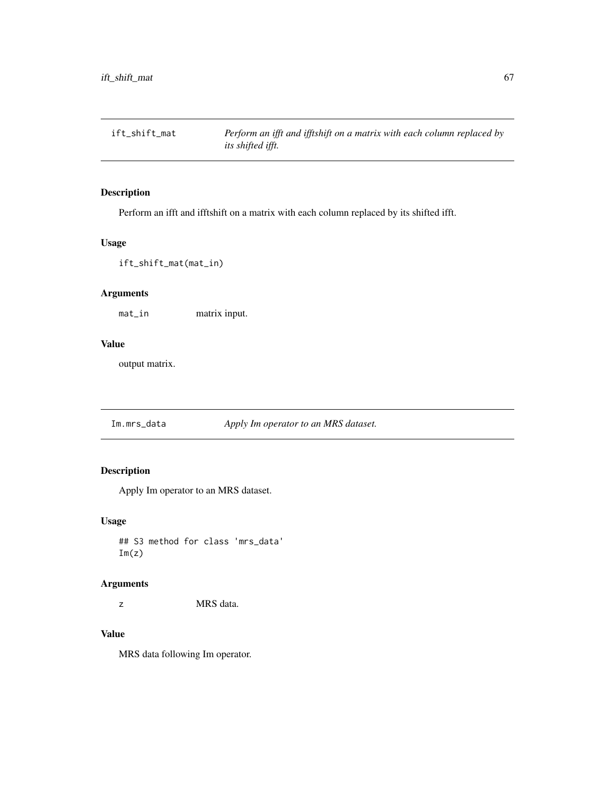ift\_shift\_mat *Perform an ifft and ifftshift on a matrix with each column replaced by its shifted ifft.*

## Description

Perform an ifft and ifftshift on a matrix with each column replaced by its shifted ifft.

# Usage

ift\_shift\_mat(mat\_in)

### Arguments

mat\_in matrix input.

## Value

output matrix.

Im.mrs\_data *Apply Im operator to an MRS dataset.*

# Description

Apply Im operator to an MRS dataset.

#### Usage

## S3 method for class 'mrs\_data'  $Im(z)$ 

#### Arguments

z MRS data.

### Value

MRS data following Im operator.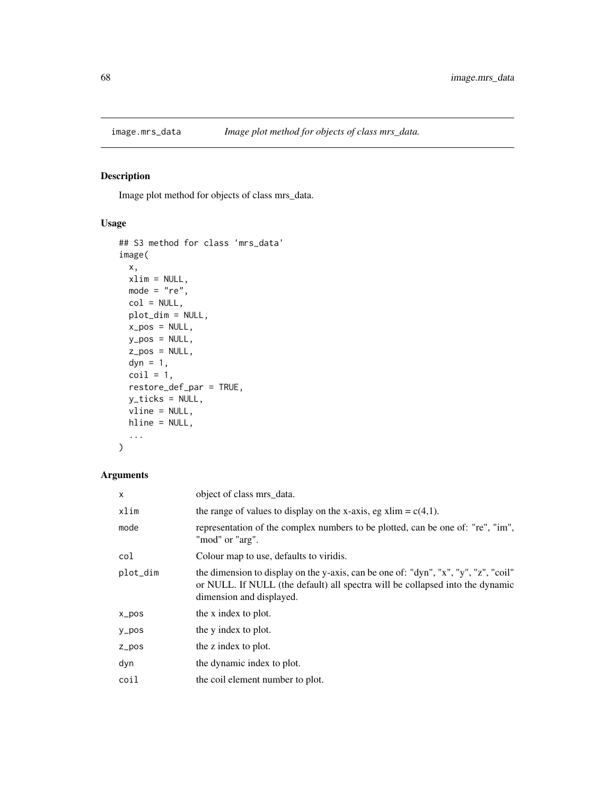Image plot method for objects of class mrs\_data.

## Usage

```
## S3 method for class 'mrs_data'
image(
  x,
 xlim = NULL,
 mode = "re",col = NULL,plot_dim = NULL,
 x_pos = NULL,
 y_pos = NULL,
 z_pos = NULL,
 dyn = 1,
 \text{coil} = 1,
  restore_def_par = TRUE,
 y_ticks = NULL,
 vline = NULL,
 hline = NULL,
  ...
)
```
# Arguments

| X         | object of class mrs_data.                                                                                                                                                                        |
|-----------|--------------------------------------------------------------------------------------------------------------------------------------------------------------------------------------------------|
| xlim      | the range of values to display on the x-axis, eg xlim = $c(4,1)$ .                                                                                                                               |
| mode      | representation of the complex numbers to be plotted, can be one of: "re", "im",<br>"mod" or "arg".                                                                                               |
| col       | Colour map to use, defaults to viridis.                                                                                                                                                          |
| plot_dim  | the dimension to display on the y-axis, can be one of: "dyn", "x", "y", "z", "coil"<br>or NULL. If NULL (the default) all spectra will be collapsed into the dynamic<br>dimension and displayed. |
| $x_p$ pos | the x index to plot.                                                                                                                                                                             |
| $y_p$ os  | the y index to plot.                                                                                                                                                                             |
| $Z_ppos$  | the z index to plot.                                                                                                                                                                             |
| dyn       | the dynamic index to plot.                                                                                                                                                                       |
| coil      | the coil element number to plot.                                                                                                                                                                 |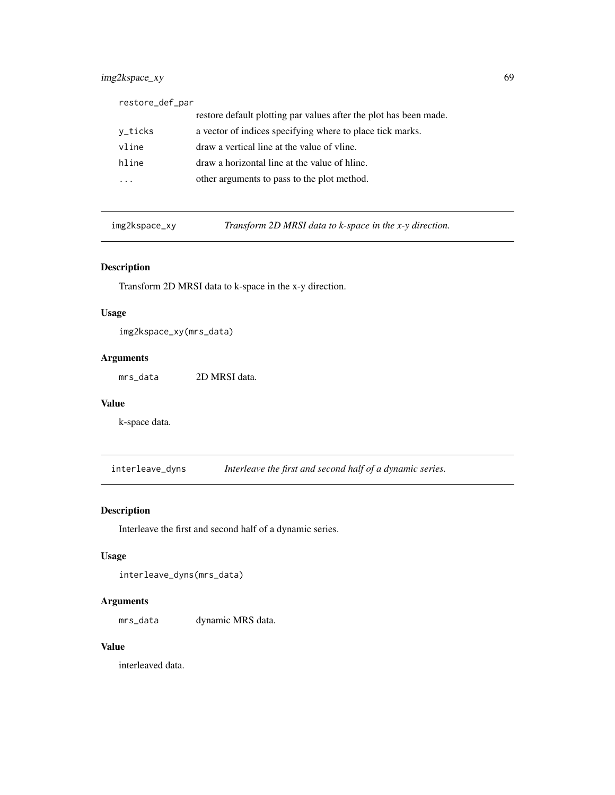## img2kspace\_xy 69

| restore_def_par |                                                                   |
|-----------------|-------------------------------------------------------------------|
|                 | restore default plotting par values after the plot has been made. |
| v_ticks         | a vector of indices specifying where to place tick marks.         |
| vline           | draw a vertical line at the value of vline.                       |
| hline           | draw a horizontal line at the value of hline.                     |
|                 | other arguments to pass to the plot method.                       |

img2kspace\_xy *Transform 2D MRSI data to k-space in the x-y direction.*

## Description

Transform 2D MRSI data to k-space in the x-y direction.

#### Usage

img2kspace\_xy(mrs\_data)

## Arguments

mrs\_data 2D MRSI data.

## Value

k-space data.

interleave\_dyns *Interleave the first and second half of a dynamic series.*

## Description

Interleave the first and second half of a dynamic series.

## Usage

interleave\_dyns(mrs\_data)

### Arguments

mrs\_data dynamic MRS data.

## Value

interleaved data.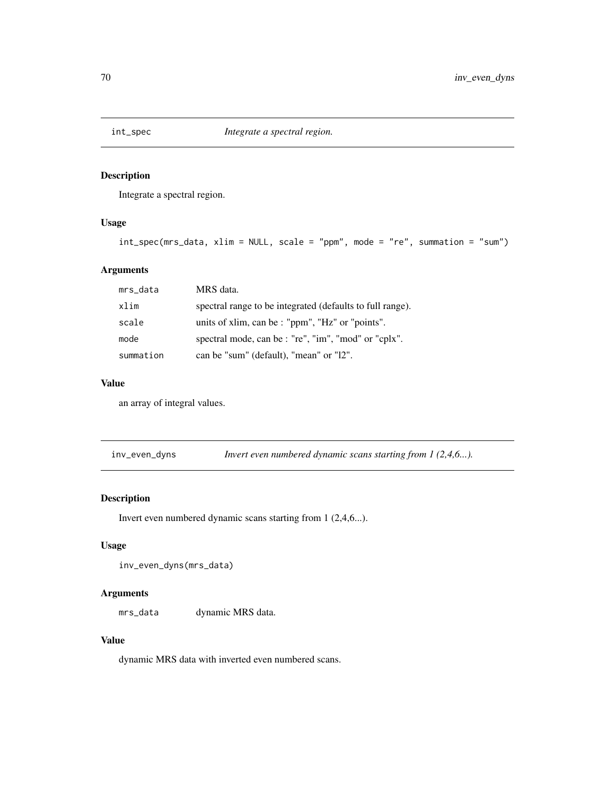Integrate a spectral region.

## Usage

```
int_spec(mrs_data, xlim = NULL, scale = "ppm", mode = "re", summation = "sum")
```
# Arguments

| mrs_data  | MRS data.                                                 |
|-----------|-----------------------------------------------------------|
| xlim      | spectral range to be integrated (defaults to full range). |
| scale     | units of xlim, can be : "ppm", "Hz" or "points".          |
| mode      | spectral mode, can be : "re", "im", "mod" or "cplx".      |
| summation | can be "sum" (default), "mean" or "12".                   |

#### Value

an array of integral values.

inv\_even\_dyns *Invert even numbered dynamic scans starting from 1 (2,4,6...).*

#### Description

Invert even numbered dynamic scans starting from 1 (2,4,6...).

### Usage

```
inv_even_dyns(mrs_data)
```
#### Arguments

mrs\_data dynamic MRS data.

## Value

dynamic MRS data with inverted even numbered scans.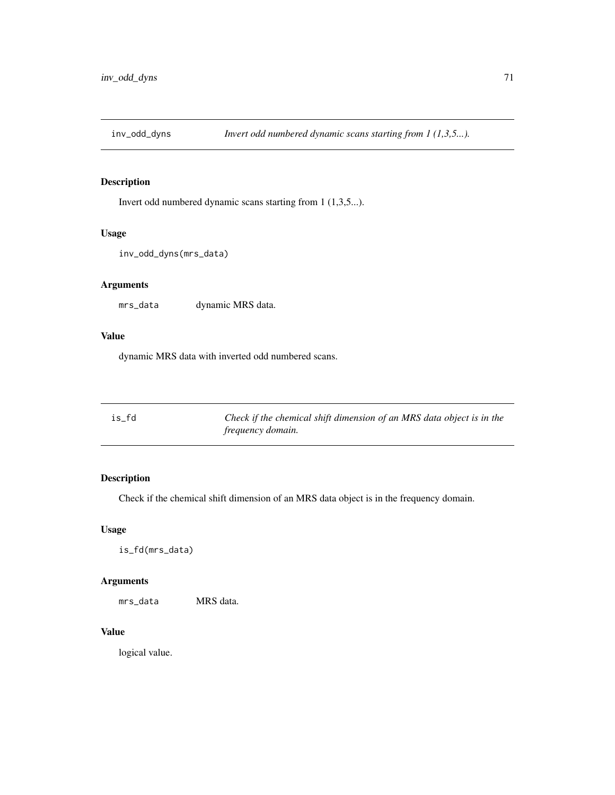Invert odd numbered dynamic scans starting from 1 (1,3,5...).

### Usage

```
inv_odd_dyns(mrs_data)
```
## Arguments

mrs\_data dynamic MRS data.

### Value

dynamic MRS data with inverted odd numbered scans.

| is fd | Check if the chemical shift dimension of an MRS data object is in the |
|-------|-----------------------------------------------------------------------|
|       | <i>frequency domain.</i>                                              |

## Description

Check if the chemical shift dimension of an MRS data object is in the frequency domain.

## Usage

is\_fd(mrs\_data)

## Arguments

mrs\_data MRS data.

## Value

logical value.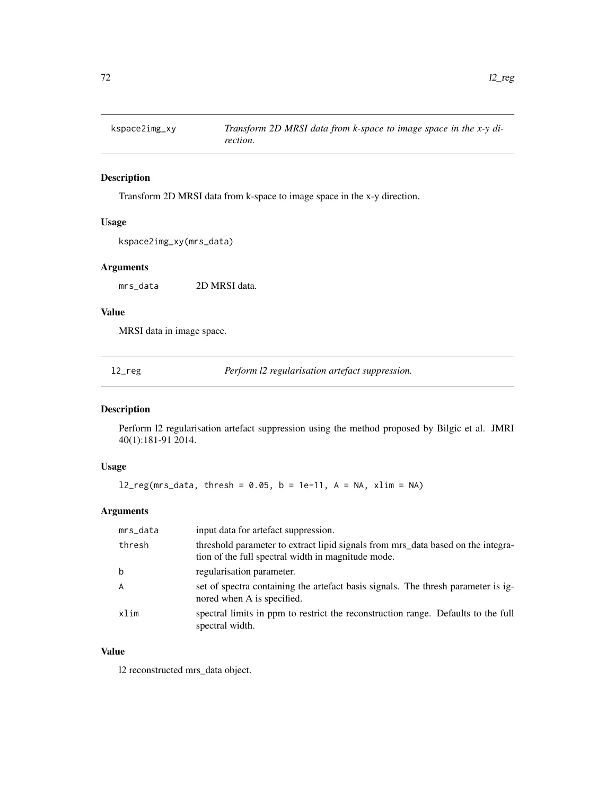Transform 2D MRSI data from k-space to image space in the x-y direction.

### Usage

```
kspace2img_xy(mrs_data)
```
### Arguments

mrs\_data 2D MRSI data.

### Value

MRSI data in image space.

l2\_reg *Perform l2 regularisation artefact suppression.*

## Description

Perform l2 regularisation artefact suppression using the method proposed by Bilgic et al. JMRI 40(1):181-91 2014.

### Usage

 $l2_reg(mrs_data, thresh = 0.05, b = 1e-11, A = NA, xlim = NA)$ 

### Arguments

| mrs_data | input data for artefact suppression.                                                                                                   |
|----------|----------------------------------------------------------------------------------------------------------------------------------------|
| thresh   | threshold parameter to extract lipid signals from mrs data based on the integra-<br>tion of the full spectral width in magnitude mode. |
| b        | regularisation parameter.                                                                                                              |
| A        | set of spectra containing the artefact basis signals. The thresh parameter is ig-<br>nored when A is specified.                        |
| xlim     | spectral limits in ppm to restrict the reconstruction range. Defaults to the full<br>spectral width.                                   |

## Value

l2 reconstructed mrs\_data object.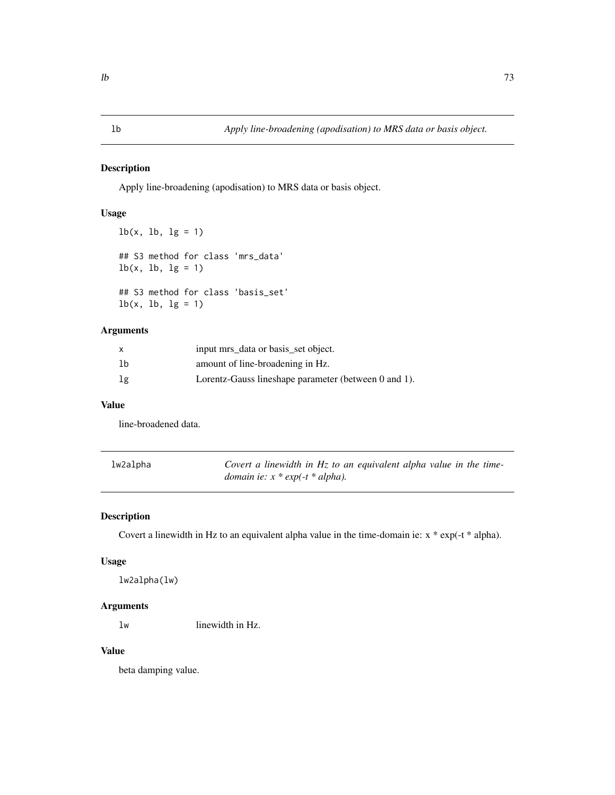Apply line-broadening (apodisation) to MRS data or basis object.

#### Usage

```
lb(x, lb, lg = 1)## S3 method for class 'mrs_data'
lb(x, lb, lg = 1)## S3 method for class 'basis_set'
lb(x, lb, lg = 1)
```
# Arguments

|    | input mrs_data or basis_set object.                  |
|----|------------------------------------------------------|
| lb | amount of line-broadening in Hz.                     |
| lg | Lorentz-Gauss lineshape parameter (between 0 and 1). |

#### Value

line-broadened data.

| lw2alpha | Covert a linewidth in $Hz$ to an equivalent alpha value in the time- |
|----------|----------------------------------------------------------------------|
|          | <i>domain ie:</i> $x * exp(-t * alpha)$ .                            |

# Description

Covert a linewidth in Hz to an equivalent alpha value in the time-domain ie: x \* exp(-t \* alpha).

#### Usage

lw2alpha(lw)

#### Arguments

lw linewidth in Hz.

# Value

beta damping value.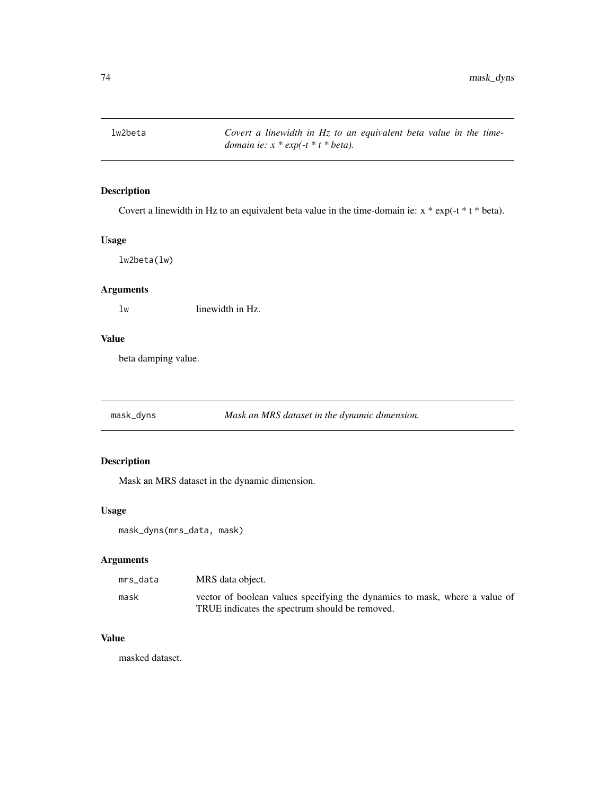lw2beta *Covert a linewidth in Hz to an equivalent beta value in the timedomain ie: x \* exp(-t \* t \* beta).*

# Description

Covert a linewidth in Hz to an equivalent beta value in the time-domain ie: x \* exp(-t \* t \* beta).

#### Usage

lw2beta(lw)

# Arguments

lw linewidth in Hz.

# Value

beta damping value.

mask\_dyns *Mask an MRS dataset in the dynamic dimension.*

### Description

Mask an MRS dataset in the dynamic dimension.

#### Usage

mask\_dyns(mrs\_data, mask)

### Arguments

| mrs data | MRS data object.                                                           |
|----------|----------------------------------------------------------------------------|
| mask     | vector of boolean values specifying the dynamics to mask, where a value of |
|          | TRUE indicates the spectrum should be removed.                             |

### Value

masked dataset.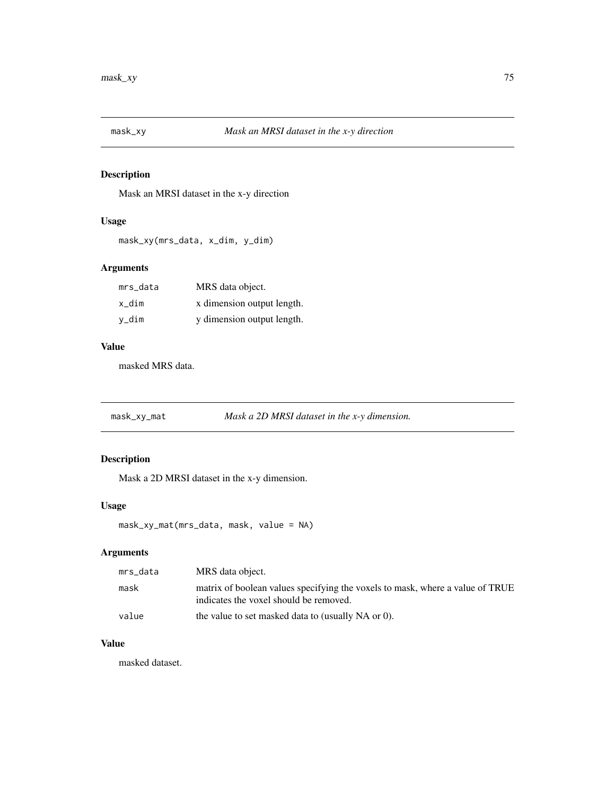Mask an MRSI dataset in the x-y direction

# Usage

mask\_xy(mrs\_data, x\_dim, y\_dim)

### Arguments

| mrs data | MRS data object.           |
|----------|----------------------------|
| x dim    | x dimension output length. |
| v_dim    | y dimension output length. |

#### Value

masked MRS data.

mask\_xy\_mat *Mask a 2D MRSI dataset in the x-y dimension.*

# Description

Mask a 2D MRSI dataset in the x-y dimension.

#### Usage

mask\_xy\_mat(mrs\_data, mask, value = NA)

# Arguments

| mrs_data | MRS data object.                                                                                                        |
|----------|-------------------------------------------------------------------------------------------------------------------------|
| mask     | matrix of boolean values specifying the voxels to mask, where a value of TRUE<br>indicates the voxel should be removed. |
| value    | the value to set masked data to (usually NA or 0).                                                                      |

# Value

masked dataset.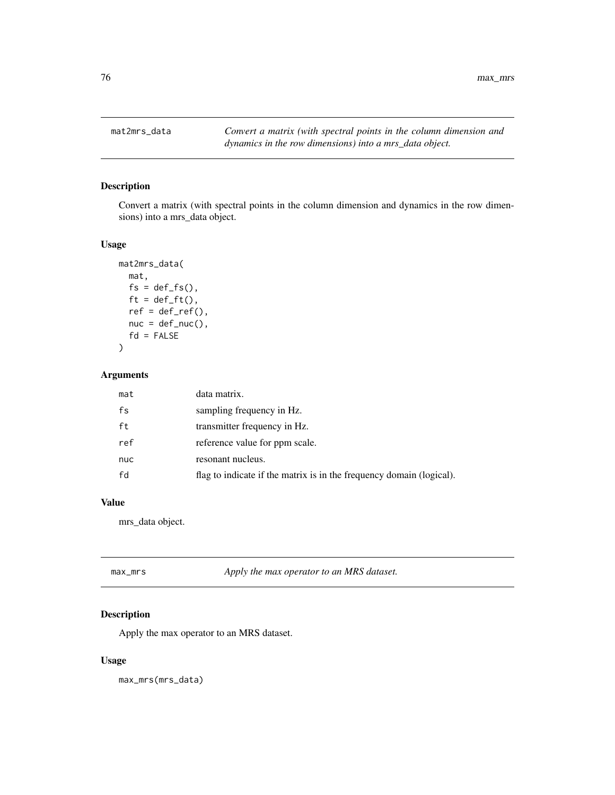76 max\_mrs

### Description

Convert a matrix (with spectral points in the column dimension and dynamics in the row dimensions) into a mrs\_data object.

#### Usage

```
mat2mrs_data(
 mat,
 fs = def_f s(),ft = def_fft(),ref = def_ref(),nuc = def_nuc(),
 fd = FALSE)
```
# Arguments

| mat | data matrix.                                                         |
|-----|----------------------------------------------------------------------|
| fs  | sampling frequency in Hz.                                            |
| ft  | transmitter frequency in Hz.                                         |
| ref | reference value for ppm scale.                                       |
| nuc | resonant nucleus.                                                    |
| fd  | flag to indicate if the matrix is in the frequency domain (logical). |

# Value

mrs\_data object.

| max_mrs | Apply the max operator to an MRS dataset. |
|---------|-------------------------------------------|
|         |                                           |

### Description

Apply the max operator to an MRS dataset.

# Usage

max\_mrs(mrs\_data)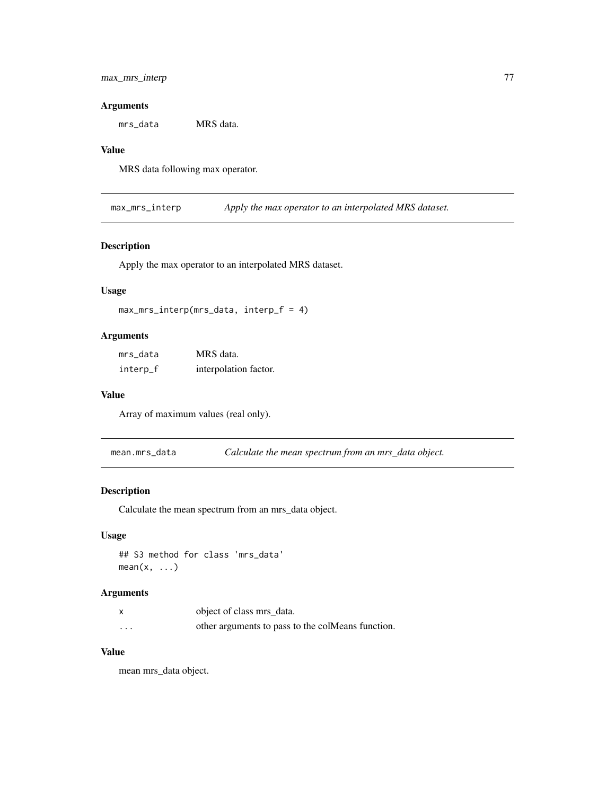### max\_mrs\_interp 77

#### Arguments

mrs\_data MRS data.

#### Value

MRS data following max operator.

max\_mrs\_interp *Apply the max operator to an interpolated MRS dataset.*

### Description

Apply the max operator to an interpolated MRS dataset.

#### Usage

```
max_mrs_interp(mrs_data, interp_f = 4)
```
### Arguments

| mrs_data | MRS data.             |
|----------|-----------------------|
| interp_f | interpolation factor. |

#### Value

Array of maximum values (real only).

mean.mrs\_data *Calculate the mean spectrum from an mrs\_data object.*

### Description

Calculate the mean spectrum from an mrs\_data object.

#### Usage

```
## S3 method for class 'mrs_data'
mean(x, \ldots)
```
#### Arguments

|                         | object of class mrs data.                         |
|-------------------------|---------------------------------------------------|
| $\cdot$ $\cdot$ $\cdot$ | other arguments to pass to the colMeans function. |

#### Value

mean mrs\_data object.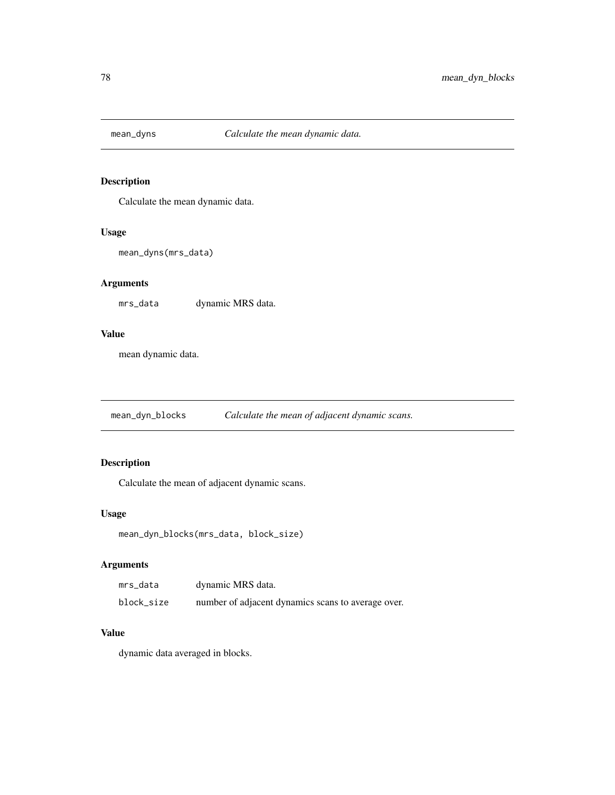Calculate the mean dynamic data.

#### Usage

```
mean_dyns(mrs_data)
```
# Arguments

mrs\_data dynamic MRS data.

#### Value

mean dynamic data.

mean\_dyn\_blocks *Calculate the mean of adjacent dynamic scans.*

# Description

Calculate the mean of adjacent dynamic scans.

#### Usage

```
mean_dyn_blocks(mrs_data, block_size)
```
### Arguments

| mrs_data   | dynamic MRS data.                                  |
|------------|----------------------------------------------------|
| block_size | number of adjacent dynamics scans to average over. |

# Value

dynamic data averaged in blocks.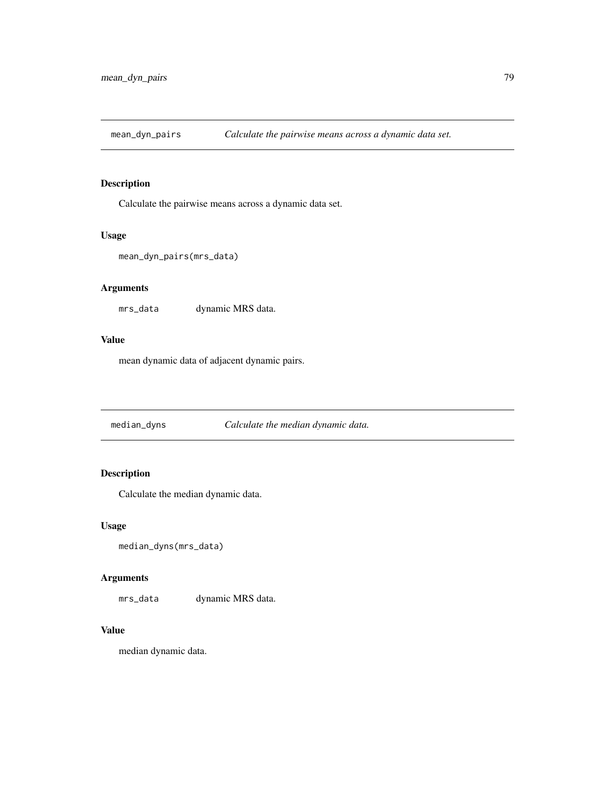mean\_dyn\_pairs *Calculate the pairwise means across a dynamic data set.*

### Description

Calculate the pairwise means across a dynamic data set.

#### Usage

```
mean_dyn_pairs(mrs_data)
```
#### Arguments

mrs\_data dynamic MRS data.

#### Value

mean dynamic data of adjacent dynamic pairs.

median\_dyns *Calculate the median dynamic data.*

# Description

Calculate the median dynamic data.

#### Usage

```
median_dyns(mrs_data)
```
### Arguments

mrs\_data dynamic MRS data.

#### Value

median dynamic data.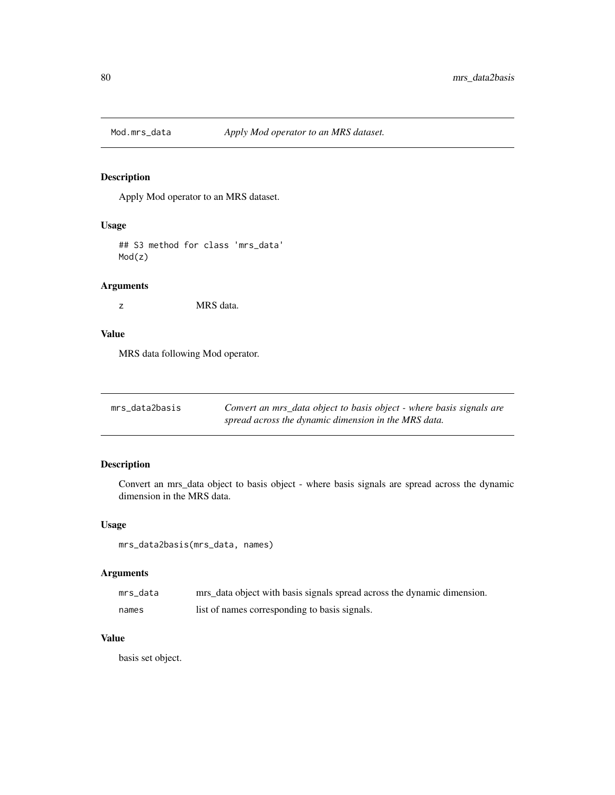Apply Mod operator to an MRS dataset.

### Usage

## S3 method for class 'mrs\_data' Mod(z)

#### Arguments

z MRS data.

#### Value

MRS data following Mod operator.

| mrs data2basis | Convert an mrs_data object to basis object - where basis signals are |
|----------------|----------------------------------------------------------------------|
|                | spread across the dynamic dimension in the MRS data.                 |

### Description

Convert an mrs\_data object to basis object - where basis signals are spread across the dynamic dimension in the MRS data.

### Usage

mrs\_data2basis(mrs\_data, names)

### Arguments

| mrs data | mrs_data object with basis signals spread across the dynamic dimension. |
|----------|-------------------------------------------------------------------------|
| names    | list of names corresponding to basis signals.                           |

#### Value

basis set object.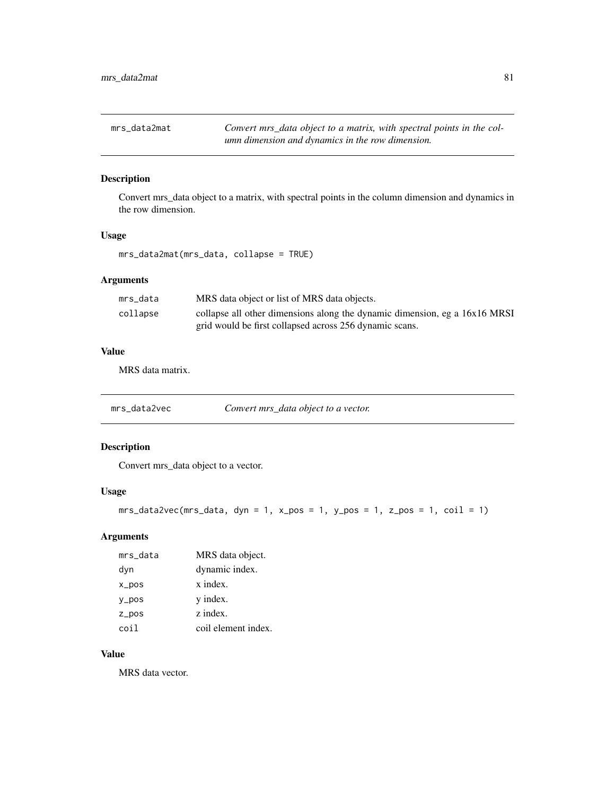mrs\_data2mat *Convert mrs\_data object to a matrix, with spectral points in the column dimension and dynamics in the row dimension.*

### Description

Convert mrs\_data object to a matrix, with spectral points in the column dimension and dynamics in the row dimension.

#### Usage

mrs\_data2mat(mrs\_data, collapse = TRUE)

### Arguments

| mrs data | MRS data object or list of MRS data objects.                               |
|----------|----------------------------------------------------------------------------|
| collapse | collapse all other dimensions along the dynamic dimension, eg a 16x16 MRSI |
|          | grid would be first collapsed across 256 dynamic scans.                    |

# Value

MRS data matrix.

mrs\_data2vec *Convert mrs\_data object to a vector.*

### Description

Convert mrs\_data object to a vector.

### Usage

```
mrs_data2vec(mrs_data, dyn = 1, x_pos = 1, y_pos = 1, z_pos = 1, coil = 1)
```
#### Arguments

| mrs_data  | MRS data object.    |
|-----------|---------------------|
| dyn       | dynamic index.      |
| $x_{DOS}$ | x index.            |
| $y_p$ os  | y index.            |
| $Z_ppos$  | z index.            |
| coil      | coil element index. |

### Value

MRS data vector.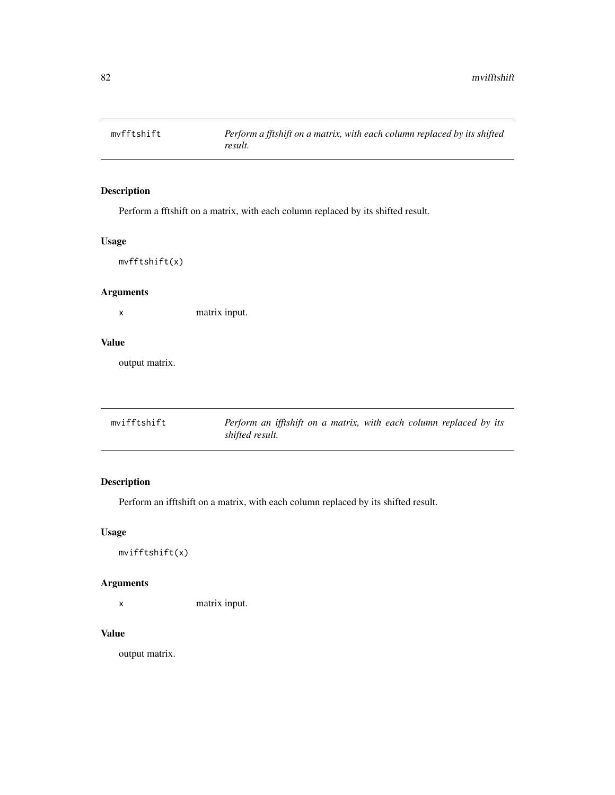Perform a fftshift on a matrix, with each column replaced by its shifted result.

### Usage

mvfftshift(x)

### Arguments

x matrix input.

# Value

output matrix.

| mvifftshift | Perform an ifftshift on a matrix, with each column replaced by its |
|-------------|--------------------------------------------------------------------|
|             | shifted result.                                                    |

# Description

Perform an ifftshift on a matrix, with each column replaced by its shifted result.

### Usage

mvifftshift(x)

### Arguments

x matrix input.

#### Value

output matrix.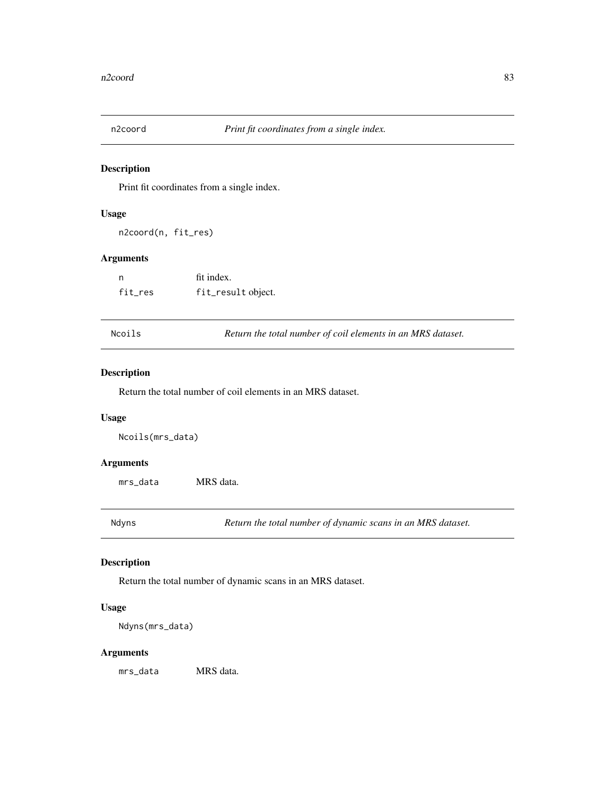Print fit coordinates from a single index.

#### Usage

n2coord(n, fit\_res)

### Arguments

| n       | fit index.         |
|---------|--------------------|
| fit_res | fit_result object. |

Ncoils *Return the total number of coil elements in an MRS dataset.*

### Description

Return the total number of coil elements in an MRS dataset.

#### Usage

Ncoils(mrs\_data)

#### Arguments

mrs\_data MRS data.

Ndyns *Return the total number of dynamic scans in an MRS dataset.*

### Description

Return the total number of dynamic scans in an MRS dataset.

### Usage

Ndyns(mrs\_data)

#### Arguments

mrs\_data MRS data.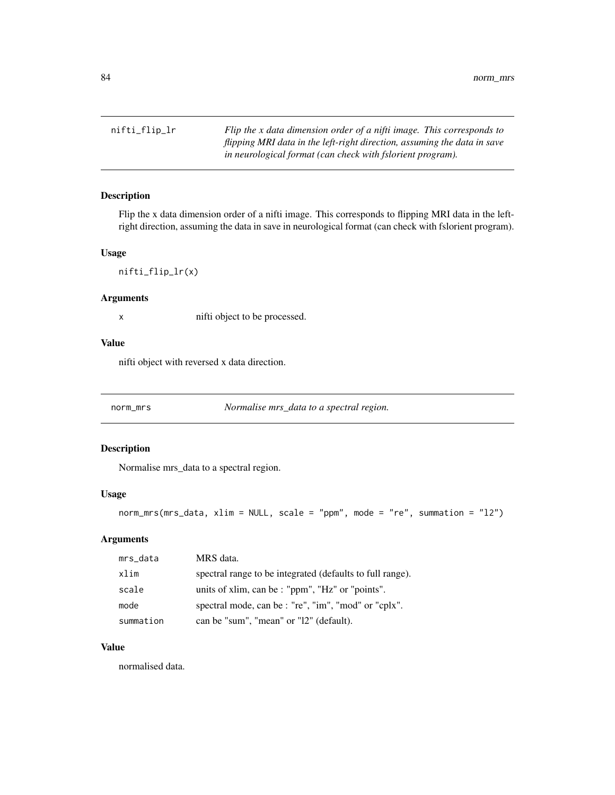nifti\_flip\_lr *Flip the x data dimension order of a nifti image. This corresponds to flipping MRI data in the left-right direction, assuming the data in save in neurological format (can check with fslorient program).*

#### Description

Flip the x data dimension order of a nifti image. This corresponds to flipping MRI data in the leftright direction, assuming the data in save in neurological format (can check with fslorient program).

#### Usage

nifti\_flip\_lr(x)

### Arguments

x nifti object to be processed.

# Value

nifti object with reversed x data direction.

norm\_mrs *Normalise mrs\_data to a spectral region.*

#### Description

Normalise mrs\_data to a spectral region.

#### Usage

norm\_mrs(mrs\_data, xlim = NULL, scale = "ppm", mode = "re", summation = "l2")

#### Arguments

| mrs_data  | MRS data.                                                 |
|-----------|-----------------------------------------------------------|
| xlim      | spectral range to be integrated (defaults to full range). |
| scale     | units of xlim, can be : "ppm", "Hz" or "points".          |
| mode      | spectral mode, can be : "re", "im", "mod" or "cplx".      |
| summation | can be "sum", "mean" or "12" (default).                   |

#### Value

normalised data.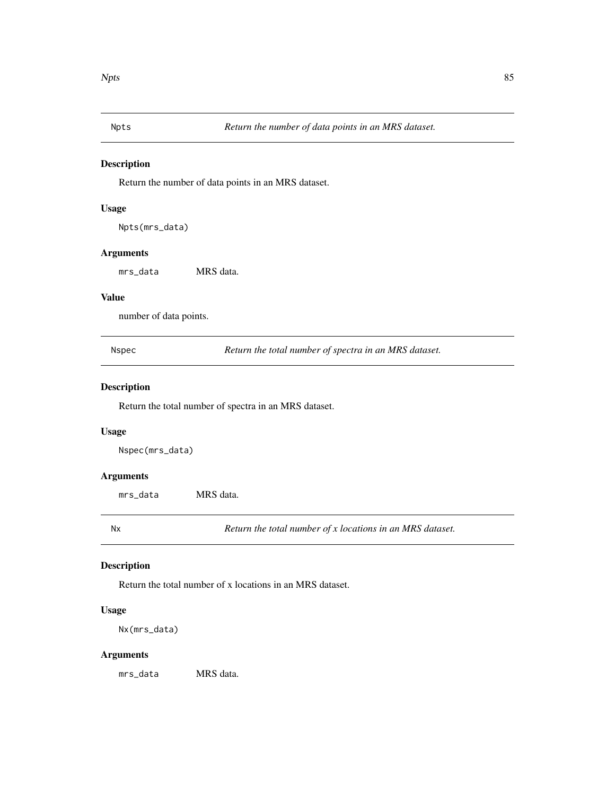Return the number of data points in an MRS dataset.

#### Usage

Npts(mrs\_data)

#### Arguments

mrs\_data MRS data.

#### Value

number of data points.

Nspec *Return the total number of spectra in an MRS dataset.*

# Description

Return the total number of spectra in an MRS dataset.

#### Usage

Nspec(mrs\_data)

#### Arguments

mrs\_data MRS data.

Nx *Return the total number of x locations in an MRS dataset.*

#### Description

Return the total number of x locations in an MRS dataset.

### Usage

Nx(mrs\_data)

### Arguments

mrs\_data MRS data.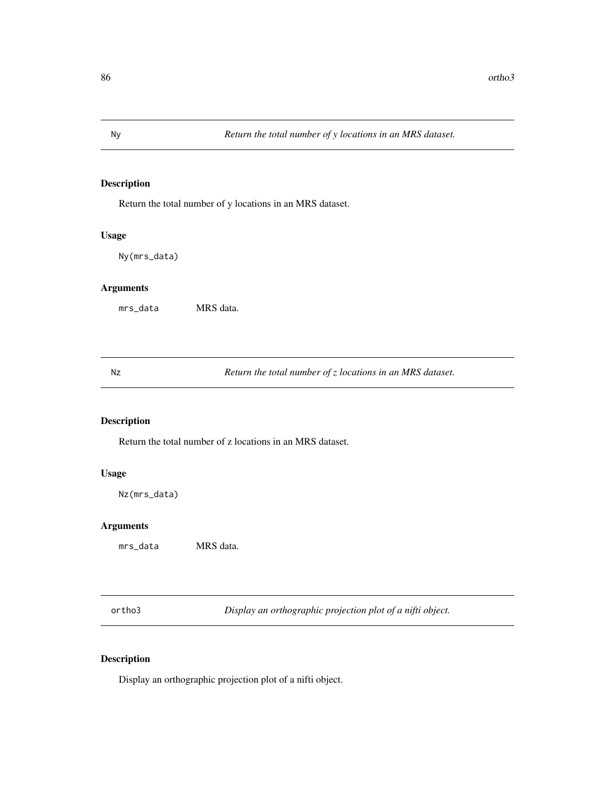Return the total number of y locations in an MRS dataset.

### Usage

Ny(mrs\_data)

# Arguments

mrs\_data MRS data.

Nz *Return the total number of z locations in an MRS dataset.*

# Description

Return the total number of z locations in an MRS dataset.

#### Usage

Nz(mrs\_data)

### Arguments

mrs\_data MRS data.

ortho3 *Display an orthographic projection plot of a nifti object.*

### Description

Display an orthographic projection plot of a nifti object.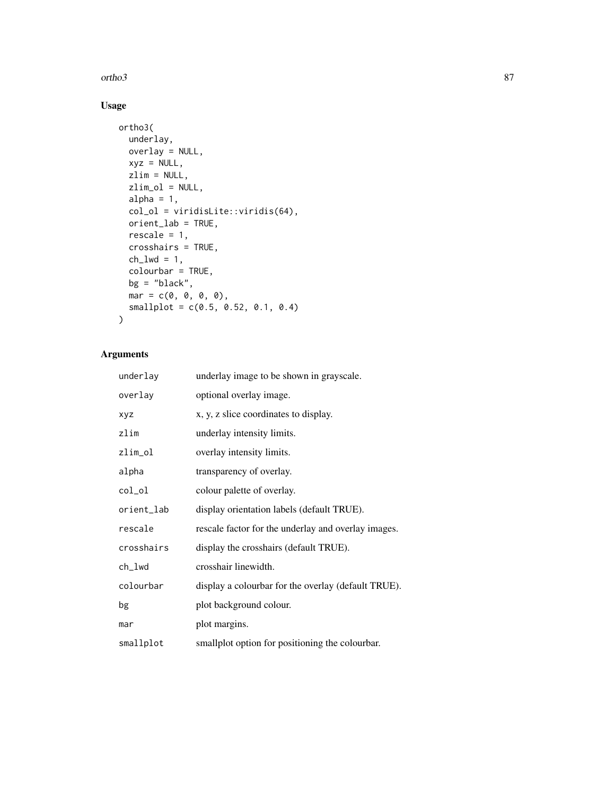ortho3 87

# Usage

```
ortho3(
  underlay,
  overlay = NULL,
  xyz = NULL,zlim = NULL,
  zlim_ol = NULL,
  alpha = 1,
  col_ol = viridisLite::viridis(64),
  orient_lab = TRUE,
  rescale = 1,
  crosshairs = TRUE,
  ch\_lwd = 1,
  colourbar = TRUE,
  bg = "black",
  mar = c(0, 0, 0, 0),
  smallplot = c(0.5, 0.52, 0.1, 0.4)\mathcal{L}
```

| underlay   | underlay image to be shown in grayscale.            |
|------------|-----------------------------------------------------|
| overlay    | optional overlay image.                             |
| <b>XVZ</b> | x, y, z slice coordinates to display.               |
| zlim       | underlay intensity limits.                          |
| zlim_ol    | overlay intensity limits.                           |
| alpha      | transparency of overlay.                            |
| col_ol     | colour palette of overlay.                          |
| orient_lab | display orientation labels (default TRUE).          |
| rescale    | rescale factor for the underlay and overlay images. |
| crosshairs | display the crosshairs (default TRUE).              |
| ch_lwd     | crosshair linewidth.                                |
| colourbar  | display a colourbar for the overlay (default TRUE). |
| bg         | plot background colour.                             |
| mar        | plot margins.                                       |
| smallplot  | smallplot option for positioning the colourbar.     |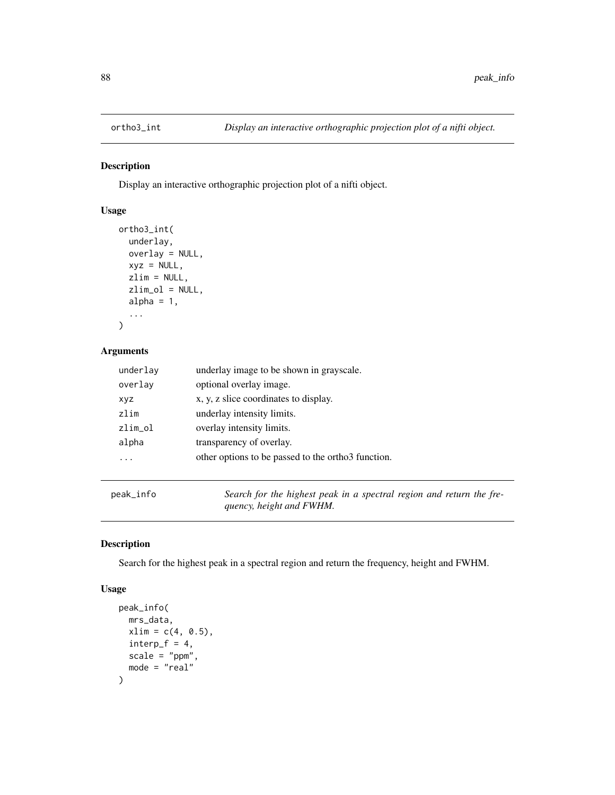Display an interactive orthographic projection plot of a nifti object.

# Usage

```
ortho3_int(
  underlay,
  overlay = NULL,
  xyz = NULL,zlim = NULL,
  zlim_ol = NULL,
  alpha = 1,
  ...
\mathcal{L}
```
# Arguments

| underlay   | underlay image to be shown in grayscale.           |
|------------|----------------------------------------------------|
| overlay    | optional overlay image.                            |
| <b>XVZ</b> | x, y, z slice coordinates to display.              |
| zlim       | underlay intensity limits.                         |
| zlim_ol    | overlay intensity limits.                          |
| alpha      | transparency of overlay.                           |
|            | other options to be passed to the ortho3 function. |
|            |                                                    |

peak\_info *Search for the highest peak in a spectral region and return the frequency, height and FWHM.*

# Description

Search for the highest peak in a spectral region and return the frequency, height and FWHM.

#### Usage

```
peak_info(
  mrs_data,
  xlim = c(4, 0.5),
  interp_f = 4,
  scale = "ppm",
  mode = "real"
\mathcal{E}
```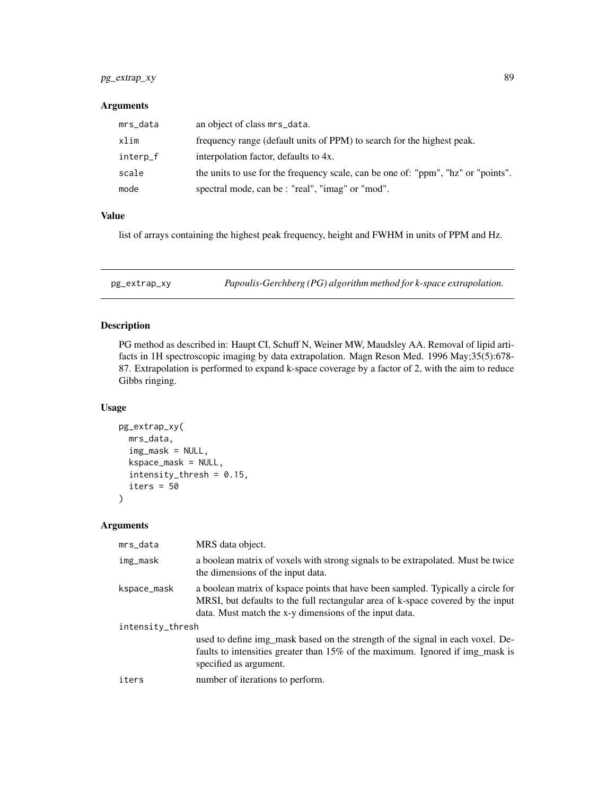# pg\_extrap\_xy 89

#### Arguments

| mrs_data | an object of class mrs_data.                                                      |
|----------|-----------------------------------------------------------------------------------|
| xlim     | frequency range (default units of PPM) to search for the highest peak.            |
| interp_f | interpolation factor, defaults to 4x.                                             |
| scale    | the units to use for the frequency scale, can be one of: "ppm", "hz" or "points". |
| mode     | spectral mode, can be : "real", "imag" or "mod".                                  |

### Value

list of arrays containing the highest peak frequency, height and FWHM in units of PPM and Hz.

pg\_extrap\_xy *Papoulis-Gerchberg (PG) algorithm method for k-space extrapolation.*

# Description

PG method as described in: Haupt CI, Schuff N, Weiner MW, Maudsley AA. Removal of lipid artifacts in 1H spectroscopic imaging by data extrapolation. Magn Reson Med. 1996 May;35(5):678- 87. Extrapolation is performed to expand k-space coverage by a factor of 2, with the aim to reduce Gibbs ringing.

#### Usage

```
pg_extrap_xy(
 mrs_data,
  img\_mask = NULL,kspace_mask = NULL,
  intensity_thresh = 0.15,
  iters = 50\lambda
```

| mrs_data         | MRS data object.                                                                                                                                                                                                              |
|------------------|-------------------------------------------------------------------------------------------------------------------------------------------------------------------------------------------------------------------------------|
| img_mask         | a boolean matrix of voxels with strong signals to be extrapolated. Must be twice<br>the dimensions of the input data.                                                                                                         |
| kspace_mask      | a boolean matrix of kspace points that have been sampled. Typically a circle for<br>MRSI, but defaults to the full rectangular area of k-space covered by the input<br>data. Must match the x-y dimensions of the input data. |
| intensity_thresh |                                                                                                                                                                                                                               |
|                  | used to define img mask based on the strength of the signal in each voxel. De-<br>faults to intensities greater than 15% of the maximum. Ignored if img_mask is<br>specified as argument.                                     |
| iters            | number of iterations to perform.                                                                                                                                                                                              |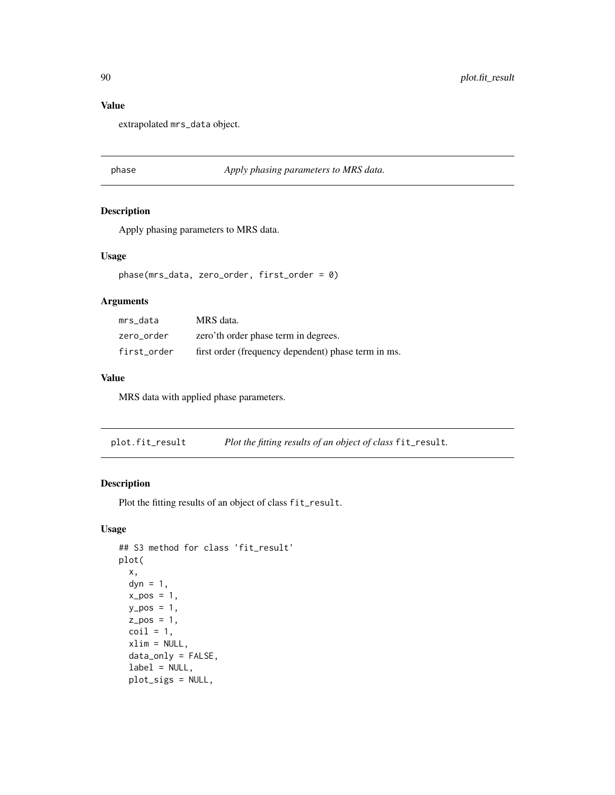#### Value

extrapolated mrs\_data object.

#### phase *Apply phasing parameters to MRS data.*

#### Description

Apply phasing parameters to MRS data.

#### Usage

phase(mrs\_data, zero\_order, first\_order = 0)

#### Arguments

| mrs data    | MRS data.                                           |
|-------------|-----------------------------------------------------|
| zero order  | zero'th order phase term in degrees.                |
| first order | first order (frequency dependent) phase term in ms. |

#### Value

MRS data with applied phase parameters.

plot.fit\_result *Plot the fitting results of an object of class* fit\_result*.*

#### Description

Plot the fitting results of an object of class fit\_result.

#### Usage

```
## S3 method for class 'fit_result'
plot(
  x,
  dyn = 1,
  x_{-}pos = 1,
  y_{p}os = 1,
  z_{pos} = 1,
  \text{coil} = 1,
  xlim = NULL,data_only = FALSE,
  label = NULL,plot_sigs = NULL,
```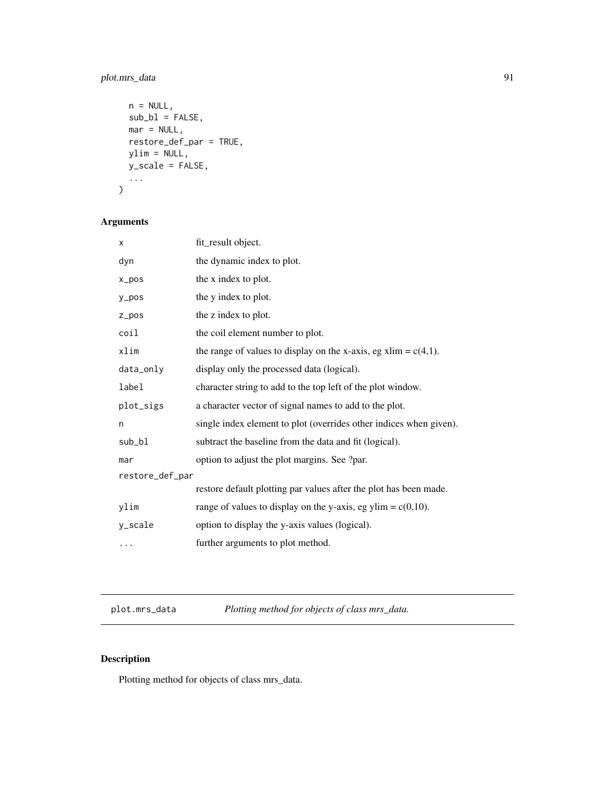# plot.mrs\_data 91

```
n = NULL,sub_b1 = FALSE,mar = NULL,restore_def_par = TRUE,
 ylim = NULL,
 y_scale = FALSE,
  ...
\mathcal{L}
```
# Arguments

| X               | fit_result object.                                                 |  |
|-----------------|--------------------------------------------------------------------|--|
| dyn             | the dynamic index to plot.                                         |  |
| x_pos           | the x index to plot.                                               |  |
| y_pos           | the y index to plot.                                               |  |
| $Z_ppos$        | the z index to plot.                                               |  |
| coil            | the coil element number to plot.                                   |  |
| xlim            | the range of values to display on the x-axis, eg xlim = $c(4,1)$ . |  |
| data_only       | display only the processed data (logical).                         |  |
| label           | character string to add to the top left of the plot window.        |  |
| plot_sigs       | a character vector of signal names to add to the plot.             |  |
| n               | single index element to plot (overrides other indices when given). |  |
| sub_bl          | subtract the baseline from the data and fit (logical).             |  |
| mar             | option to adjust the plot margins. See ?par.                       |  |
| restore_def_par |                                                                    |  |
|                 | restore default plotting par values after the plot has been made.  |  |
| ylim            | range of values to display on the y-axis, eg ylim = $c(0,10)$ .    |  |
| y_scale         | option to display the y-axis values (logical).                     |  |
|                 | further arguments to plot method.                                  |  |
|                 |                                                                    |  |

plot.mrs\_data *Plotting method for objects of class mrs\_data.*

# Description

Plotting method for objects of class mrs\_data.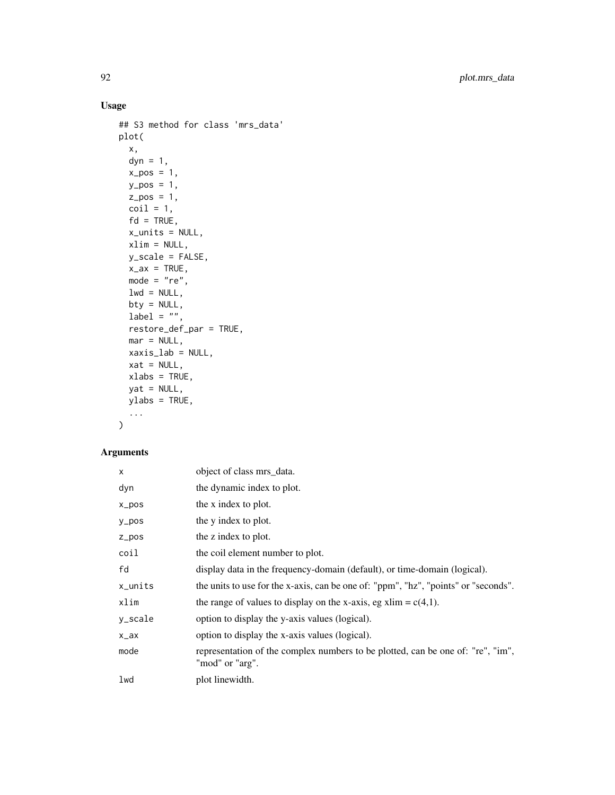# Usage

```
## S3 method for class 'mrs_data'
plot(
 x,
 dyn = 1,
 x_{-}pos = 1,
 y_{p}os = 1,
 z_{-}pos = 1,
 \text{coil} = 1,
 fd = TRUE,x_units = NULL,
 xlim = NULL,
 y_scale = FALSE,
 x_ax = TRUE,mode = "re",lwd = NULL,bty = NULL,label = "",restore_def_par = TRUE,
 mar = NULL,xaxis_lab = NULL,
 xat = NULL,xlabs = TRUE,
 yat = NULL,ylabs = TRUE,
  ...
\mathcal{L}
```

| X         | object of class mrs_data.                                                                          |
|-----------|----------------------------------------------------------------------------------------------------|
| dyn       | the dynamic index to plot.                                                                         |
| $x_p$ pos | the x index to plot.                                                                               |
| y_pos     | the y index to plot.                                                                               |
| $Z_p$ pos | the z index to plot.                                                                               |
| coil      | the coil element number to plot.                                                                   |
| fd        | display data in the frequency-domain (default), or time-domain (logical).                          |
| x_units   | the units to use for the x-axis, can be one of: "ppm", "hz", "points" or "seconds".                |
| xlim      | the range of values to display on the x-axis, eg xlim = $c(4,1)$ .                                 |
| y_scale   | option to display the y-axis values (logical).                                                     |
| $x_ax$    | option to display the x-axis values (logical).                                                     |
| mode      | representation of the complex numbers to be plotted, can be one of: "re", "im",<br>"mod" or "arg". |
| lwd       | plot linewidth.                                                                                    |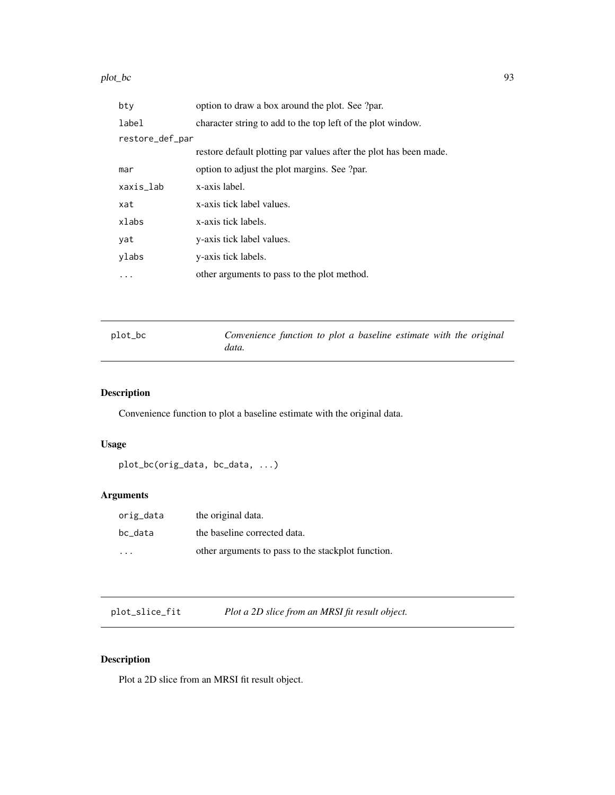#### plot\_bc 93

| bty             | option to draw a box around the plot. See ?par.                   |
|-----------------|-------------------------------------------------------------------|
| label           | character string to add to the top left of the plot window.       |
| restore_def_par |                                                                   |
|                 | restore default plotting par values after the plot has been made. |
| mar             | option to adjust the plot margins. See ?par.                      |
| xaxis_lab       | x-axis label.                                                     |
| xat             | x-axis tick label values.                                         |
| xlabs           | x-axis tick labels.                                               |
| yat             | y-axis tick label values.                                         |
| ylabs           | y-axis tick labels.                                               |
| .               | other arguments to pass to the plot method.                       |

| plot_bc | Convenience function to plot a baseline estimate with the original |  |  |  |  |
|---------|--------------------------------------------------------------------|--|--|--|--|
|         | data.                                                              |  |  |  |  |

# Description

Convenience function to plot a baseline estimate with the original data.

# Usage

```
plot_bc(orig_data, bc_data, ...)
```
# Arguments

| orig_data               | the original data.                                 |
|-------------------------|----------------------------------------------------|
| bc data                 | the baseline corrected data.                       |
| $\cdot$ $\cdot$ $\cdot$ | other arguments to pass to the stackplot function. |

plot\_slice\_fit *Plot a 2D slice from an MRSI fit result object.*

# Description

Plot a 2D slice from an MRSI fit result object.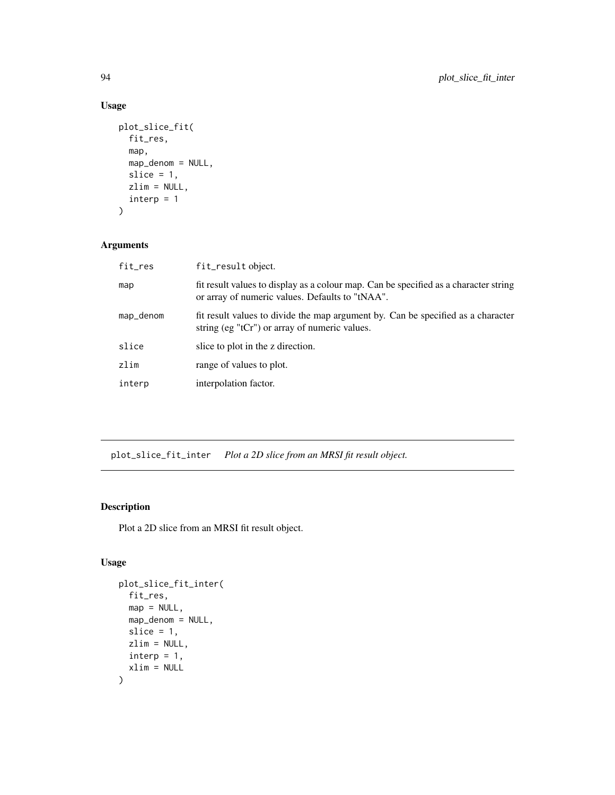# Usage

```
plot_slice_fit(
  fit_res,
  map,
  map_denom = NULL,
  slice = 1,
  zlim = NULL,
  interp = 1\mathcal{L}
```
### Arguments

| fit_res   | fit_result object.                                                                                                                      |
|-----------|-----------------------------------------------------------------------------------------------------------------------------------------|
| map       | fit result values to display as a colour map. Can be specified as a character string<br>or array of numeric values. Defaults to "tNAA". |
| map_denom | fit result values to divide the map argument by. Can be specified as a character<br>string (eg "tCr") or array of numeric values.       |
| slice     | slice to plot in the z direction.                                                                                                       |
| zlim      | range of values to plot.                                                                                                                |
| interp    | interpolation factor.                                                                                                                   |
|           |                                                                                                                                         |

plot\_slice\_fit\_inter *Plot a 2D slice from an MRSI fit result object.*

### Description

Plot a 2D slice from an MRSI fit result object.

# Usage

```
plot_slice_fit_inter(
 fit_res,
 map = NULL,map_denom = NULL,
 slice = 1,
 zlim = NULL,
 interp = 1,
 xlim = NULL)
```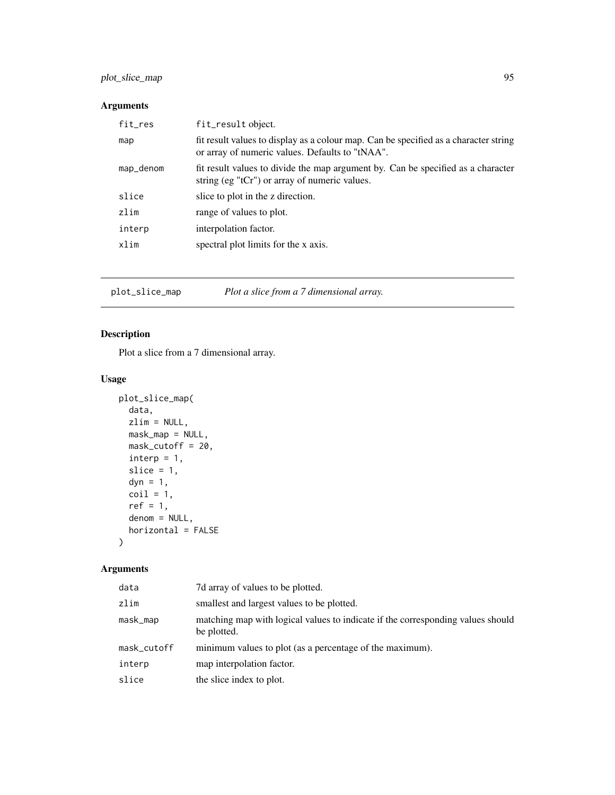# plot\_slice\_map 95

# Arguments

| fit_result object.                                                                                                                      |
|-----------------------------------------------------------------------------------------------------------------------------------------|
| fit result values to display as a colour map. Can be specified as a character string<br>or array of numeric values. Defaults to "tNAA". |
| fit result values to divide the map argument by. Can be specified as a character<br>string (eg "tCr") or array of numeric values.       |
| slice to plot in the z direction.                                                                                                       |
| range of values to plot.                                                                                                                |
| interpolation factor.                                                                                                                   |
| spectral plot limits for the x axis.                                                                                                    |
|                                                                                                                                         |

plot\_slice\_map *Plot a slice from a 7 dimensional array.*

### Description

Plot a slice from a 7 dimensional array.

### Usage

```
plot_slice_map(
  data,
  zlim = NULL,
  mask_map = NULL,
  mask_cutoff = 20,
  \text{interp} = 1,
  slice = 1,
  dyn = 1,
  coil = 1,
  ref = 1,denom = NULL,
  horizontal = FALSE
\mathcal{L}
```

| data        | 7d array of values to be plotted.                                                              |
|-------------|------------------------------------------------------------------------------------------------|
| zlim        | smallest and largest values to be plotted.                                                     |
| mask_map    | matching map with logical values to indicate if the corresponding values should<br>be plotted. |
| mask_cutoff | minimum values to plot (as a percentage of the maximum).                                       |
| interp      | map interpolation factor.                                                                      |
| slice       | the slice index to plot.                                                                       |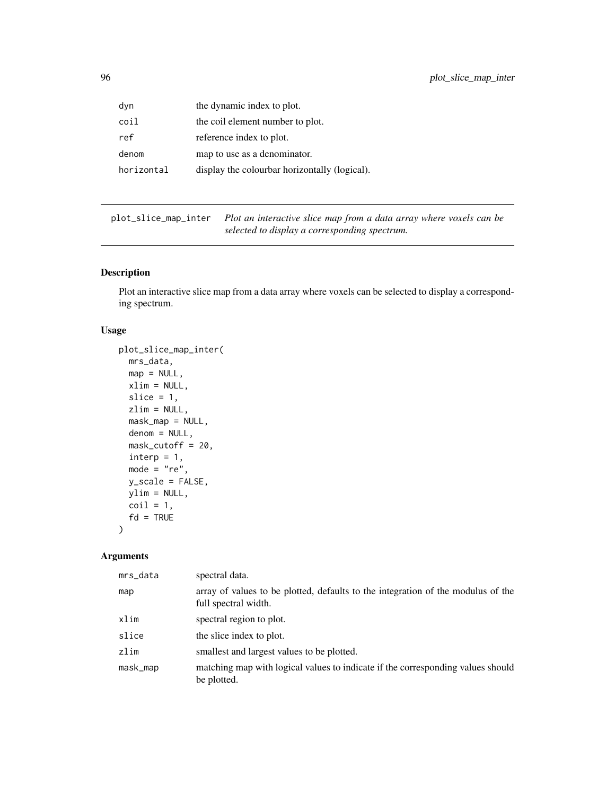| dyn        | the dynamic index to plot.                    |
|------------|-----------------------------------------------|
| coil       | the coil element number to plot.              |
| ref        | reference index to plot.                      |
| denom      | map to use as a denominator.                  |
| horizontal | display the colourbar horizontally (logical). |

plot\_slice\_map\_inter *Plot an interactive slice map from a data array where voxels can be selected to display a corresponding spectrum.*

### Description

Plot an interactive slice map from a data array where voxels can be selected to display a corresponding spectrum.

#### Usage

```
plot_slice_map_inter(
  mrs_data,
  map = NULL,xlim = NULL,
  slice = 1,
  zlim = NULL,
  mask_map = NULL,
  denom = NULL,
  mask_cutoff = 20,
  \text{interp} = 1,
  mode = "re",y_scale = FALSE,
  ylim = NULL,
  \text{coil} = 1,
  fd = TRUE\mathcal{L}
```

| mrs_data | spectral data.                                                                                           |
|----------|----------------------------------------------------------------------------------------------------------|
| map      | array of values to be plotted, defaults to the integration of the modulus of the<br>full spectral width. |
| xlim     | spectral region to plot.                                                                                 |
| slice    | the slice index to plot.                                                                                 |
| zlim     | smallest and largest values to be plotted.                                                               |
| mask_map | matching map with logical values to indicate if the corresponding values should<br>be plotted.           |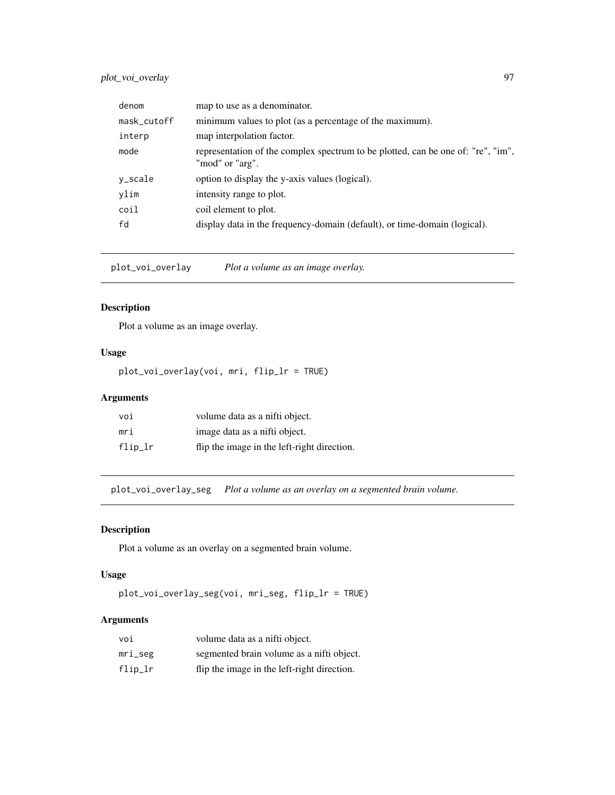# plot\_voi\_overlay 97

| denom       | map to use as a denominator.                                                                        |
|-------------|-----------------------------------------------------------------------------------------------------|
| mask_cutoff | minimum values to plot (as a percentage of the maximum).                                            |
| interp      | map interpolation factor.                                                                           |
| mode        | representation of the complex spectrum to be plotted, can be one of: "re", "im",<br>"mod" or "arg". |
| y_scale     | option to display the y-axis values (logical).                                                      |
| ylim        | intensity range to plot.                                                                            |
| coil        | coil element to plot.                                                                               |
| fd          | display data in the frequency-domain (default), or time-domain (logical).                           |

plot\_voi\_overlay *Plot a volume as an image overlay.*

### Description

Plot a volume as an image overlay.

### Usage

plot\_voi\_overlay(voi, mri, flip\_lr = TRUE)

# Arguments

| voi     | volume data as a nifti object.              |
|---------|---------------------------------------------|
| mri     | image data as a nifti object.               |
| flip_lr | flip the image in the left-right direction. |

plot\_voi\_overlay\_seg *Plot a volume as an overlay on a segmented brain volume.*

### Description

Plot a volume as an overlay on a segmented brain volume.

#### Usage

```
plot_voi_overlay_seg(voi, mri_seg, flip_lr = TRUE)
```

| voi        | volume data as a nifti object.              |
|------------|---------------------------------------------|
| $mri\_seg$ | segmented brain volume as a nifti object.   |
| $flip\_lr$ | flip the image in the left-right direction. |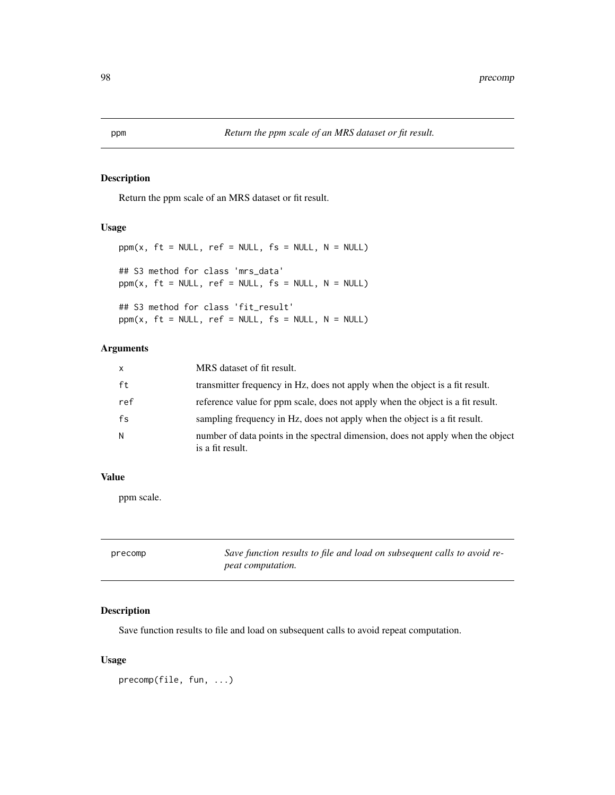Return the ppm scale of an MRS dataset or fit result.

#### Usage

```
ppm(x, ft = NULL, ref = NULL, fs = NULL, N = NULL)## S3 method for class 'mrs_data'
ppm(x, ft = NULL, ref = NULL, fs = NULL, N = NULL)## S3 method for class 'fit_result'
ppm(x, ft = NULL, ref = NULL, fs = NULL, N = NULL)
```
# Arguments

| $\mathsf{x}$ | MRS dataset of fit result.                                                                          |
|--------------|-----------------------------------------------------------------------------------------------------|
| ft           | transmitter frequency in Hz, does not apply when the object is a fit result.                        |
| ref          | reference value for ppm scale, does not apply when the object is a fit result.                      |
| fs           | sampling frequency in Hz, does not apply when the object is a fit result.                           |
| N.           | number of data points in the spectral dimension, does not apply when the object<br>is a fit result. |

#### Value

ppm scale.

| precomp | Save function results to file and load on subsequent calls to avoid re- |
|---------|-------------------------------------------------------------------------|
|         | <i>peat computation.</i>                                                |

# Description

Save function results to file and load on subsequent calls to avoid repeat computation.

#### Usage

precomp(file, fun, ...)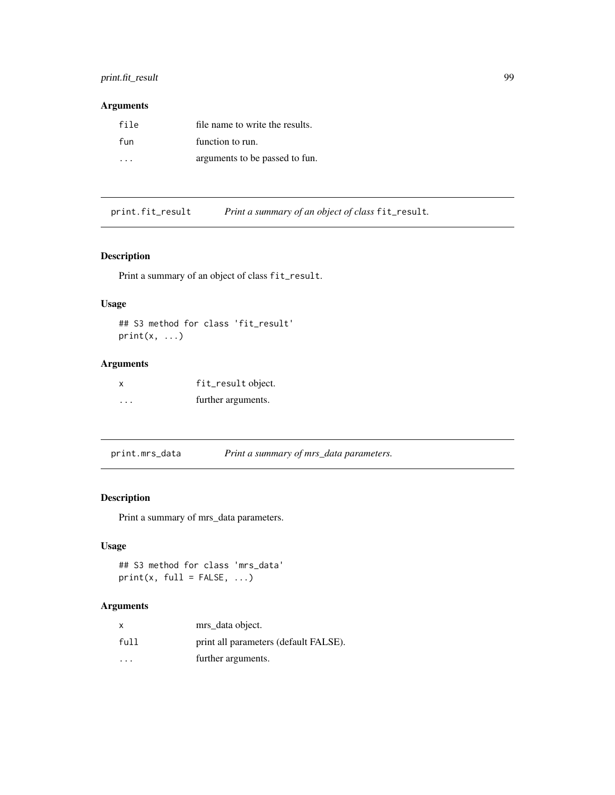# print.fit\_result 99

# Arguments

| file | file name to write the results. |
|------|---------------------------------|
| fun  | function to run.                |
| .    | arguments to be passed to fun.  |

print.fit\_result *Print a summary of an object of class* fit\_result*.*

### Description

Print a summary of an object of class fit\_result.

# Usage

```
## S3 method for class 'fit_result'
print(x, \ldots)
```
# Arguments

| X       | fit_result object. |
|---------|--------------------|
| $\cdot$ | further arguments. |

print.mrs\_data *Print a summary of mrs\_data parameters.*

# Description

Print a summary of mrs\_data parameters.

# Usage

```
## S3 method for class 'mrs_data'
print(x, full = FALSE, ...)
```

| X    | mrs_data object.                      |
|------|---------------------------------------|
| full | print all parameters (default FALSE). |
| .    | further arguments.                    |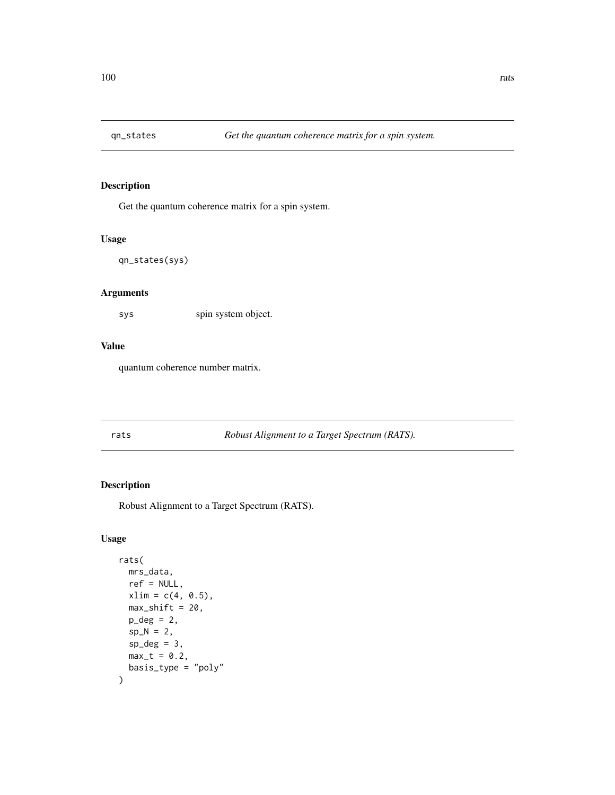Get the quantum coherence matrix for a spin system.

#### Usage

qn\_states(sys)

# Arguments

sys spin system object.

#### Value

quantum coherence number matrix.

rats *Robust Alignment to a Target Spectrum (RATS).*

### Description

Robust Alignment to a Target Spectrum (RATS).

### Usage

```
rats(
  mrs_data,
  ref = NULL,
  xlim = c(4, 0.5),
  max\_shift = 20,p_{\text{deg}} = 2,
  sp_N = 2,
  sp\_deg = 3,
  max_t = 0.2,
  basis_type = "poly"
)
```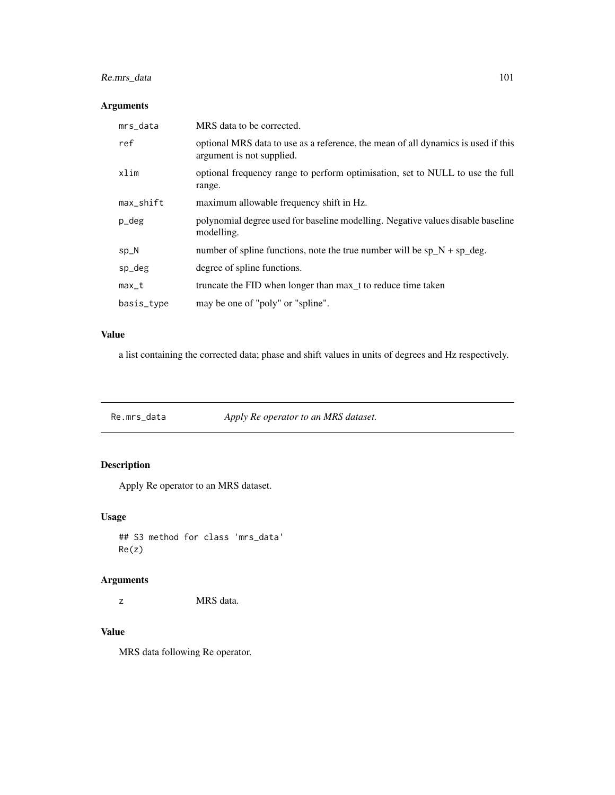# Re.mrs\_data 101

# Arguments

| mrs_data     | MRS data to be corrected.                                                                                      |
|--------------|----------------------------------------------------------------------------------------------------------------|
| ref          | optional MRS data to use as a reference, the mean of all dynamics is used if this<br>argument is not supplied. |
| xlim         | optional frequency range to perform optimisation, set to NULL to use the full<br>range.                        |
| $max$ _shift | maximum allowable frequency shift in Hz.                                                                       |
| p_deg        | polynomial degree used for baseline modelling. Negative values disable baseline<br>modelling.                  |
| $sp_N$       | number of spline functions, note the true number will be $sp_N + sp_{deg}$ .                                   |
| sp_deg       | degree of spline functions.                                                                                    |
| $max_t$      | truncate the FID when longer than max t to reduce time taken                                                   |
| basis_type   | may be one of "poly" or "spline".                                                                              |

#### Value

a list containing the corrected data; phase and shift values in units of degrees and Hz respectively.

Re.mrs\_data *Apply Re operator to an MRS dataset.*

# Description

Apply Re operator to an MRS dataset.

### Usage

## S3 method for class 'mrs\_data' Re(z)

# Arguments

z MRS data.

# Value

MRS data following Re operator.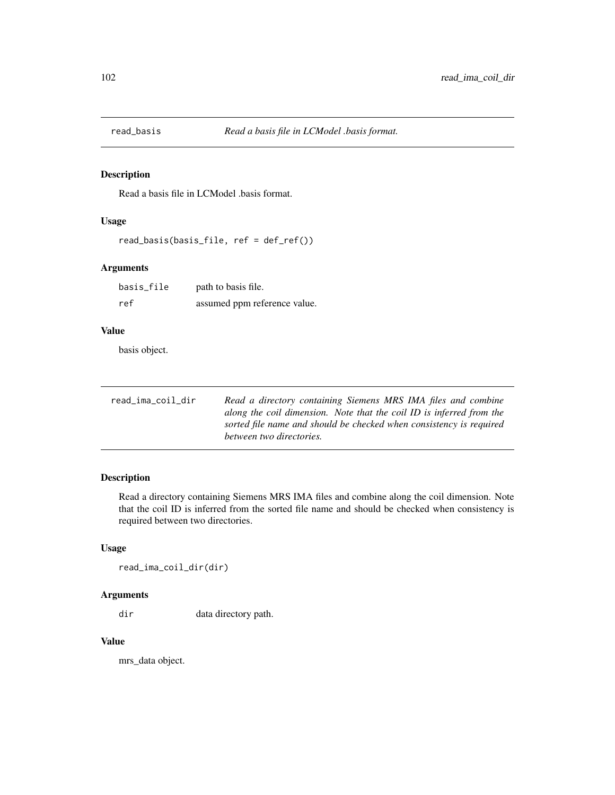Read a basis file in LCModel .basis format.

# Usage

read\_basis(basis\_file, ref = def\_ref())

### Arguments

| basis_file | path to basis file.          |
|------------|------------------------------|
| ref        | assumed ppm reference value. |

#### Value

basis object.

| read_ima_coil_dir | Read a directory containing Siemens MRS IMA files and combine        |
|-------------------|----------------------------------------------------------------------|
|                   | along the coil dimension. Note that the coil ID is inferred from the |
|                   | sorted file name and should be checked when consistency is required  |
|                   | between two directories.                                             |

### Description

Read a directory containing Siemens MRS IMA files and combine along the coil dimension. Note that the coil ID is inferred from the sorted file name and should be checked when consistency is required between two directories.

# Usage

read\_ima\_coil\_dir(dir)

### Arguments

dir data directory path.

#### Value

mrs\_data object.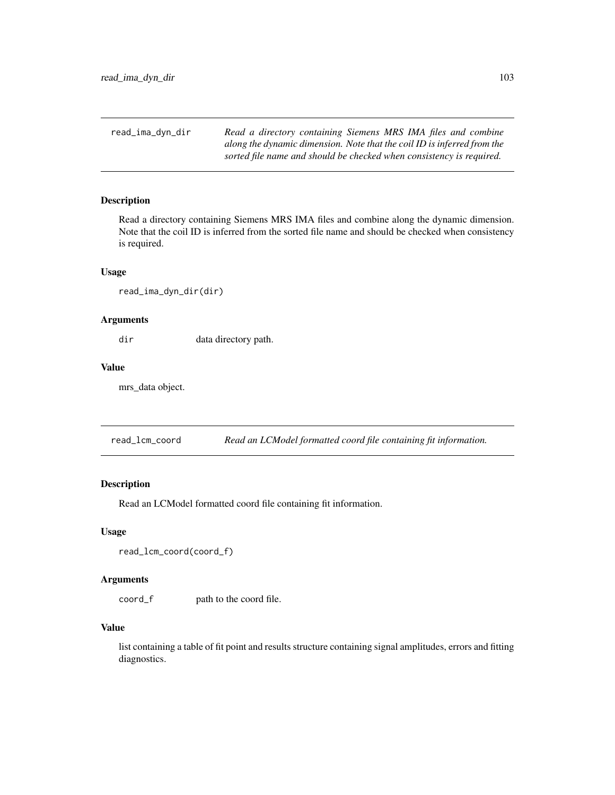read\_ima\_dyn\_dir *Read a directory containing Siemens MRS IMA files and combine along the dynamic dimension. Note that the coil ID is inferred from the sorted file name and should be checked when consistency is required.*

### Description

Read a directory containing Siemens MRS IMA files and combine along the dynamic dimension. Note that the coil ID is inferred from the sorted file name and should be checked when consistency is required.

#### Usage

```
read_ima_dyn_dir(dir)
```
## Arguments

dir data directory path.

#### Value

mrs\_data object.

read\_lcm\_coord *Read an LCModel formatted coord file containing fit information.*

#### Description

Read an LCModel formatted coord file containing fit information.

#### Usage

```
read_lcm_coord(coord_f)
```
### Arguments

coord\_f path to the coord file.

#### Value

list containing a table of fit point and results structure containing signal amplitudes, errors and fitting diagnostics.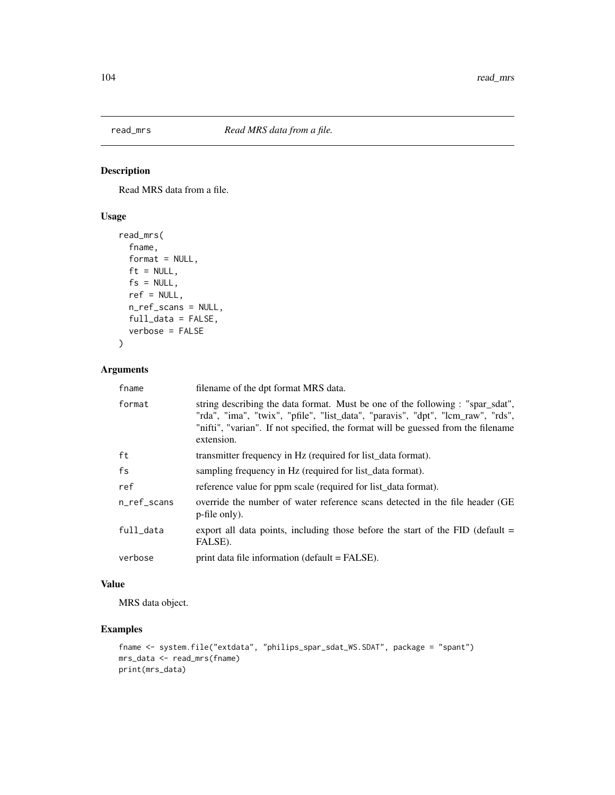Read MRS data from a file.

# Usage

```
read_mrs(
  fname,
 format = NULL,ft = NULL,fs = NULL,ref = NULL,n_ref_scans = NULL,
 full_data = FALSE,
 verbose = FALSE
)
```
## Arguments

| fname       | filename of the dpt format MRS data.                                                                                                                                                                                                                                 |
|-------------|----------------------------------------------------------------------------------------------------------------------------------------------------------------------------------------------------------------------------------------------------------------------|
| format      | string describing the data format. Must be one of the following : "spar_sdat",<br>"rda", "ima", "twix", "pfile", "list_data", "paravis", "dpt", "lcm_raw", "rds",<br>"nifti", "varian". If not specified, the format will be guessed from the filename<br>extension. |
| ft          | transmitter frequency in Hz (required for list data format).                                                                                                                                                                                                         |
| fs          | sampling frequency in Hz (required for list data format).                                                                                                                                                                                                            |
| ref         | reference value for ppm scale (required for list_data format).                                                                                                                                                                                                       |
| n ref scans | override the number of water reference scans detected in the file header (GE)<br>p-file only).                                                                                                                                                                       |
| full data   | export all data points, including those before the start of the $FID$ (default $=$<br>FALSE).                                                                                                                                                                        |
| verbose     | print data file information (default = FALSE).                                                                                                                                                                                                                       |
|             |                                                                                                                                                                                                                                                                      |

# Value

MRS data object.

# Examples

```
fname <- system.file("extdata", "philips_spar_sdat_WS.SDAT", package = "spant")
mrs_data <- read_mrs(fname)
print(mrs_data)
```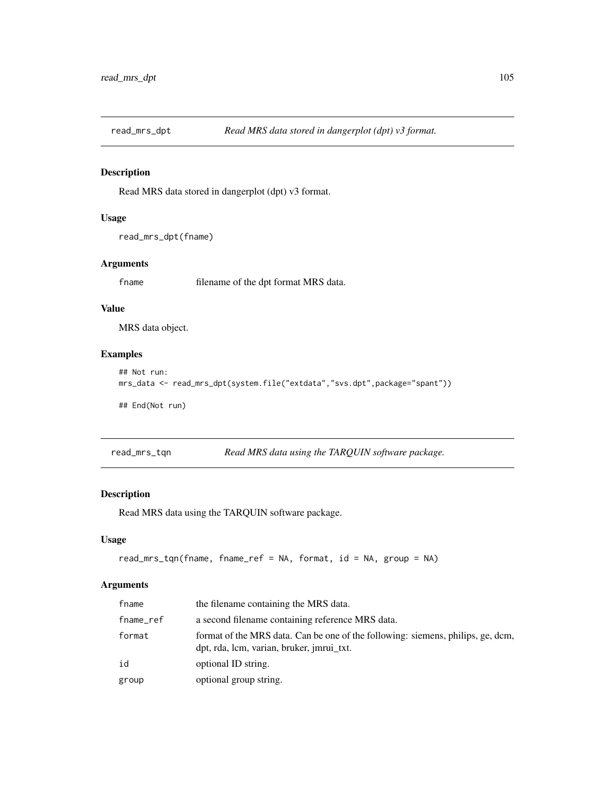Read MRS data stored in dangerplot (dpt) v3 format.

### Usage

```
read_mrs_dpt(fname)
```
### Arguments

fname filename of the dpt format MRS data.

#### Value

MRS data object.

# Examples

```
## Not run:
mrs_data <- read_mrs_dpt(system.file("extdata","svs.dpt",package="spant"))
```
## End(Not run)

| read_mrs_tqn | Read MRS data using the TARQUIN software package. |  |
|--------------|---------------------------------------------------|--|
|              |                                                   |  |

# Description

Read MRS data using the TARQUIN software package.

### Usage

```
read_mrs_tqn(fname, fname_ref = NA, format, id = NA, group = NA)
```

| fname     | the filename containing the MRS data.                                                                                        |
|-----------|------------------------------------------------------------------------------------------------------------------------------|
| fname_ref | a second filename containing reference MRS data.                                                                             |
| format    | format of the MRS data. Can be one of the following: siemens, philips, ge, dcm,<br>dpt, rda, lcm, varian, bruker, jmrui_txt. |
| id        | optional ID string.                                                                                                          |
| group     | optional group string.                                                                                                       |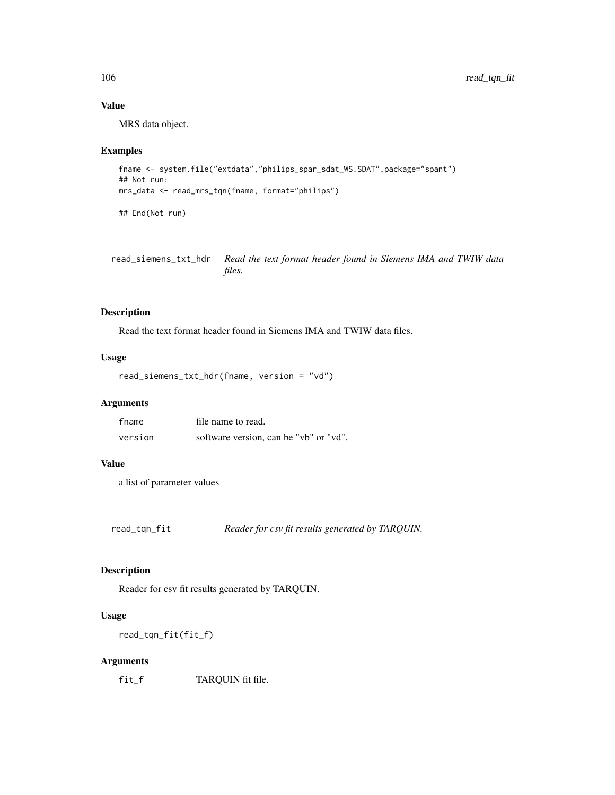# Value

MRS data object.

#### Examples

```
fname <- system.file("extdata","philips_spar_sdat_WS.SDAT",package="spant")
## Not run:
mrs_data <- read_mrs_tqn(fname, format="philips")
## End(Not run)
```
read\_siemens\_txt\_hdr *Read the text format header found in Siemens IMA and TWIW data files.*

### Description

Read the text format header found in Siemens IMA and TWIW data files.

#### Usage

```
read_siemens_txt_hdr(fname, version = "vd")
```
### Arguments

| fname   | file name to read.                     |
|---------|----------------------------------------|
| version | software version, can be "vb" or "vd". |

#### Value

a list of parameter values

read\_tqn\_fit *Reader for csv fit results generated by TARQUIN.*

#### Description

Reader for csv fit results generated by TARQUIN.

#### Usage

read\_tqn\_fit(fit\_f)

#### Arguments

fit\_f TARQUIN fit file.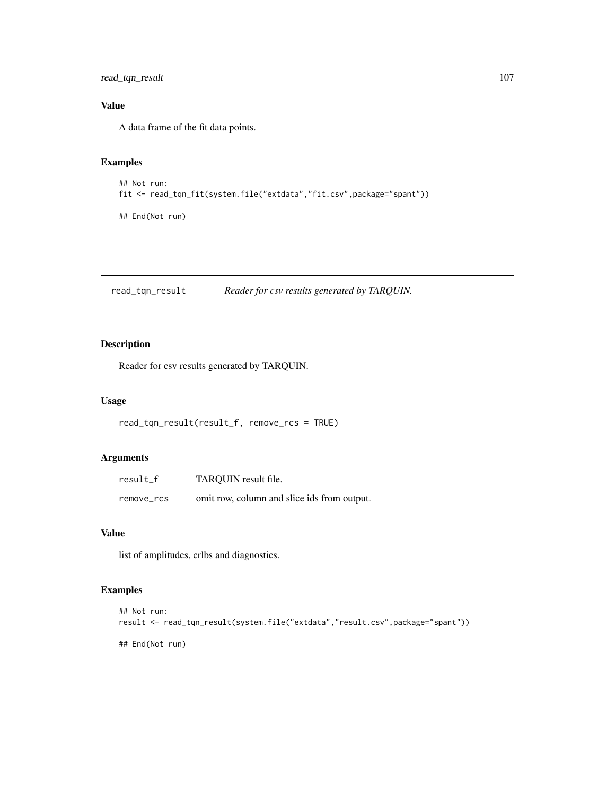read\_tqn\_result 107

# Value

A data frame of the fit data points.

### Examples

```
## Not run:
fit <- read_tqn_fit(system.file("extdata","fit.csv",package="spant"))
## End(Not run)
```
read\_tqn\_result *Reader for csv results generated by TARQUIN.*

# Description

Reader for csv results generated by TARQUIN.

### Usage

```
read_tqn_result(result_f, remove_rcs = TRUE)
```
### Arguments

| result f   | TARQUIN result file.                        |
|------------|---------------------------------------------|
| remove rcs | omit row, column and slice ids from output. |

#### Value

list of amplitudes, crlbs and diagnostics.

# Examples

```
## Not run:
result <- read_tqn_result(system.file("extdata","result.csv",package="spant"))
## End(Not run)
```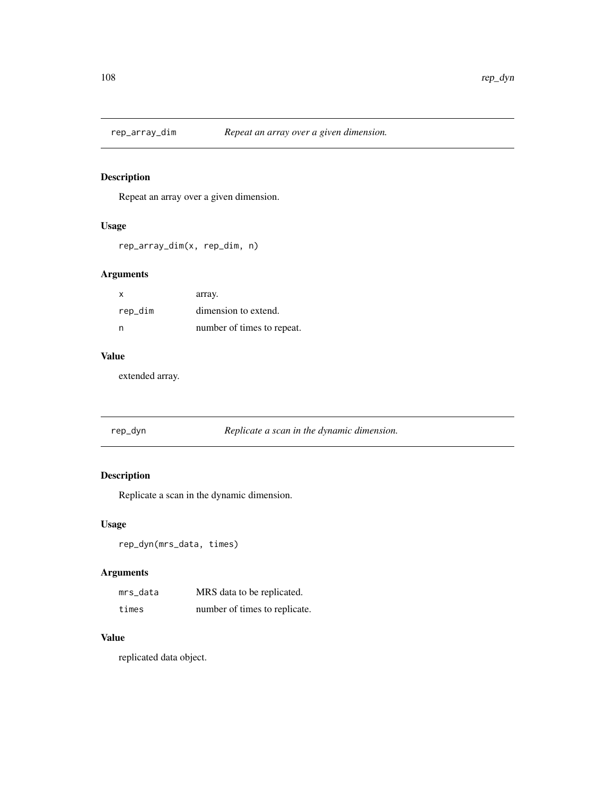Repeat an array over a given dimension.

### Usage

```
rep_array_dim(x, rep_dim, n)
```
### Arguments

| x       | array.                     |
|---------|----------------------------|
| rep_dim | dimension to extend.       |
| n       | number of times to repeat. |

### Value

extended array.

rep\_dyn *Replicate a scan in the dynamic dimension.*

# Description

Replicate a scan in the dynamic dimension.

### Usage

```
rep_dyn(mrs_data, times)
```
### Arguments

| mrs data | MRS data to be replicated.    |
|----------|-------------------------------|
| times    | number of times to replicate. |

#### Value

replicated data object.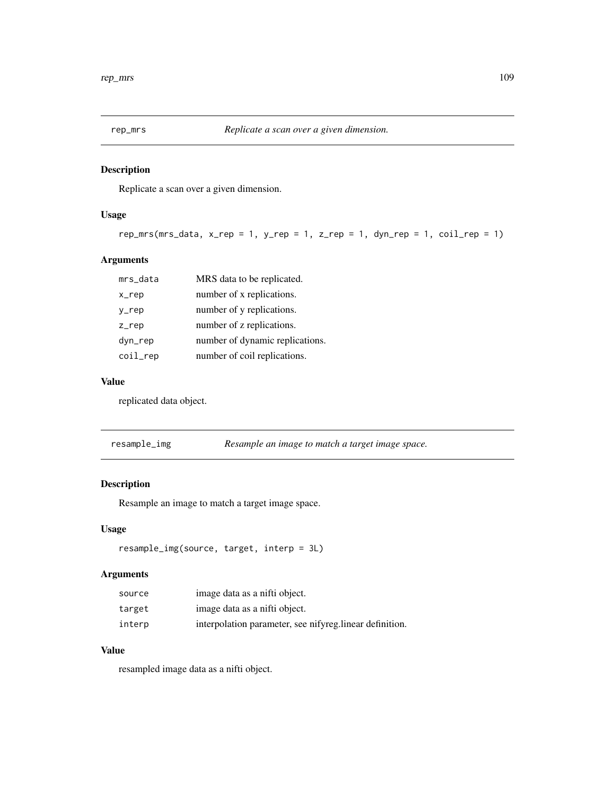Replicate a scan over a given dimension.

## Usage

```
rep_mrs(mrs_data, x_rep = 1, y_rep = 1, z_rep = 1, dyn_rep = 1, coil_rep = 1)
```
## Arguments

| mrs_data | MRS data to be replicated.      |
|----------|---------------------------------|
| x_rep    | number of x replications.       |
| y_rep    | number of y replications.       |
| $Z$ _rep | number of z replications.       |
| dyn_rep  | number of dynamic replications. |
| coil_rep | number of coil replications.    |

## Value

replicated data object.

| resample_img | Resample an image to match a target image space. |
|--------------|--------------------------------------------------|
|--------------|--------------------------------------------------|

## Description

Resample an image to match a target image space.

## Usage

```
resample_img(source, target, interp = 3L)
```
## Arguments

| source | image data as a nifti object.                            |
|--------|----------------------------------------------------------|
| target | image data as a nifti object.                            |
| interp | interpolation parameter, see nifyreg. linear definition. |

## Value

resampled image data as a nifti object.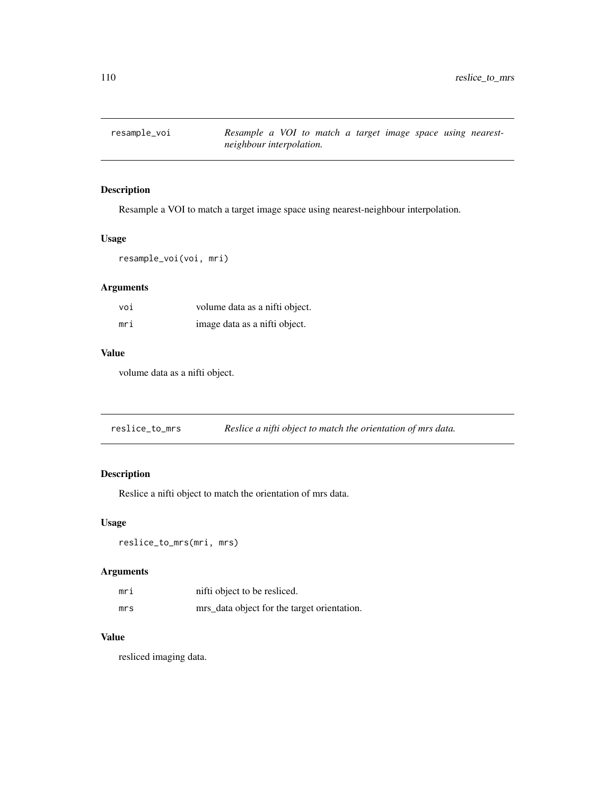Resample a VOI to match a target image space using nearest-neighbour interpolation.

#### Usage

resample\_voi(voi, mri)

## Arguments

| voi | volume data as a nifti object. |
|-----|--------------------------------|
| mri | image data as a nifti object.  |

## Value

volume data as a nifti object.

reslice\_to\_mrs *Reslice a nifti object to match the orientation of mrs data.*

## Description

Reslice a nifti object to match the orientation of mrs data.

#### Usage

reslice\_to\_mrs(mri, mrs)

## Arguments

| mri | nifti object to be resliced.                |
|-----|---------------------------------------------|
| mrs | mrs_data object for the target orientation. |

## Value

resliced imaging data.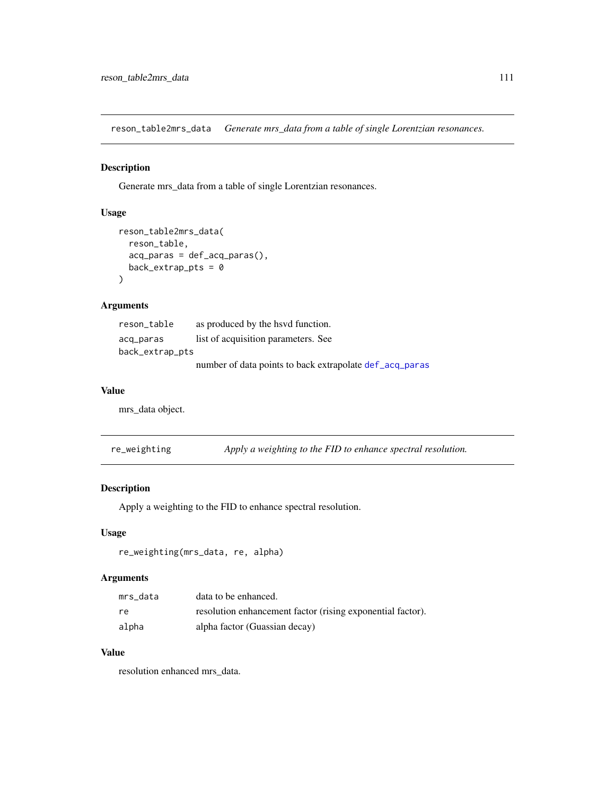reson\_table2mrs\_data *Generate mrs\_data from a table of single Lorentzian resonances.*

#### Description

Generate mrs\_data from a table of single Lorentzian resonances.

## Usage

```
reson_table2mrs_data(
  reson_table,
  acq_paras = def_acq_paras(),
  back\_extrap\_pts = 0\mathcal{L}
```
## Arguments

| reson_table     | as produced by the have function.                       |
|-----------------|---------------------------------------------------------|
| acq_paras       | list of acquisition parameters. See                     |
| back_extrap_pts |                                                         |
|                 | number of data points to back extrapolate def acq paras |

#### Value

mrs\_data object.

| re_weighting | Apply a weighting to the FID to enhance spectral resolution. |
|--------------|--------------------------------------------------------------|
|              |                                                              |

## Description

Apply a weighting to the FID to enhance spectral resolution.

#### Usage

re\_weighting(mrs\_data, re, alpha)

## Arguments

| mrs data | data to be enhanced.                                       |
|----------|------------------------------------------------------------|
| re.      | resolution enhancement factor (rising exponential factor). |
| alpha    | alpha factor (Guassian decay)                              |

## Value

resolution enhanced mrs\_data.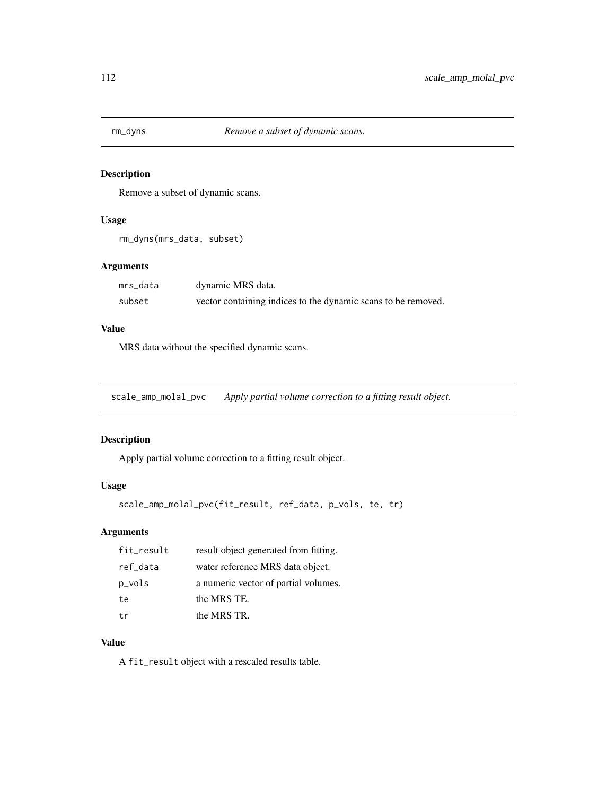Remove a subset of dynamic scans.

## Usage

```
rm_dyns(mrs_data, subset)
```
#### Arguments

| mrs_data | dynamic MRS data.                                             |
|----------|---------------------------------------------------------------|
| subset   | vector containing indices to the dynamic scans to be removed. |

#### Value

MRS data without the specified dynamic scans.

scale\_amp\_molal\_pvc *Apply partial volume correction to a fitting result object.*

## Description

Apply partial volume correction to a fitting result object.

## Usage

```
scale_amp_molal_pvc(fit_result, ref_data, p_vols, te, tr)
```
## Arguments

| fit_result | result object generated from fitting. |
|------------|---------------------------------------|
| ref_data   | water reference MRS data object.      |
| p_vols     | a numeric vector of partial volumes.  |
| te         | the MRS TE.                           |
| tr         | the MRS TR.                           |

## Value

A fit\_result object with a rescaled results table.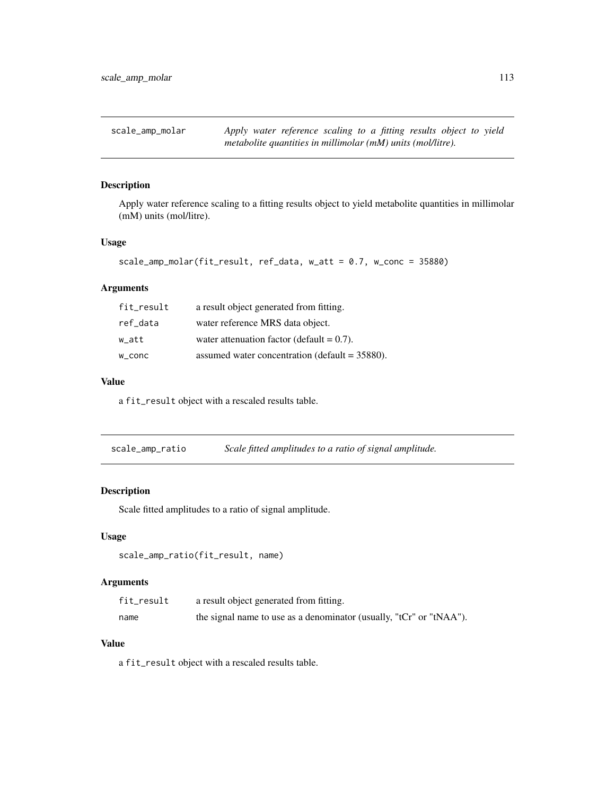Apply water reference scaling to a fitting results object to yield metabolite quantities in millimolar (mM) units (mol/litre).

#### Usage

```
scale_amp_molar(fit_result, ref_data, w_att = 0.7, w_conc = 35880)
```
#### Arguments

| fit_result | a result object generated from fitting.          |
|------------|--------------------------------------------------|
| ref_data   | water reference MRS data object.                 |
| w att      | water attenuation factor (default $= 0.7$ ).     |
| w_conc     | assumed water concentration (default $=$ 35880). |

#### Value

a fit\_result object with a rescaled results table.

scale\_amp\_ratio *Scale fitted amplitudes to a ratio of signal amplitude.*

## Description

Scale fitted amplitudes to a ratio of signal amplitude.

#### Usage

```
scale_amp_ratio(fit_result, name)
```
## Arguments

| fit_result | a result object generated from fitting.                             |
|------------|---------------------------------------------------------------------|
| name       | the signal name to use as a denominator (usually, "tCr" or "tNAA"). |

#### Value

a fit\_result object with a rescaled results table.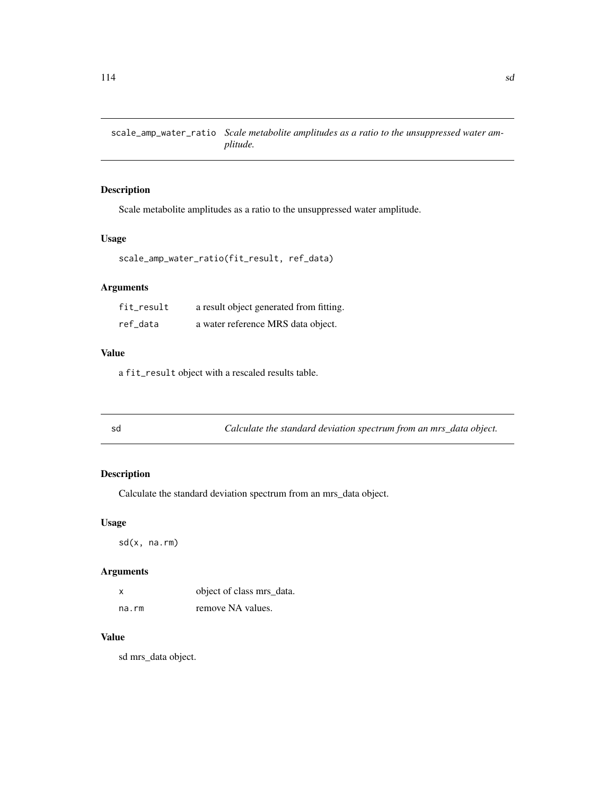scale\_amp\_water\_ratio *Scale metabolite amplitudes as a ratio to the unsuppressed water amplitude.*

#### Description

Scale metabolite amplitudes as a ratio to the unsuppressed water amplitude.

#### Usage

```
scale_amp_water_ratio(fit_result, ref_data)
```
## Arguments

| fit_result | a result object generated from fitting. |
|------------|-----------------------------------------|
| ref_data   | a water reference MRS data object.      |

## Value

a fit\_result object with a rescaled results table.

| I |
|---|

sd *Calculate the standard deviation spectrum from an mrs\_data object.*

## Description

Calculate the standard deviation spectrum from an mrs\_data object.

#### Usage

sd(x, na.rm)

#### Arguments

| X     | object of class mrs_data. |
|-------|---------------------------|
| na.rm | remove NA values.         |

## Value

sd mrs\_data object.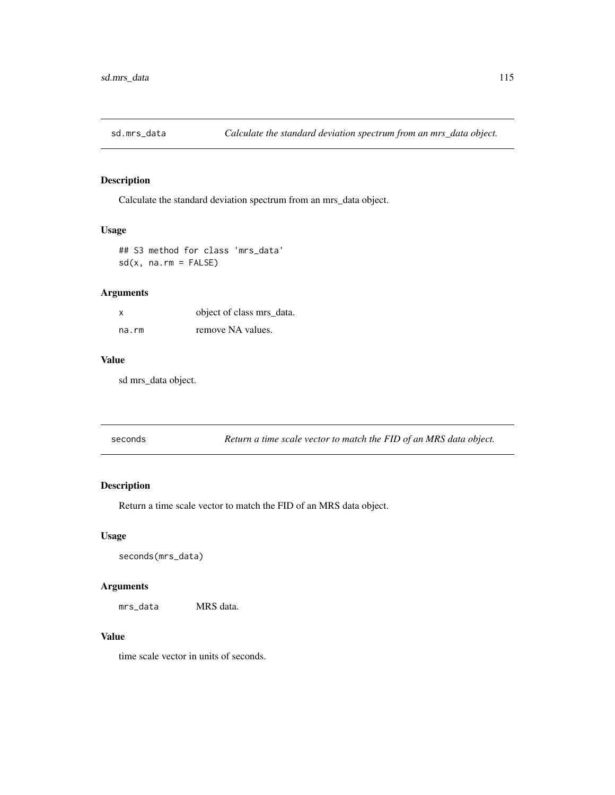Calculate the standard deviation spectrum from an mrs\_data object.

#### Usage

## S3 method for class 'mrs\_data'  $sd(x, na.rm = FALSE)$ 

## Arguments

| X     | object of class mrs_data. |
|-------|---------------------------|
| na.rm | remove NA values.         |

#### Value

sd mrs\_data object.

| seconds | Return a time scale vector to match the FID of an MRS data object. |
|---------|--------------------------------------------------------------------|
|         |                                                                    |

## Description

Return a time scale vector to match the FID of an MRS data object.

#### Usage

```
seconds(mrs_data)
```
#### Arguments

mrs\_data MRS data.

## Value

time scale vector in units of seconds.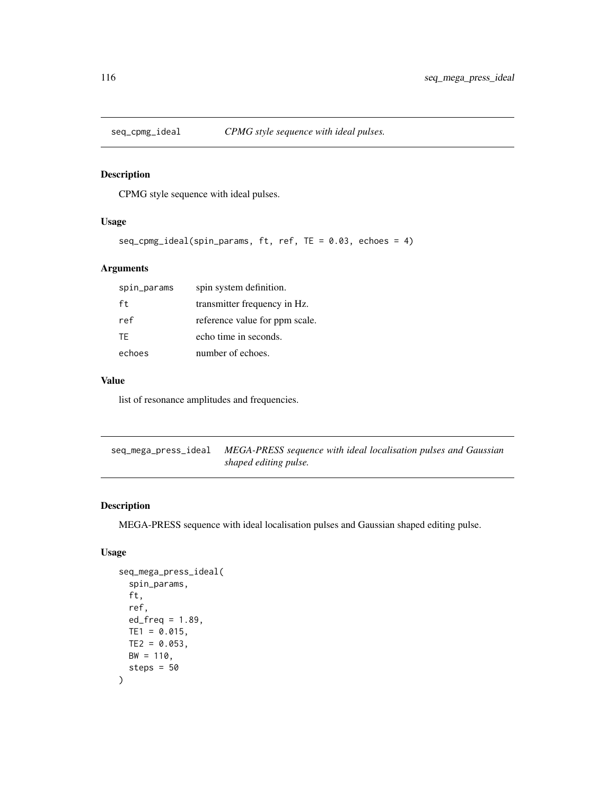CPMG style sequence with ideal pulses.

## Usage

```
seq_cpmg_ideal(spin_params, ft, ref, TE = 0.03, echoes = 4)
```
## Arguments

| spin_params | spin system definition.        |
|-------------|--------------------------------|
| ft.         | transmitter frequency in Hz.   |
| ref         | reference value for ppm scale. |
| TF.         | echo time in seconds.          |
| echoes      | number of echoes.              |

## Value

list of resonance amplitudes and frequencies.

seq\_mega\_press\_ideal *MEGA-PRESS sequence with ideal localisation pulses and Gaussian shaped editing pulse.*

#### Description

MEGA-PRESS sequence with ideal localisation pulses and Gaussian shaped editing pulse.

## Usage

```
seq_mega_press_ideal(
  spin_params,
  ft,
  ref,
  ed_freq = 1.89,
 TE1 = 0.015,
  TE2 = 0.053,
 BW = 110,steps = 50
\mathcal{E}
```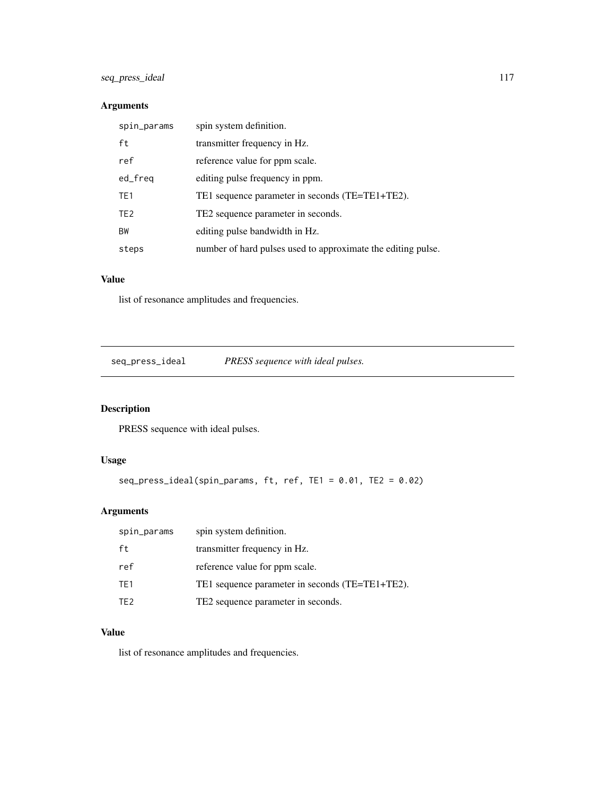## Arguments

| spin_params     | spin system definition.                                      |
|-----------------|--------------------------------------------------------------|
| ft              | transmitter frequency in Hz.                                 |
| ref             | reference value for ppm scale.                               |
| ed_freq         | editing pulse frequency in ppm.                              |
| TE <sub>1</sub> | TE1 sequence parameter in seconds (TE=TE1+TE2).              |
| TE <sub>2</sub> | TE2 sequence parameter in seconds.                           |
| <b>BW</b>       | editing pulse bandwidth in Hz.                               |
| steps           | number of hard pulses used to approximate the editing pulse. |

## Value

list of resonance amplitudes and frequencies.

seq\_press\_ideal *PRESS sequence with ideal pulses.*

## Description

PRESS sequence with ideal pulses.

## Usage

```
seq_press_ideal(spin_params, ft, ref, TE1 = 0.01, TE2 = 0.02)
```
## Arguments

| spin_params     | spin system definition.                         |
|-----------------|-------------------------------------------------|
| ft              | transmitter frequency in Hz.                    |
| ref             | reference value for ppm scale.                  |
| TE1             | TE1 sequence parameter in seconds (TE=TE1+TE2). |
| TF <sub>2</sub> | TE2 sequence parameter in seconds.              |

## Value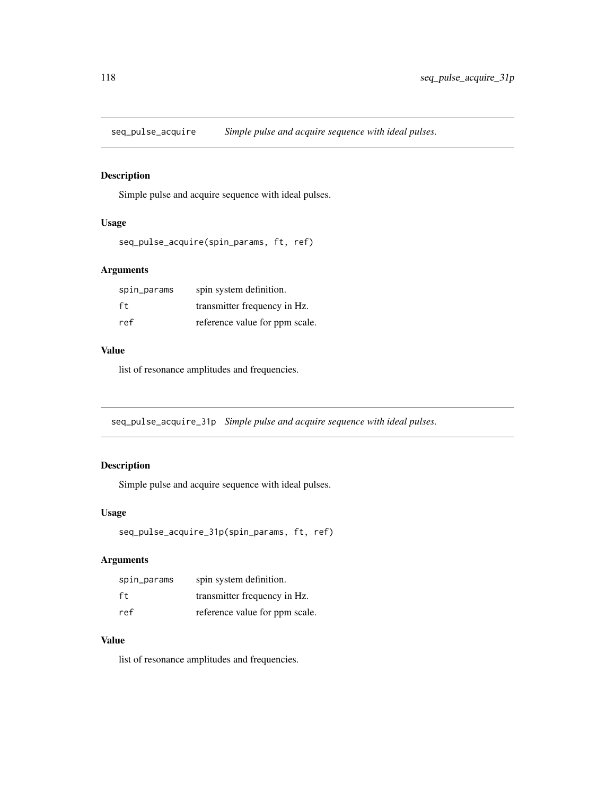seq\_pulse\_acquire *Simple pulse and acquire sequence with ideal pulses.*

## Description

Simple pulse and acquire sequence with ideal pulses.

#### Usage

```
seq_pulse_acquire(spin_params, ft, ref)
```
## Arguments

| spin_params | spin system definition.        |
|-------------|--------------------------------|
| ft          | transmitter frequency in Hz.   |
| ref         | reference value for ppm scale. |

#### Value

list of resonance amplitudes and frequencies.

seq\_pulse\_acquire\_31p *Simple pulse and acquire sequence with ideal pulses.*

## Description

Simple pulse and acquire sequence with ideal pulses.

## Usage

```
seq_pulse_acquire_31p(spin_params, ft, ref)
```
## Arguments

| spin_params | spin system definition.        |
|-------------|--------------------------------|
| ft.         | transmitter frequency in Hz.   |
| ref         | reference value for ppm scale. |

## Value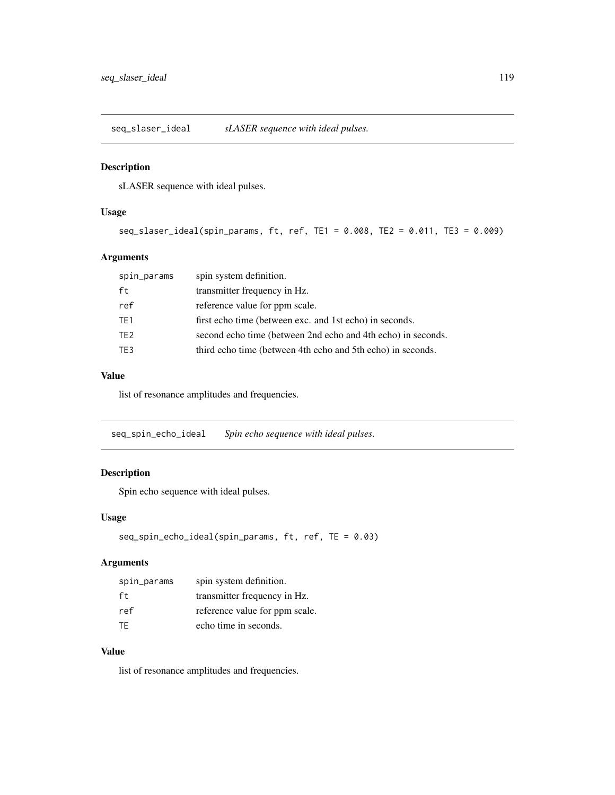seq\_slaser\_ideal *sLASER sequence with ideal pulses.*

#### Description

sLASER sequence with ideal pulses.

#### Usage

seq\_slaser\_ideal(spin\_params, ft, ref, TE1 = 0.008, TE2 = 0.011, TE3 = 0.009)

## Arguments

| spin_params     | spin system definition.                                      |
|-----------------|--------------------------------------------------------------|
| ft              | transmitter frequency in Hz.                                 |
| ref             | reference value for ppm scale.                               |
| TE1             | first echo time (between exc. and 1st echo) in seconds.      |
| TE <sub>2</sub> | second echo time (between 2nd echo and 4th echo) in seconds. |
| TE3             | third echo time (between 4th echo and 5th echo) in seconds.  |

#### Value

list of resonance amplitudes and frequencies.

seq\_spin\_echo\_ideal *Spin echo sequence with ideal pulses.*

## Description

Spin echo sequence with ideal pulses.

#### Usage

```
seq_spin_echo_ideal(spin_params, ft, ref, TE = 0.03)
```
## Arguments

| spin_params | spin system definition.        |
|-------------|--------------------------------|
| ft          | transmitter frequency in Hz.   |
| ref         | reference value for ppm scale. |
| TF.         | echo time in seconds.          |

## Value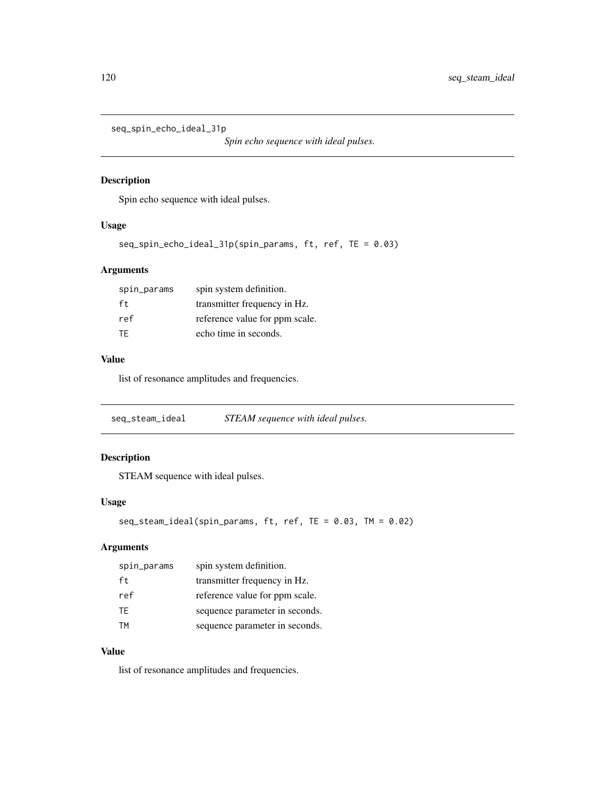seq\_spin\_echo\_ideal\_31p

*Spin echo sequence with ideal pulses.*

## Description

Spin echo sequence with ideal pulses.

## Usage

```
seq_spin_echo_ideal_31p(spin_params, ft, ref, TE = 0.03)
```
## Arguments

| spin_params | spin system definition.        |
|-------------|--------------------------------|
| ft          | transmitter frequency in Hz.   |
| ref         | reference value for ppm scale. |
| TF.         | echo time in seconds.          |

## Value

list of resonance amplitudes and frequencies.

seq\_steam\_ideal *STEAM sequence with ideal pulses.*

## Description

STEAM sequence with ideal pulses.

## Usage

```
seq_steam_ideal(spin_params, ft, ref, TE = 0.03, TM = 0.02)
```
## Arguments

| spin_params | spin system definition.        |
|-------------|--------------------------------|
| ft.         | transmitter frequency in Hz.   |
| ref         | reference value for ppm scale. |
| TF.         | sequence parameter in seconds. |
| тм          | sequence parameter in seconds. |

#### Value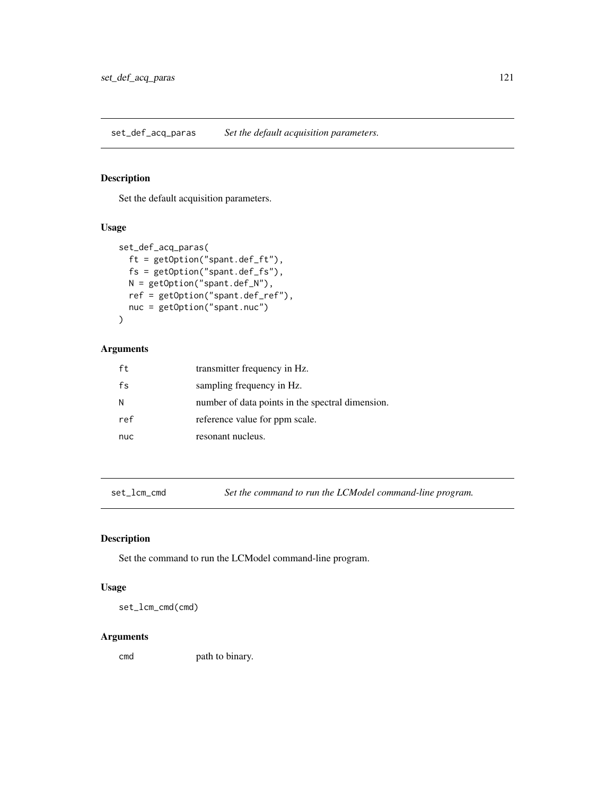set\_def\_acq\_paras *Set the default acquisition parameters.*

## Description

Set the default acquisition parameters.

#### Usage

```
set_def_acq_paras(
 ft = getOption("spant.def_ft"),
 fs = getOption("spant.def_fs"),
 N = getOption("spant.def_N"),
 ref = getOption("spant.def_ref"),
 nuc = getOption("spant.nuc")
)
```
## Arguments

| ft  | transmitter frequency in Hz.                     |
|-----|--------------------------------------------------|
| fs  | sampling frequency in Hz.                        |
| N   | number of data points in the spectral dimension. |
| ref | reference value for ppm scale.                   |
| nuc | resonant nucleus.                                |

set\_lcm\_cmd *Set the command to run the LCModel command-line program.*

## Description

Set the command to run the LCModel command-line program.

#### Usage

set\_lcm\_cmd(cmd)

#### Arguments

cmd path to binary.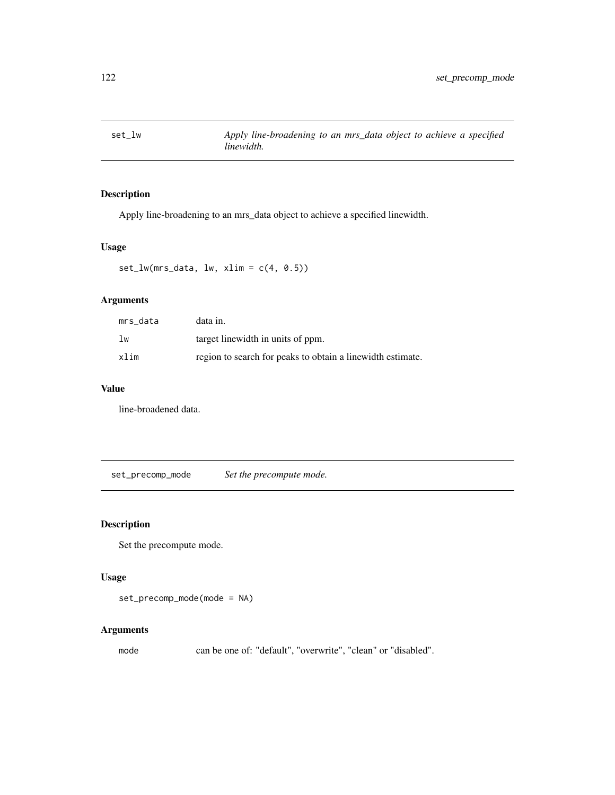Apply line-broadening to an mrs\_data object to achieve a specified linewidth.

## Usage

 $set_lw(mrs_data, lw, xlim = c(4, 0.5))$ 

## Arguments

| mrs data | data in.                                                   |
|----------|------------------------------------------------------------|
| 1w       | target linewidth in units of ppm.                          |
| xlim     | region to search for peaks to obtain a linewidth estimate. |

## Value

line-broadened data.

set\_precomp\_mode *Set the precompute mode.*

## Description

Set the precompute mode.

## Usage

set\_precomp\_mode(mode = NA)

#### Arguments

mode can be one of: "default", "overwrite", "clean" or "disabled".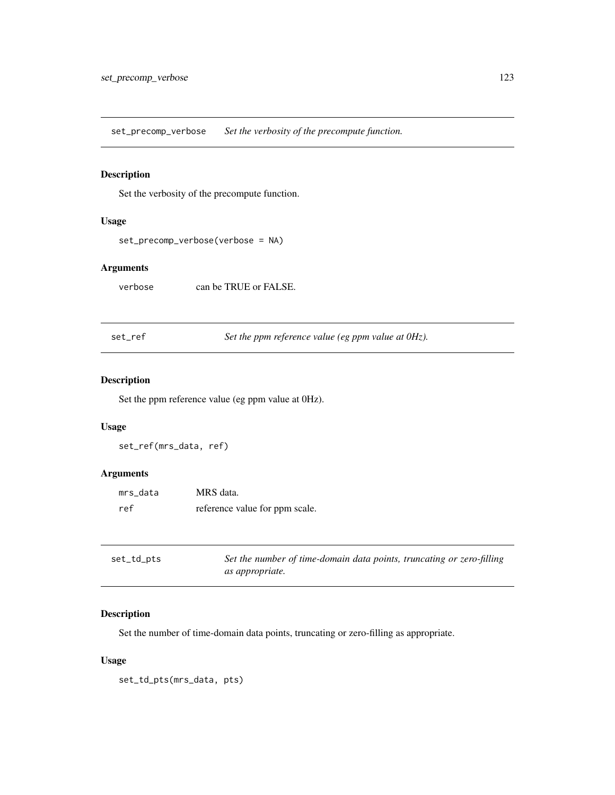set\_precomp\_verbose *Set the verbosity of the precompute function.*

## Description

Set the verbosity of the precompute function.

## Usage

```
set_precomp_verbose(verbose = NA)
```
## Arguments

verbose can be TRUE or FALSE.

set\_ref *Set the ppm reference value (eg ppm value at 0Hz).*

## Description

Set the ppm reference value (eg ppm value at 0Hz).

## Usage

set\_ref(mrs\_data, ref)

## Arguments

| mrs data | MRS data.                      |
|----------|--------------------------------|
| ref      | reference value for ppm scale. |

| set_td_pts | Set the number of time-domain data points, truncating or zero-filling |
|------------|-----------------------------------------------------------------------|
|            | <i>as appropriate.</i>                                                |

## Description

Set the number of time-domain data points, truncating or zero-filling as appropriate.

## Usage

set\_td\_pts(mrs\_data, pts)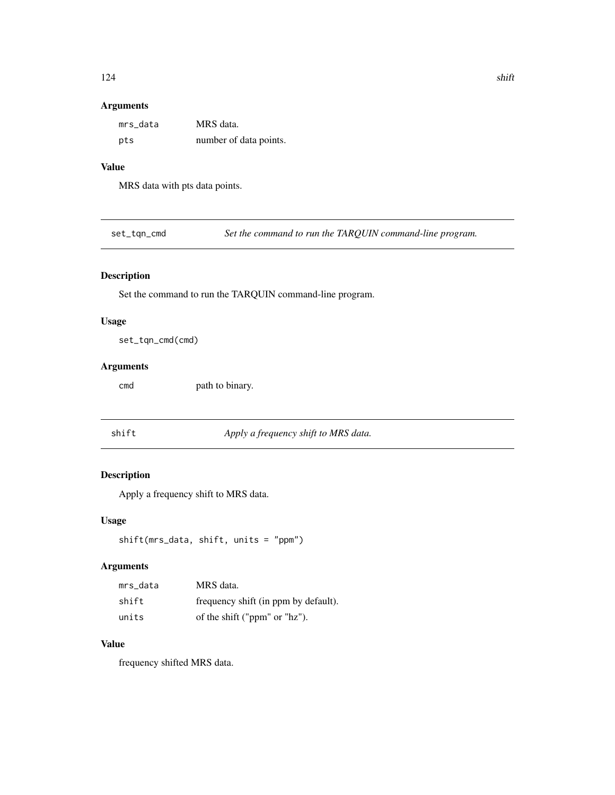## Arguments

| mrs data | MRS data.              |
|----------|------------------------|
| pts      | number of data points. |

#### Value

MRS data with pts data points.

set\_tqn\_cmd *Set the command to run the TARQUIN command-line program.*

## Description

Set the command to run the TARQUIN command-line program.

## Usage

set\_tqn\_cmd(cmd)

#### Arguments

cmd path to binary.

shift *Apply a frequency shift to MRS data.*

## Description

Apply a frequency shift to MRS data.

#### Usage

```
shift(mrs_data, shift, units = "ppm")
```
#### Arguments

| mrs data | MRS data.                            |
|----------|--------------------------------------|
| shift    | frequency shift (in ppm by default). |
| units    | of the shift ("ppm" or "hz").        |

## Value

frequency shifted MRS data.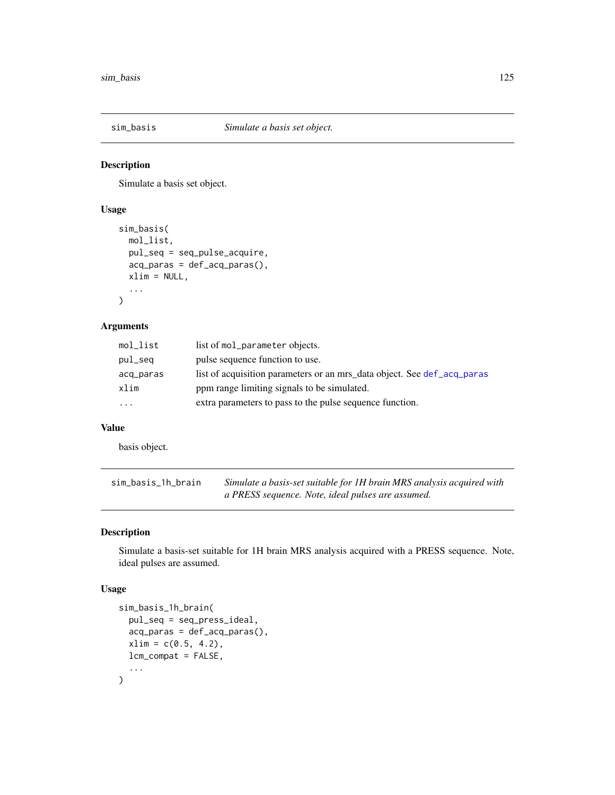Simulate a basis set object.

## Usage

```
sim_basis(
 mol_list,
 pul_seq = seq_pulse_acquire,
  acq_paras = def_acq_paras(),
 xlim = NULL,
  ...
)
```
## Arguments

| mol_list  | list of mol_parameter objects.                                          |
|-----------|-------------------------------------------------------------------------|
| pul_seq   | pulse sequence function to use.                                         |
| acq_paras | list of acquisition parameters or an mrs_data object. See def_acq_paras |
| xlim      | ppm range limiting signals to be simulated.                             |
| $\cdots$  | extra parameters to pass to the pulse sequence function.                |
|           |                                                                         |

#### Value

basis object.

| sim_basis_1h_brain | Simulate a basis-set suitable for 1H brain MRS analysis acquired with |
|--------------------|-----------------------------------------------------------------------|
|                    | a PRESS sequence. Note, ideal pulses are assumed.                     |

## Description

Simulate a basis-set suitable for 1H brain MRS analysis acquired with a PRESS sequence. Note, ideal pulses are assumed.

#### Usage

```
sim_basis_1h_brain(
  pul_seq = seq_press_ideal,
  acq_paras = def_acq_paras(),
  xlim = c(0.5, 4.2),
  lcm_compat = FALSE,
  ...
\mathcal{L}
```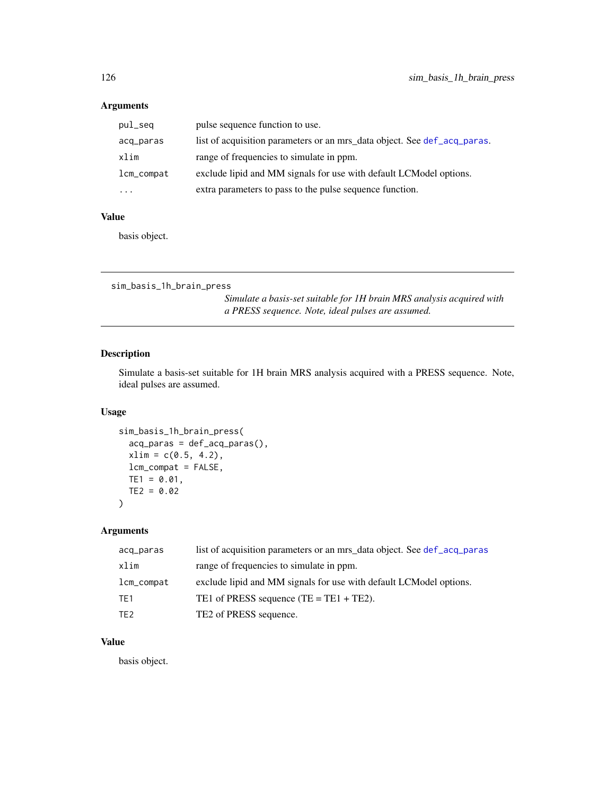## Arguments

| pul_seq    | pulse sequence function to use.                                          |
|------------|--------------------------------------------------------------------------|
| acq_paras  | list of acquisition parameters or an mrs_data object. See def_acq_paras. |
| xlim       | range of frequencies to simulate in ppm.                                 |
| lcm_compat | exclude lipid and MM signals for use with default LCModel options.       |
| $\cdots$   | extra parameters to pass to the pulse sequence function.                 |

#### Value

basis object.

```
sim_basis_1h_brain_press
```
*Simulate a basis-set suitable for 1H brain MRS analysis acquired with a PRESS sequence. Note, ideal pulses are assumed.*

## Description

Simulate a basis-set suitable for 1H brain MRS analysis acquired with a PRESS sequence. Note, ideal pulses are assumed.

#### Usage

```
sim_basis_1h_brain_press(
  acq_paras = def_acq_paras(),
 xlim = c(0.5, 4.2),
 lcm_compat = FALSE,
 TE1 = 0.01,TE2 = 0.02)
```
## Arguments

| acq_paras       | list of acquisition parameters or an mrs_data object. See def_acq_paras |
|-----------------|-------------------------------------------------------------------------|
| xlim            | range of frequencies to simulate in ppm.                                |
| lcm_compat      | exclude lipid and MM signals for use with default LCModel options.      |
| TE1             | TE1 of PRESS sequence $(TE = TE1 + TE2)$ .                              |
| TE <sub>2</sub> | TE2 of PRESS sequence.                                                  |

## Value

basis object.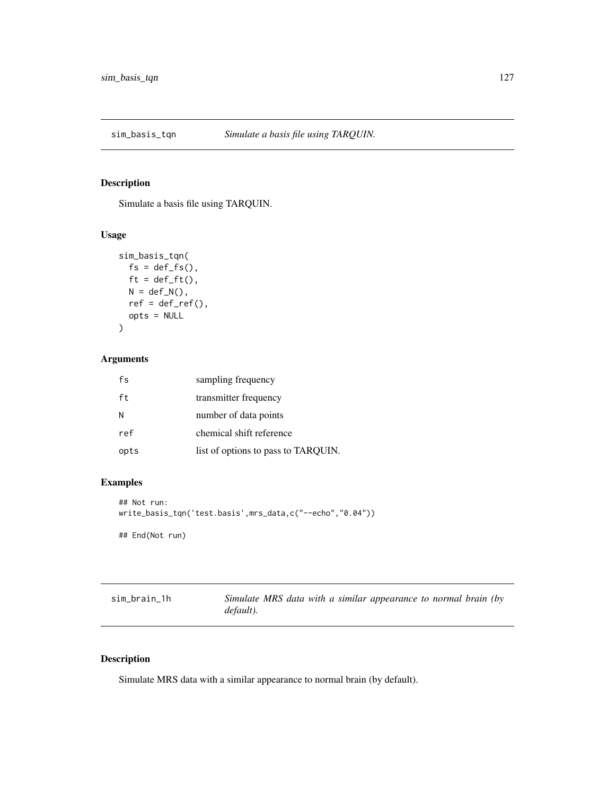Simulate a basis file using TARQUIN.

## Usage

```
sim_basis_tqn(
 fs = def_fs(),ft = def_fft(),N = def_N(),
 ref = def_ref(),opts = NULL
)
```
## Arguments

| fs   | sampling frequency                  |
|------|-------------------------------------|
| ft   | transmitter frequency               |
| N    | number of data points               |
| ref  | chemical shift reference            |
| opts | list of options to pass to TARQUIN. |

## Examples

```
## Not run:
write_basis_tqn('test.basis',mrs_data,c("--echo","0.04"))
## End(Not run)
```

| sim_brain_1h | Simulate MRS data with a similar appearance to normal brain (by |  |  |  |  |
|--------------|-----------------------------------------------------------------|--|--|--|--|
|              | default).                                                       |  |  |  |  |

## Description

Simulate MRS data with a similar appearance to normal brain (by default).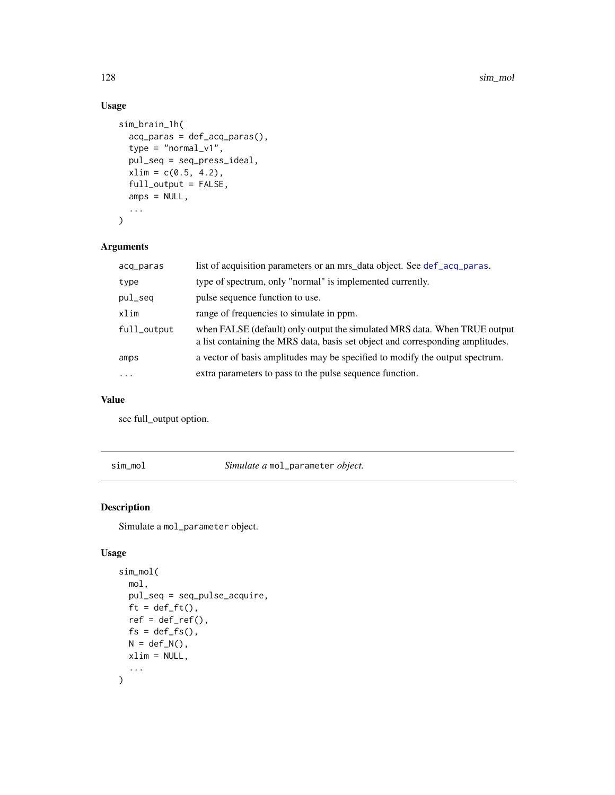## Usage

```
sim_brain_1h(
 acq_paras = def_acq_paras(),
  type = "normal_v1",
 pul_seq = seq_press_ideal,
 xlim = c(0.5, 4.2),full_output = FALSE,
 amps = NULL,...
)
```
## Arguments

| acq_paras   | list of acquisition parameters or an mrs_data object. See def_acq_paras.                                                                                    |
|-------------|-------------------------------------------------------------------------------------------------------------------------------------------------------------|
| type        | type of spectrum, only "normal" is implemented currently.                                                                                                   |
| pul_seq     | pulse sequence function to use.                                                                                                                             |
| xlim        | range of frequencies to simulate in ppm.                                                                                                                    |
| full_output | when FALSE (default) only output the simulated MRS data. When TRUE output<br>a list containing the MRS data, basis set object and corresponding amplitudes. |
| amps        | a vector of basis amplitudes may be specified to modify the output spectrum.                                                                                |
| $\ddotsc$   | extra parameters to pass to the pulse sequence function.                                                                                                    |

#### Value

see full\_output option.

sim\_mol *Simulate a* mol\_parameter *object.*

## Description

Simulate a mol\_parameter object.

## Usage

```
sim_mol(
  mol,
  pul_seq = seq_pulse_acquire,
  ft = def_f(t),ref = def_ref(),fs = def_fs(),N = def_N(),
  xlim = NULL,
  ...
\overline{\phantom{a}}
```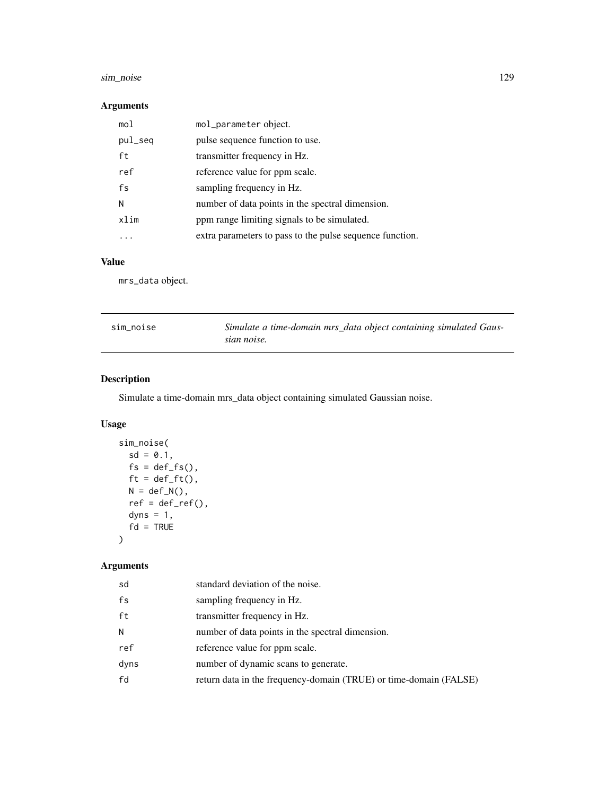## sim\_noise 129

## Arguments

| mol     | mol_parameter object.                                    |
|---------|----------------------------------------------------------|
| pul_seq | pulse sequence function to use.                          |
| ft      | transmitter frequency in Hz.                             |
| ref     | reference value for ppm scale.                           |
| fs      | sampling frequency in Hz.                                |
| N       | number of data points in the spectral dimension.         |
| xlim    | ppm range limiting signals to be simulated.              |
| .       | extra parameters to pass to the pulse sequence function. |

## Value

mrs\_data object.

| sim noise | Simulate a time-domain mrs_data object containing simulated Gaus-<br>sian noise. |
|-----------|----------------------------------------------------------------------------------|
|           |                                                                                  |

## Description

Simulate a time-domain mrs\_data object containing simulated Gaussian noise.

## Usage

```
sim_noise(
  sd = 0.1,
  fs = def_fs(),ft = def_fft(),N = def_N(),
  ref = def_ref(),dyns = 1,
  fd = TRUE\mathcal{L}
```
## Arguments

| sd   | standard deviation of the noise.                                  |
|------|-------------------------------------------------------------------|
| fs   | sampling frequency in Hz.                                         |
| ft   | transmitter frequency in Hz.                                      |
| Ν    | number of data points in the spectral dimension.                  |
| ref  | reference value for ppm scale.                                    |
| dyns | number of dynamic scans to generate.                              |
| fd   | return data in the frequency-domain (TRUE) or time-domain (FALSE) |
|      |                                                                   |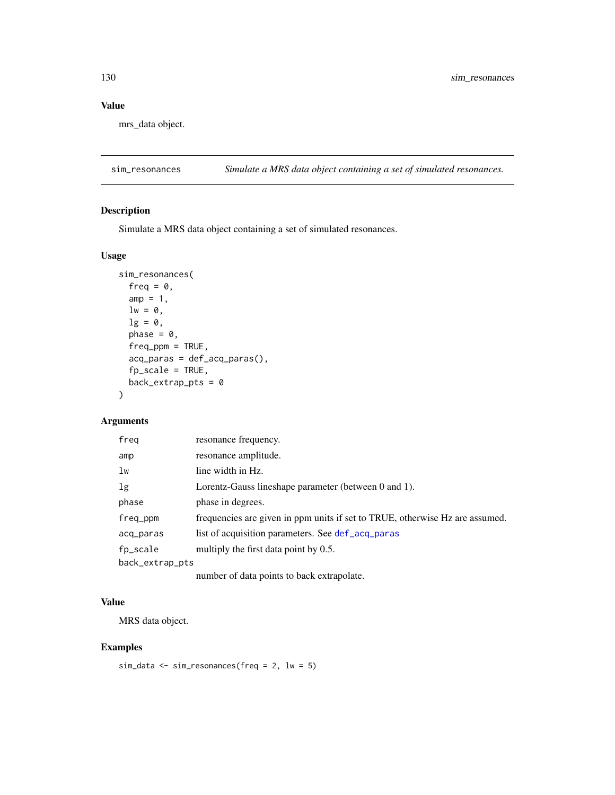## Value

mrs\_data object.

sim\_resonances *Simulate a MRS data object containing a set of simulated resonances.*

#### Description

Simulate a MRS data object containing a set of simulated resonances.

#### Usage

```
sim_resonances(
  freq = \theta,
  amp = 1,
 lw = 0,lg = 0,
 phase = \theta,
  freq_ppm = TRUE,
  acq_paras = def_acq_paras(),
  fp_scale = TRUE,
 back\_extrap\_pts = 0)
```
## Arguments

| freq            | resonance frequency.                                                         |
|-----------------|------------------------------------------------------------------------------|
| amp             | resonance amplitude.                                                         |
| 1w              | line width in Hz.                                                            |
| 1 <sub>g</sub>  | Lorentz-Gauss lineshape parameter (between 0 and 1).                         |
| phase           | phase in degrees.                                                            |
| freq_ppm        | frequencies are given in ppm units if set to TRUE, otherwise Hz are assumed. |
| acq_paras       | list of acquisition parameters. See def_acq_paras                            |
| fp_scale        | multiply the first data point by 0.5.                                        |
| back_extrap_pts |                                                                              |
|                 | number of data points to back extrapolate.                                   |

## Value

MRS data object.

## Examples

```
sim_data <- sim_resonances(freq = 2, lw = 5)
```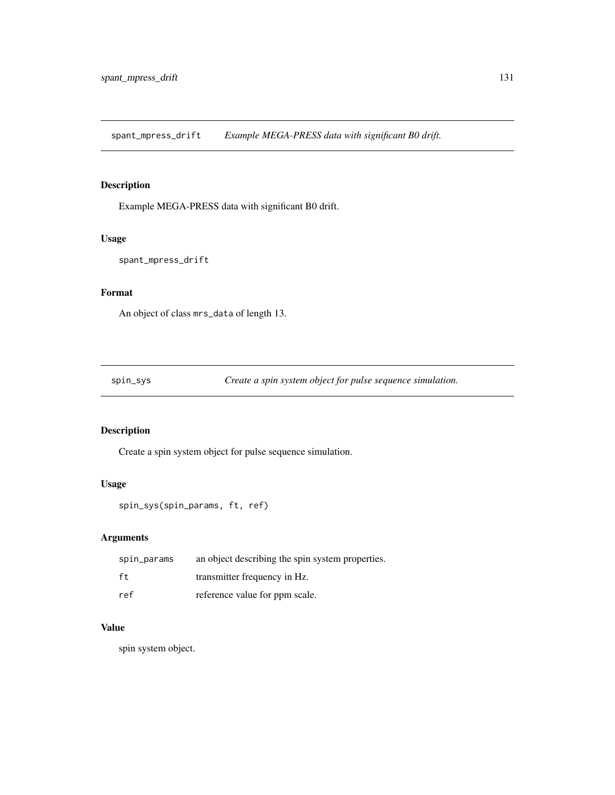spant\_mpress\_drift *Example MEGA-PRESS data with significant B0 drift.*

## Description

Example MEGA-PRESS data with significant B0 drift.

## Usage

```
spant_mpress_drift
```
## Format

An object of class mrs\_data of length 13.

spin\_sys *Create a spin system object for pulse sequence simulation.*

## Description

Create a spin system object for pulse sequence simulation.

#### Usage

```
spin_sys(spin_params, ft, ref)
```
## Arguments

| spin_params | an object describing the spin system properties. |
|-------------|--------------------------------------------------|
| ft          | transmitter frequency in Hz.                     |
| ref         | reference value for ppm scale.                   |

#### Value

spin system object.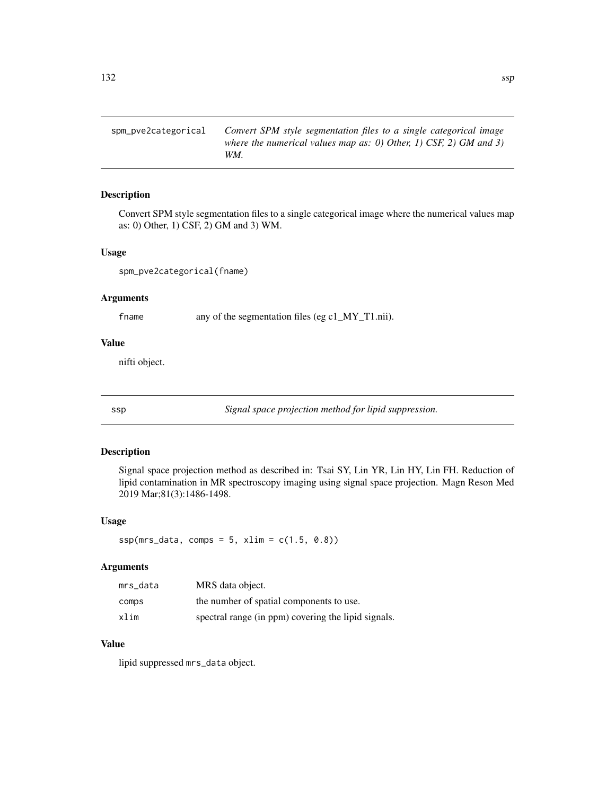spm\_pve2categorical *Convert SPM style segmentation files to a single categorical image where the numerical values map as: 0) Other, 1) CSF, 2) GM and 3) WM.*

#### Description

Convert SPM style segmentation files to a single categorical image where the numerical values map as: 0) Other, 1) CSF, 2) GM and 3) WM.

#### Usage

spm\_pve2categorical(fname)

## Arguments

fname any of the segmentation files (eg c1\_MY\_T1.nii).

#### Value

nifti object.

ssp *Signal space projection method for lipid suppression.*

#### Description

Signal space projection method as described in: Tsai SY, Lin YR, Lin HY, Lin FH. Reduction of lipid contamination in MR spectroscopy imaging using signal space projection. Magn Reson Med 2019 Mar;81(3):1486-1498.

#### Usage

 $ssp(mrs_data, comes = 5, xlim = c(1.5, 0.8))$ 

#### Arguments

| mrs data | MRS data object.                                    |
|----------|-----------------------------------------------------|
| comps    | the number of spatial components to use.            |
| xlim     | spectral range (in ppm) covering the lipid signals. |

#### Value

lipid suppressed mrs\_data object.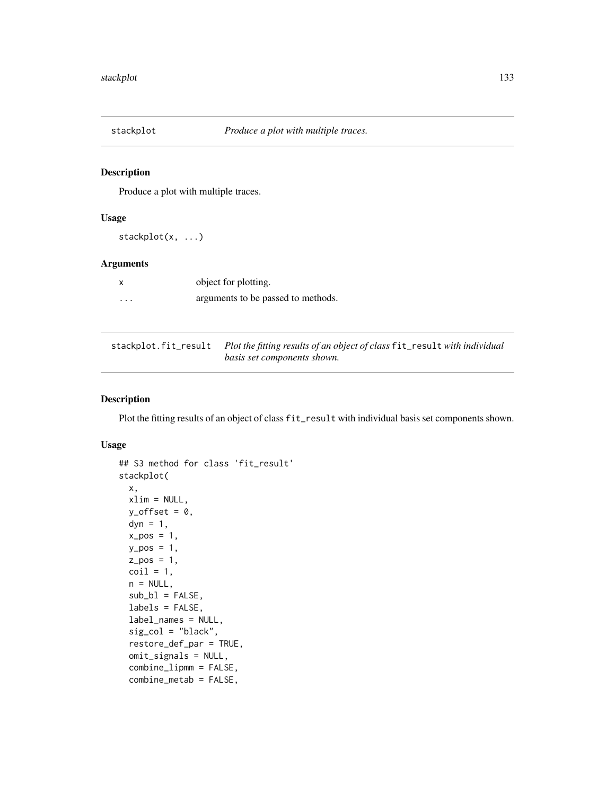Produce a plot with multiple traces.

#### Usage

stackplot(x, ...)

## Arguments

|   | object for plotting.               |
|---|------------------------------------|
| . | arguments to be passed to methods. |

| stackplot.fit_result Plot the fitting results of an object of class fit_result with individual |
|------------------------------------------------------------------------------------------------|
| basis set components shown.                                                                    |

#### Description

Plot the fitting results of an object of class fit\_result with individual basis set components shown.

#### Usage

```
## S3 method for class 'fit_result'
stackplot(
 x,
 xlim = NULL,
 y_{\text{offset}} = 0,
 dyn = 1,
 x_{-}pos = 1,
 y_pos = 1,
 z_{-}pos = 1,
 \text{coil} = 1,
 n = NULL,sub_b1 = FALSE,labels = FALSE,
  label_names = NULL,
  sig\_col = "black",restore_def_par = TRUE,
 omit_signals = NULL,
  combine_lipmm = FALSE,
  combine_metab = FALSE,
```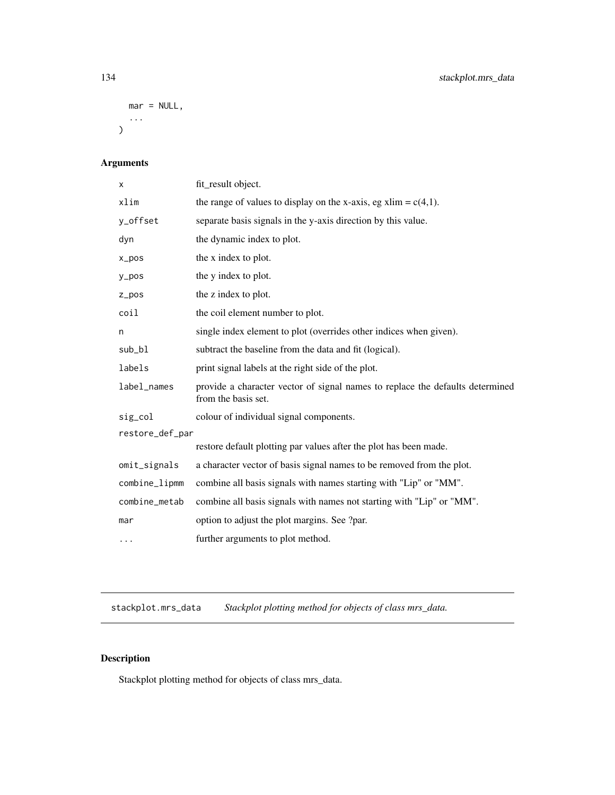```
mar = NULL,...
)
```
## Arguments

| X               | fit_result object.                                                                                   |
|-----------------|------------------------------------------------------------------------------------------------------|
| xlim            | the range of values to display on the x-axis, eg xlim = $c(4,1)$ .                                   |
| y_offset        | separate basis signals in the y-axis direction by this value.                                        |
| dyn             | the dynamic index to plot.                                                                           |
| x_pos           | the x index to plot.                                                                                 |
| y_pos           | the y index to plot.                                                                                 |
| $Z_ppos$        | the z index to plot.                                                                                 |
| coil            | the coil element number to plot.                                                                     |
| n               | single index element to plot (overrides other indices when given).                                   |
| sub_bl          | subtract the baseline from the data and fit (logical).                                               |
| labels          | print signal labels at the right side of the plot.                                                   |
| label_names     | provide a character vector of signal names to replace the defaults determined<br>from the basis set. |
| sig_col         | colour of individual signal components.                                                              |
| restore_def_par |                                                                                                      |
|                 | restore default plotting par values after the plot has been made.                                    |
| omit_signals    | a character vector of basis signal names to be removed from the plot.                                |
| combine_lipmm   | combine all basis signals with names starting with "Lip" or "MM".                                    |
| combine_metab   | combine all basis signals with names not starting with "Lip" or "MM".                                |
| mar             | option to adjust the plot margins. See ?par.                                                         |
| $\cdots$        | further arguments to plot method.                                                                    |

stackplot.mrs\_data *Stackplot plotting method for objects of class mrs\_data.*

# Description

Stackplot plotting method for objects of class mrs\_data.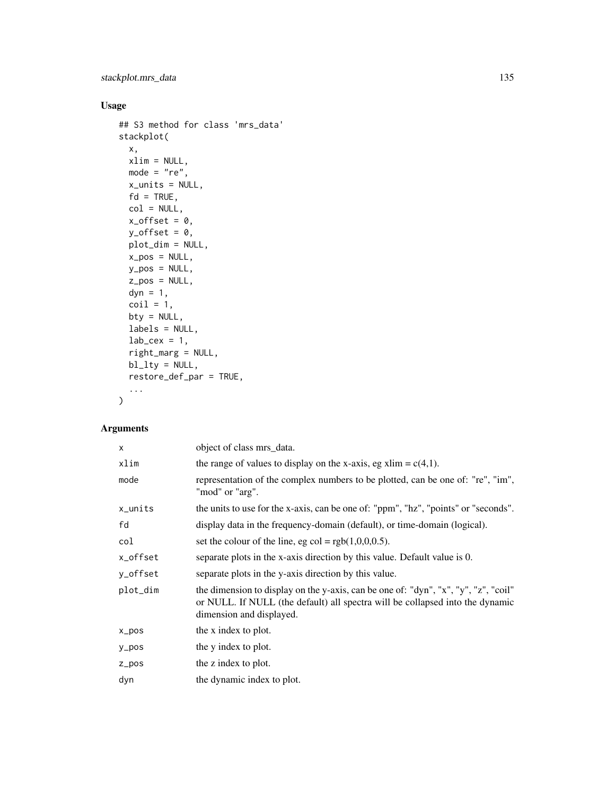stackplot.mrs\_data 135

## Usage

```
## S3 method for class 'mrs_data'
stackplot(
  x,
  xlim = NULL,mode = "re",x_units = NULL,
  fd = TRUE,col = NULL,x_{\text{offset}} = 0,
  y_{\text{-}}offset = 0,
  plot_dim = NULL,
  x_ppos = NULL,
  y_pos = NULL,
  z_pos = NULL,
  dyn = 1,
  \text{coil} = 1,
  bty = NULL,labels = NULL,
  lab\_cex = 1,
  right_marg = NULL,
  bl_lty = NULL,restore_def_par = TRUE,
  ...
\mathcal{L}
```
## Arguments

| $\times$  | object of class mrs_data.                                                                                                                                                                        |
|-----------|--------------------------------------------------------------------------------------------------------------------------------------------------------------------------------------------------|
| xlim      | the range of values to display on the x-axis, eg xlim = $c(4,1)$ .                                                                                                                               |
| mode      | representation of the complex numbers to be plotted, can be one of: "re", "im",<br>"mod" or "arg".                                                                                               |
| x_units   | the units to use for the x-axis, can be one of: "ppm", "hz", "points" or "seconds".                                                                                                              |
| fd        | display data in the frequency-domain (default), or time-domain (logical).                                                                                                                        |
| col       | set the colour of the line, eg col = $rgb(1,0,0,0.5)$ .                                                                                                                                          |
| x_offset  | separate plots in the x-axis direction by this value. Default value is 0.                                                                                                                        |
| y_offset  | separate plots in the y-axis direction by this value.                                                                                                                                            |
| plot_dim  | the dimension to display on the y-axis, can be one of: "dyn", "x", "y", "z", "coil"<br>or NULL. If NULL (the default) all spectra will be collapsed into the dynamic<br>dimension and displayed. |
| $x_p$ pos | the x index to plot.                                                                                                                                                                             |
| $y_p$ os  | the y index to plot.                                                                                                                                                                             |
| $Z_ppos$  | the z index to plot.                                                                                                                                                                             |
| dyn       | the dynamic index to plot.                                                                                                                                                                       |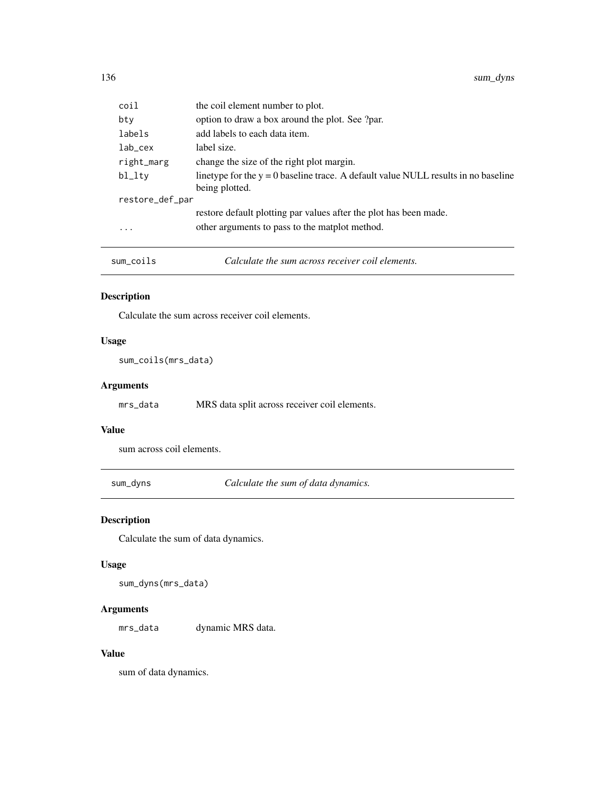| coil                    | the coil element number to plot.                                                                       |
|-------------------------|--------------------------------------------------------------------------------------------------------|
| bty                     | option to draw a box around the plot. See ?par.                                                        |
| labels                  | add labels to each data item.                                                                          |
| lab_cex                 | label size.                                                                                            |
| right_marg              | change the size of the right plot margin.                                                              |
| bl_lty                  | linetype for the $y = 0$ baseline trace. A default value NULL results in no baseline<br>being plotted. |
| restore_def_par         |                                                                                                        |
|                         | restore default plotting par values after the plot has been made.                                      |
| $\cdot$ $\cdot$ $\cdot$ | other arguments to pass to the matplot method.                                                         |
|                         |                                                                                                        |

| sum_coils | Calculate the sum across receiver coil elements. |  |
|-----------|--------------------------------------------------|--|
|-----------|--------------------------------------------------|--|

Calculate the sum across receiver coil elements.

## Usage

sum\_coils(mrs\_data)

## Arguments

mrs\_data MRS data split across receiver coil elements.

#### Value

sum across coil elements.

sum\_dyns *Calculate the sum of data dynamics.*

## Description

Calculate the sum of data dynamics.

## Usage

sum\_dyns(mrs\_data)

#### Arguments

mrs\_data dynamic MRS data.

## Value

sum of data dynamics.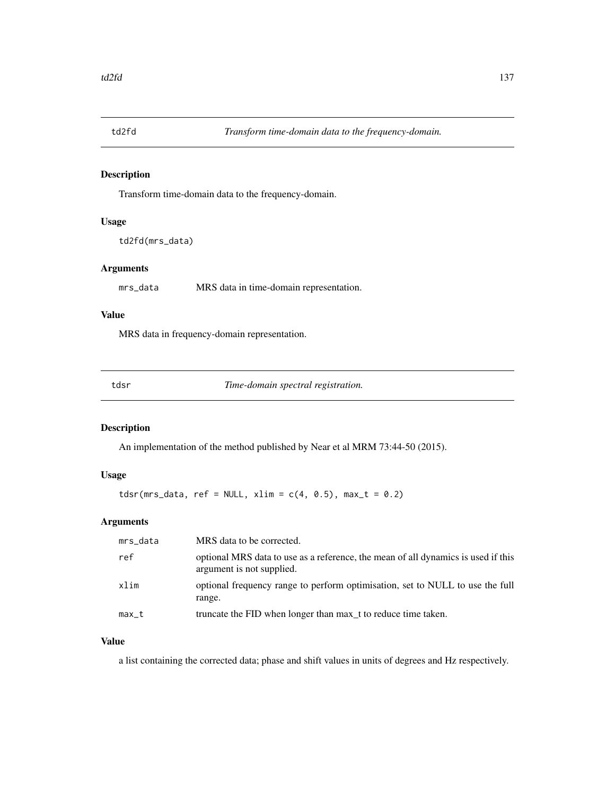Transform time-domain data to the frequency-domain.

## Usage

```
td2fd(mrs_data)
```
## Arguments

mrs\_data MRS data in time-domain representation.

## Value

MRS data in frequency-domain representation.

tdsr *Time-domain spectral registration.*

## Description

An implementation of the method published by Near et al MRM 73:44-50 (2015).

## Usage

 $tdsr(mrs\_data, ref = NULL, xlim = c(4, 0.5), max_t = 0.2)$ 

## Arguments

| mrs_data | MRS data to be corrected.                                                                                      |
|----------|----------------------------------------------------------------------------------------------------------------|
| ref      | optional MRS data to use as a reference, the mean of all dynamics is used if this<br>argument is not supplied. |
| xlim     | optional frequency range to perform optimisation, set to NULL to use the full<br>range.                        |
| max_t    | truncate the FID when longer than max t to reduce time taken.                                                  |

## Value

a list containing the corrected data; phase and shift values in units of degrees and Hz respectively.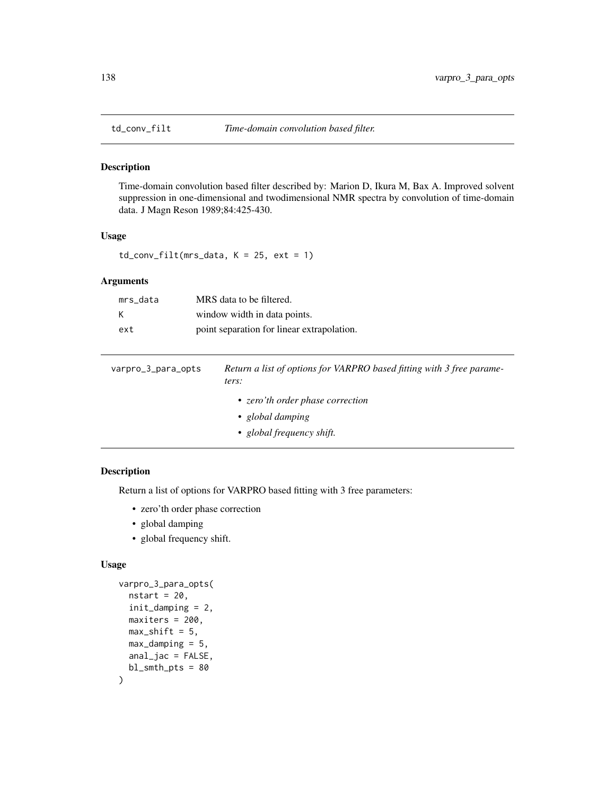Time-domain convolution based filter described by: Marion D, Ikura M, Bax A. Improved solvent suppression in one-dimensional and twodimensional NMR spectra by convolution of time-domain data. J Magn Reson 1989;84:425-430.

#### Usage

 $td_{conv_{i}} = 1$ td\_conv\_filt(mrs\_data, K = 25, ext = 1)

## Arguments

| mrs data | MRS data to be filtered.                   |
|----------|--------------------------------------------|
| к        | window width in data points.               |
| ext      | point separation for linear extrapolation. |

| varpro_3_para_opts | Return a list of options for VARPRO based fitting with 3 free parame-<br>ters:    |
|--------------------|-----------------------------------------------------------------------------------|
|                    | • zero'th order phase correction<br>• global damping<br>• global frequency shift. |

## Description

Return a list of options for VARPRO based fitting with 3 free parameters:

- zero'th order phase correction
- global damping
- global frequency shift.

#### Usage

```
varpro_3_para_opts(
  nstart = 20,
  init_damping = 2,
 maxiters = 200,
 max\_shift = 5,
 max\_damping = 5,
  anal_jac = FALSE,
  bl\_smth\_pts = 80)
```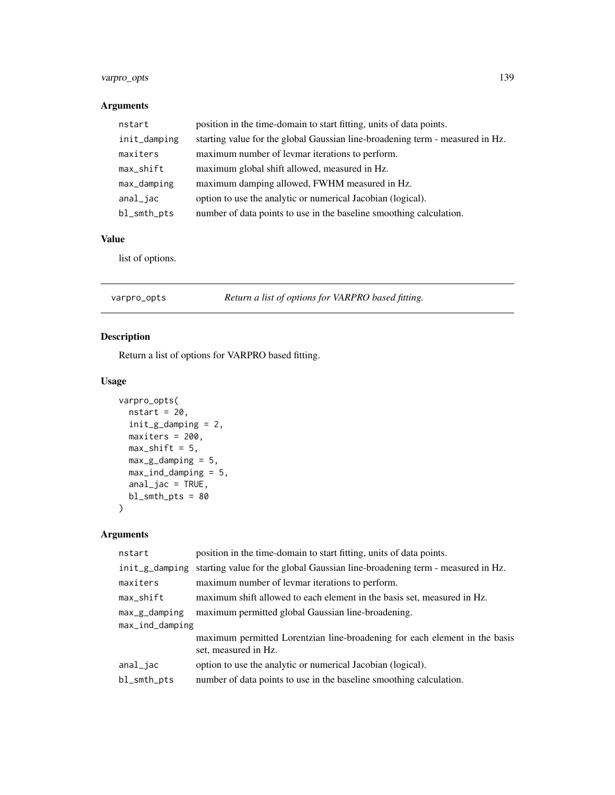## varpro\_opts 139

## Arguments

| nstart       | position in the time-domain to start fitting, units of data points.           |
|--------------|-------------------------------------------------------------------------------|
| init_damping | starting value for the global Gaussian line-broadening term - measured in Hz. |
| maxiters     | maximum number of levmar iterations to perform.                               |
| max_shift    | maximum global shift allowed, measured in Hz.                                 |
| max_damping  | maximum damping allowed, FWHM measured in Hz.                                 |
| anal_jac     | option to use the analytic or numerical Jacobian (logical).                   |
| bl_smth_pts  | number of data points to use in the baseline smoothing calculation.           |

## Value

list of options.

| varpro_opts | Return a list of options for VARPRO based fitting. |
|-------------|----------------------------------------------------|
|-------------|----------------------------------------------------|

## Description

Return a list of options for VARPRO based fitting.

## Usage

```
varpro_opts(
 nstart = 20,
 init_g_damping = 2,
 maxiters = 200,
 max\_shift = 5,
 max_g_damping = 5,
 max_ind_damping = 5,
 anal_jac = TRUE,bl_smth_pts = 80
)
```
## Arguments

| position in the time-domain to start fitting, units of data points.                                |  |
|----------------------------------------------------------------------------------------------------|--|
| starting value for the global Gaussian line-broadening term - measured in Hz.<br>init_g_damping    |  |
| maximum number of levmar iterations to perform.                                                    |  |
| maximum shift allowed to each element in the basis set, measured in Hz.                            |  |
| maximum permitted global Gaussian line-broadening.                                                 |  |
| max_ind_damping                                                                                    |  |
| maximum permitted Lorentzian line-broadening for each element in the basis<br>set, measured in Hz. |  |
| option to use the analytic or numerical Jacobian (logical).                                        |  |
| number of data points to use in the baseline smoothing calculation.                                |  |
|                                                                                                    |  |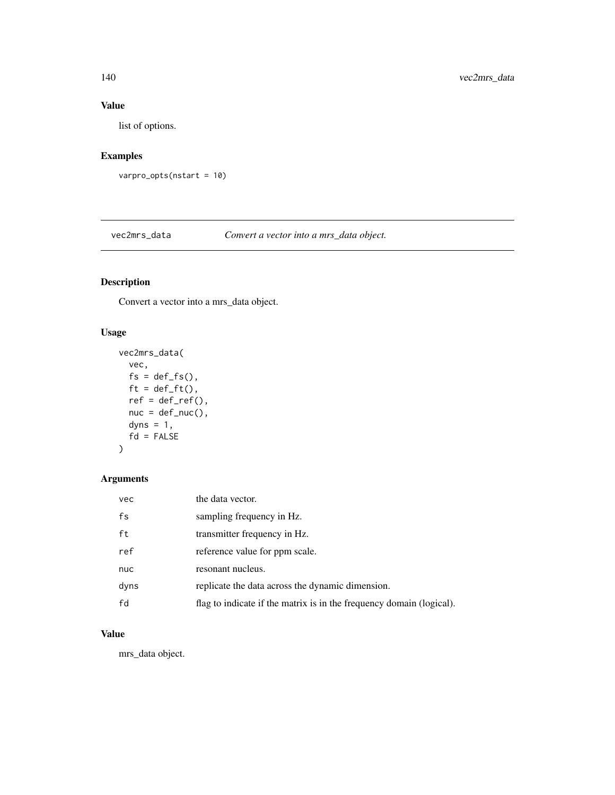## Value

list of options.

## Examples

```
varpro_opts(nstart = 10)
```
vec2mrs\_data *Convert a vector into a mrs\_data object.*

## Description

Convert a vector into a mrs\_data object.

## Usage

```
vec2mrs_data(
  vec,
  fs = def_f s(),
 ft = def_f(t),ref = def_ref(),nuc = def_nuc(),
 dyns = 1,
  fd = FALSE)
```
## Arguments

| vec  | the data vector.                                                     |
|------|----------------------------------------------------------------------|
| fs   | sampling frequency in Hz.                                            |
| ft   | transmitter frequency in Hz.                                         |
| ref  | reference value for ppm scale.                                       |
| nuc  | resonant nucleus.                                                    |
| dyns | replicate the data across the dynamic dimension.                     |
| fd   | flag to indicate if the matrix is in the frequency domain (logical). |

## Value

mrs\_data object.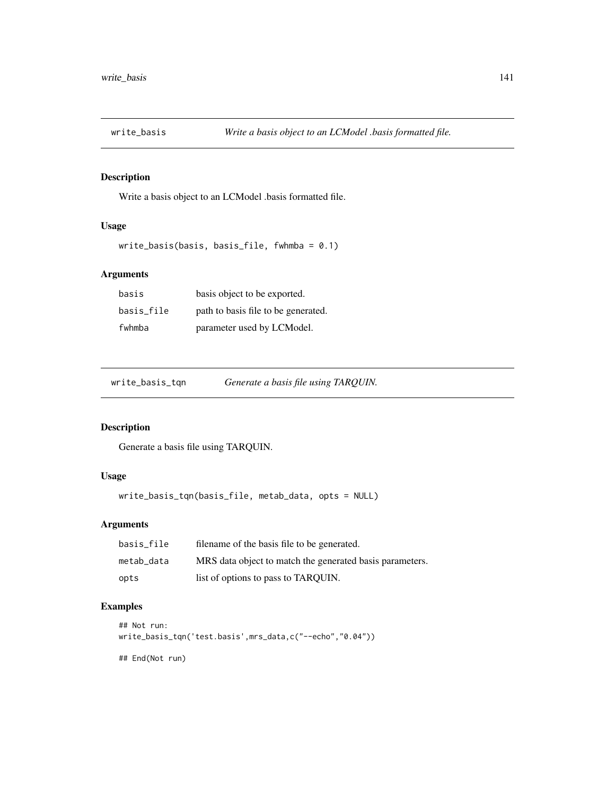Write a basis object to an LCModel .basis formatted file.

## Usage

```
write_basis(basis, basis_file, fwhmba = 0.1)
```
## Arguments

| basis      | basis object to be exported.        |
|------------|-------------------------------------|
| basis file | path to basis file to be generated. |
| fwhmba     | parameter used by LCModel.          |

write\_basis\_tqn *Generate a basis file using TARQUIN.*

## Description

Generate a basis file using TARQUIN.

## Usage

write\_basis\_tqn(basis\_file, metab\_data, opts = NULL)

## Arguments

| basis file | filename of the basis file to be generated.              |
|------------|----------------------------------------------------------|
| metab data | MRS data object to match the generated basis parameters. |
| opts       | list of options to pass to TARQUIN.                      |

## Examples

```
## Not run:
write_basis_tqn('test.basis',mrs_data,c("--echo","0.04"))
## End(Not run)
```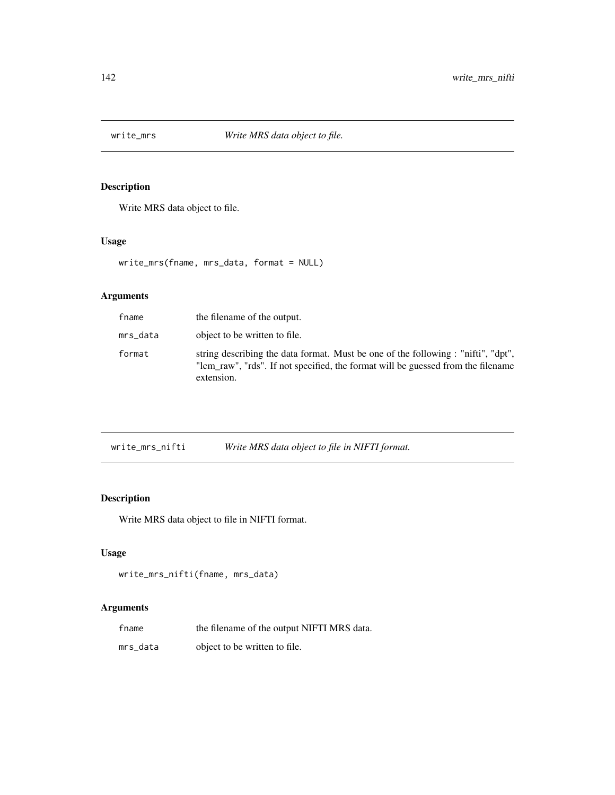Write MRS data object to file.

## Usage

write\_mrs(fname, mrs\_data, format = NULL)

## Arguments

| fname    | the filename of the output.                                                                                                                                                         |
|----------|-------------------------------------------------------------------------------------------------------------------------------------------------------------------------------------|
| mrs_data | object to be written to file.                                                                                                                                                       |
| format   | string describing the data format. Must be one of the following : "nifti", "dpt",<br>"lom raw", "rds". If not specified, the format will be guessed from the filename<br>extension. |

| write_mrs_nifti |  | Write MRS data object to file in NIFTI format. |
|-----------------|--|------------------------------------------------|
|                 |  |                                                |

# Description

Write MRS data object to file in NIFTI format.

## Usage

```
write_mrs_nifti(fname, mrs_data)
```
## Arguments

| fname    | the filename of the output NIFTI MRS data. |
|----------|--------------------------------------------|
| mrs_data | object to be written to file.              |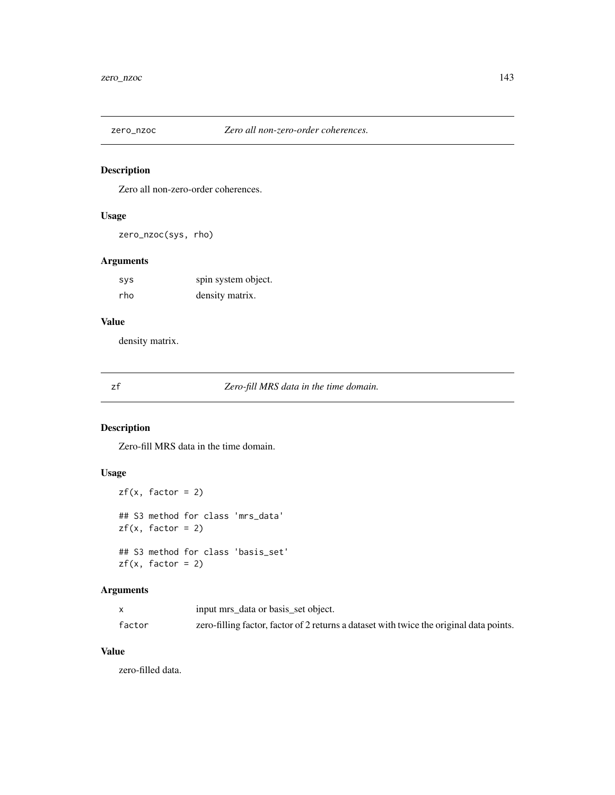Zero all non-zero-order coherences.

## Usage

zero\_nzoc(sys, rho)

## Arguments

| sys | spin system object. |
|-----|---------------------|
| rho | density matrix.     |

## Value

density matrix.

zf *Zero-fill MRS data in the time domain.*

## Description

Zero-fill MRS data in the time domain.

## Usage

```
zf(x, factor = 2)## S3 method for class 'mrs_data'
zf(x, factor = 2)## S3 method for class 'basis_set'
zf(x, factor = 2)
```
## Arguments

|        | input mrs_data or basis_set object.                                                     |
|--------|-----------------------------------------------------------------------------------------|
| factor | zero-filling factor, factor of 2 returns a dataset with twice the original data points. |

#### Value

zero-filled data.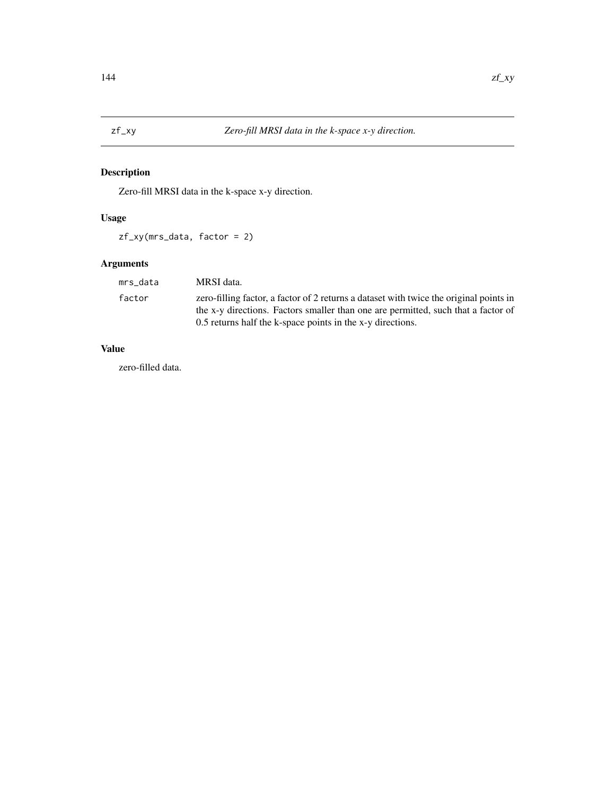Zero-fill MRSI data in the k-space x-y direction.

## Usage

zf\_xy(mrs\_data, factor = 2)

## Arguments

| mrs data | MRSI data.                                                                                                                                                                  |
|----------|-----------------------------------------------------------------------------------------------------------------------------------------------------------------------------|
| factor   | zero-filling factor, a factor of 2 returns a dataset with twice the original points in<br>the x-y directions. Factors smaller than one are permitted, such that a factor of |
|          | 0.5 returns half the k-space points in the x-y directions.                                                                                                                  |

## Value

zero-filled data.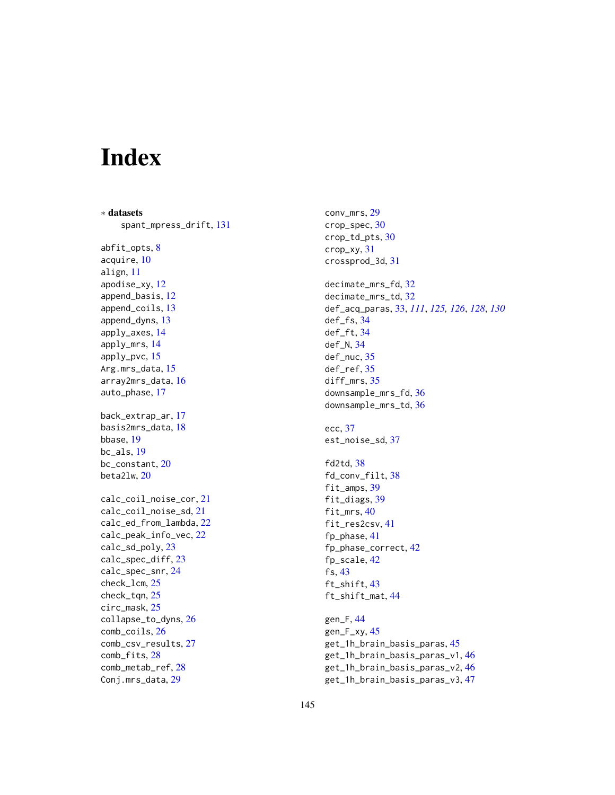## Index

∗ datasets spant\_mpress\_drift, [131](#page-130-0) abfit\_opts, [8](#page-7-0) acquire, [10](#page-9-0) align, [11](#page-10-0) apodise\_xy, [12](#page-11-0) append\_basis, [12](#page-11-0) append\_coils, [13](#page-12-0) append\_dyns, [13](#page-12-0) apply\_axes, [14](#page-13-0) apply\_mrs, [14](#page-13-0) apply\_pvc, [15](#page-14-0) Arg.mrs\_data, [15](#page-14-0) array2mrs\_data, [16](#page-15-0) auto\_phase, [17](#page-16-0) back\_extrap\_ar, [17](#page-16-0) basis2mrs\_data, [18](#page-17-0) bbase, [19](#page-18-0) bc\_als, [19](#page-18-0) bc\_constant, [20](#page-19-0) beta2lw, [20](#page-19-0) calc\_coil\_noise\_cor, [21](#page-20-0) calc\_coil\_noise\_sd, [21](#page-20-0) calc\_ed\_from\_lambda, [22](#page-21-0) calc\_peak\_info\_vec, [22](#page-21-0) calc\_sd\_poly, [23](#page-22-0) calc\_spec\_diff, [23](#page-22-0) calc\_spec\_snr, [24](#page-23-0) check\_lcm, [25](#page-24-0) check\_tqn, [25](#page-24-0) circ\_mask, [25](#page-24-0) collapse\_to\_dyns, [26](#page-25-0) comb\_coils, [26](#page-25-0) comb\_csv\_results, [27](#page-26-0) comb\_fits, [28](#page-27-0) comb\_metab\_ref, [28](#page-27-0) Conj.mrs\_data, [29](#page-28-0)

conv\_mrs, [29](#page-28-0) crop\_spec, [30](#page-29-0) crop\_td\_pts, [30](#page-29-0) crop\_xy, [31](#page-30-0) crossprod\_3d, [31](#page-30-0) decimate\_mrs\_fd, [32](#page-31-0) decimate\_mrs\_td, [32](#page-31-0) def\_acq\_paras, [33,](#page-32-0) *[111](#page-110-0)*, *[125,](#page-124-0) [126](#page-125-0)*, *[128](#page-127-0)*, *[130](#page-129-0)* def\_fs, [34](#page-33-0) def\_ft, [34](#page-33-0) def\_N, [34](#page-33-0) def\_nuc, [35](#page-34-0) def\_ref, [35](#page-34-0) diff\_mrs, [35](#page-34-0) downsample\_mrs\_fd, [36](#page-35-0) downsample\_mrs\_td, [36](#page-35-0) ecc, [37](#page-36-0) est\_noise\_sd, [37](#page-36-0) fd2td, [38](#page-37-0) fd\_conv\_filt, [38](#page-37-0) fit\_amps, [39](#page-38-0) fit\_diags, [39](#page-38-0) fit\_mrs, [40](#page-39-0) fit\_res2csv, [41](#page-40-0) fp\_phase, [41](#page-40-0) fp\_phase\_correct, [42](#page-41-0) fp\_scale, [42](#page-41-0) fs, [43](#page-42-0) ft\_shift, [43](#page-42-0) ft\_shift\_mat, [44](#page-43-0) gen\_F, [44](#page-43-0) gen\_F\_xy, [45](#page-44-0) get\_1h\_brain\_basis\_paras, [45](#page-44-0) get\_1h\_brain\_basis\_paras\_v1, [46](#page-45-0) get\_1h\_brain\_basis\_paras\_v2, [46](#page-45-0) get\_1h\_brain\_basis\_paras\_v3, [47](#page-46-0)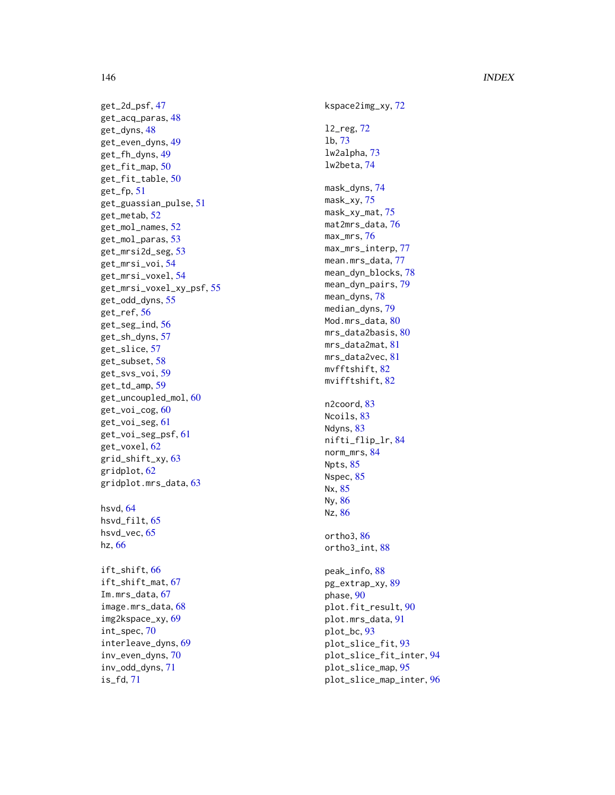## 146 INDEX

get\_2d\_psf , [47](#page-46-0) get\_acq\_paras , [48](#page-47-0) get\_dyns , [48](#page-47-0) get\_even\_dyns , [49](#page-48-0) get\_fh\_dyns , [49](#page-48-0) get\_fit\_map , [50](#page-49-0) get\_fit\_table , [50](#page-49-0) get\_fp , [51](#page-50-0) get\_guassian\_pulse , [51](#page-50-0) get\_metab , [52](#page-51-0) get\_mol\_names , [52](#page-51-0) get\_mol\_paras , [53](#page-52-0) get\_mrsi2d\_seg , [53](#page-52-0) get\_mrsi\_voi,<mark>[54](#page-53-0)</mark> get\_mrsi\_voxel , [54](#page-53-0) get\_mrsi\_voxel\_xy\_psf , [55](#page-54-0) get\_odd\_dyns , [55](#page-54-0) get\_ref , [56](#page-55-0) get\_seg\_ind , [56](#page-55-0) get\_sh\_dyns , [57](#page-56-0) get\_slice , [57](#page-56-0) get\_subset , [58](#page-57-0) get\_svs\_voi , [59](#page-58-0) get\_td\_amp , [59](#page-58-0) get\_uncoupled\_mol , [60](#page-59-0) get\_voi\_cog, [60](#page-59-0) get\_voi\_seg , [61](#page-60-0) get\_voi\_seg\_psf , [61](#page-60-0) get\_voxel , [62](#page-61-0) grid\_shift\_xy , [63](#page-62-0) gridplot , [62](#page-61-0) gridplot.mrs\_data , [63](#page-62-0) hsvd , [64](#page-63-0) hsvd\_filt , [65](#page-64-0) hsvd\_vec, [65](#page-64-0) hz , [66](#page-65-0) ift\_shift , [66](#page-65-0) ift\_shift\_mat , [67](#page-66-0) Im.mrs\_data, [67](#page-66-0) image.mrs\_data , [68](#page-67-0) img2kspace\_xy , [69](#page-68-0) int\_spec , [70](#page-69-0) interleave\_dyns , [69](#page-68-0) inv\_even\_dyns , [70](#page-69-0) inv\_odd\_dyns , [71](#page-70-0)

is\_fd , [71](#page-70-0)

kspace2img\_xy,[72](#page-71-0) l2\_reg , [72](#page-71-0) lb , [73](#page-72-0) lw2alpha , [73](#page-72-0) lw2beta , [74](#page-73-0) mask\_dyns , [74](#page-73-0) mask\_xy , [75](#page-74-0) mask\_xy\_mat , [75](#page-74-0) mat2mrs\_data,7<mark>6</mark> max\_mrs , [76](#page-75-0) max\_mrs\_interp , [77](#page-76-0) mean.mrs\_data,[77](#page-76-0) mean\_dyn\_blocks , [78](#page-77-0) mean\_dyn\_pairs , [79](#page-78-0) mean\_dyns , [78](#page-77-0) median\_dyns , [79](#page-78-0) Mod.mrs\_data, <mark>[80](#page-79-0)</mark> mrs\_data2basis,  $80$ mrs\_data2mat, [81](#page-80-0) mrs\_data2vec, [81](#page-80-0) mvfftshift, [82](#page-81-0) mvifftshift, [82](#page-81-0) n2coord, [83](#page-82-0) Ncoils, [83](#page-82-0) Ndyns, [83](#page-82-0) nifti\_flip\_lr , [84](#page-83-0) norm\_mrs , [84](#page-83-0) Npts, [85](#page-84-0) Nspec, [85](#page-84-0) Nx , [85](#page-84-0) Ny , [86](#page-85-0) Nz , [86](#page-85-0) ortho3 , [86](#page-85-0) ortho3\_int , [88](#page-87-0) peak\_info , [88](#page-87-0) pg\_extrap\_xy, <mark>[89](#page-88-0)</mark> phase, [90](#page-89-0) plot.fit\_result , [90](#page-89-0) plot.mrs\_data , [91](#page-90-0) plot\_bc , [93](#page-92-0) plot\_slice\_fit , [93](#page-92-0) plot\_slice\_fit\_inter , [94](#page-93-0) plot\_slice\_map , [95](#page-94-0) plot\_slice\_map\_inter , [96](#page-95-0)